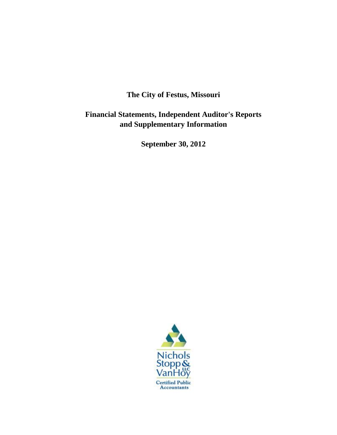# **The City of Festus, Missouri**

# **Financial Statements, Independent Auditor's Reports and Supplementary Information**

**September 30, 2012**

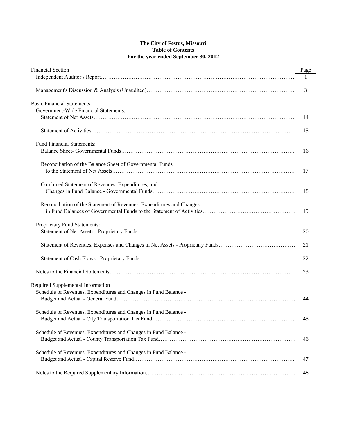## **The City of Festus, Missouri Table of Contents For the year ended September 30, 2012**

| <b>Financial Section</b>                                              | Page |
|-----------------------------------------------------------------------|------|
|                                                                       |      |
|                                                                       | 3    |
| <b>Basic Financial Statements</b>                                     |      |
| Government-Wide Financial Statements:                                 |      |
|                                                                       | -14  |
|                                                                       |      |
| <b>Fund Financial Statements:</b>                                     |      |
|                                                                       | -16  |
| Reconciliation of the Balance Sheet of Governmental Funds             |      |
|                                                                       | -17  |
| Combined Statement of Revenues, Expenditures, and                     |      |
|                                                                       | -18  |
| Reconciliation of the Statement of Revenues, Expenditures and Changes |      |
|                                                                       |      |
| Proprietary Fund Statements:                                          |      |
|                                                                       | 20   |
|                                                                       | -21  |
|                                                                       |      |
|                                                                       | 22   |
|                                                                       | 23   |
| <b>Required Supplemental Information</b>                              |      |
| Schedule of Revenues, Expenditures and Changes in Fund Balance -      |      |
|                                                                       | -44  |
| Schedule of Revenues, Expenditures and Changes in Fund Balance -      |      |
|                                                                       | 45   |
| Schedule of Revenues, Expenditures and Changes in Fund Balance -      |      |
|                                                                       | 46   |
| Schedule of Revenues, Expenditures and Changes in Fund Balance -      |      |
|                                                                       | 47   |
|                                                                       | 48   |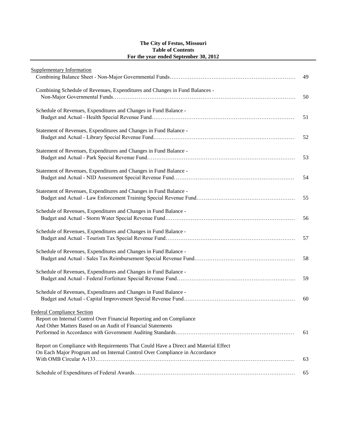## **The City of Festus, Missouri Table of Contents For the year ended September 30, 2012**

| Supplementary Information                                                           |     |
|-------------------------------------------------------------------------------------|-----|
|                                                                                     | 49  |
| Combining Schedule of Revenues, Expenditures and Changes in Fund Balances -         |     |
|                                                                                     | 50  |
| Schedule of Revenues, Expenditures and Changes in Fund Balance -                    |     |
|                                                                                     | 51  |
| Statement of Revenues, Expenditures and Changes in Fund Balance -                   |     |
|                                                                                     | 52  |
| Statement of Revenues, Expenditures and Changes in Fund Balance -                   |     |
|                                                                                     | 53  |
| Statement of Revenues, Expenditures and Changes in Fund Balance -                   |     |
|                                                                                     | 54  |
| Statement of Revenues, Expenditures and Changes in Fund Balance -                   |     |
|                                                                                     | 55  |
| Schedule of Revenues, Expenditures and Changes in Fund Balance -                    |     |
|                                                                                     | 56  |
| Schedule of Revenues, Expenditures and Changes in Fund Balance -                    |     |
|                                                                                     | 57  |
| Schedule of Revenues, Expenditures and Changes in Fund Balance -                    |     |
|                                                                                     | 58  |
| Schedule of Revenues, Expenditures and Changes in Fund Balance -                    |     |
|                                                                                     | -59 |
| Schedule of Revenues, Expenditures and Changes in Fund Balance -                    |     |
|                                                                                     | 60  |
| <b>Federal Compliance Section</b>                                                   |     |
| Report on Internal Control Over Financial Reporting and on Compliance               |     |
| And Other Matters Based on an Audit of Financial Statements                         |     |
|                                                                                     | 61  |
| Report on Compliance with Requirements That Could Have a Direct and Material Effect |     |
| On Each Major Program and on Internal Control Over Compliance in Accordance         |     |
|                                                                                     | 63  |
|                                                                                     | 65  |
|                                                                                     |     |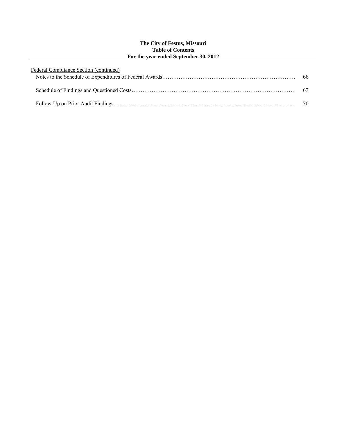## **The City of Festus, Missouri Table of Contents For the year ended September 30, 2012**

| Federal Compliance Section (continued) |  |
|----------------------------------------|--|
|                                        |  |
|                                        |  |
|                                        |  |
|                                        |  |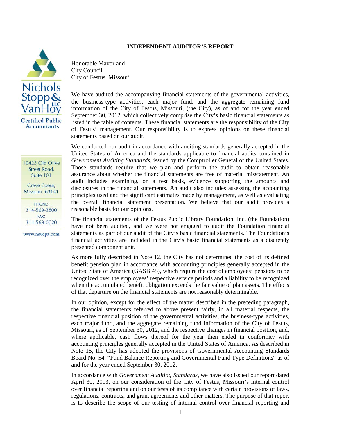### **INDEPENDENT AUDITOR'S REPORT**



10425 Old Olive Street Road, Suite 101

**Creve Coeur.** Missouri 63141

PHONE: 314-569-3800 FAX: 314-569-0020

www.nsvcpa.com

Honorable Mayor and City Council City of Festus, Missouri

We have audited the accompanying financial statements of the governmental activities, the business-type activities, each major fund, and the aggregate remaining fund information of the City of Festus, Missouri, (the City), as of and for the year ended September 30, 2012, which collectively comprise the City's basic financial statements as listed in the table of contents. These financial statements are the responsibility of the City of Festus' management. Our responsibility is to express opinions on these financial statements based on our audit.

We conducted our audit in accordance with auditing standards generally accepted in the United States of America and the standards applicable to financial audits contained in *Government Auditing Standards*, issued by the Comptroller General of the United States. Those standards require that we plan and perform the audit to obtain reasonable assurance about whether the financial statements are free of material misstatement. An audit includes examining, on a test basis, evidence supporting the amounts and disclosures in the financial statements. An audit also includes assessing the accounting principles used and the significant estimates made by management, as well as evaluating the overall financial statement presentation. We believe that our audit provides a reasonable basis for our opinions.

The financial statements of the Festus Public Library Foundation, Inc. (the Foundation) have not been audited, and we were not engaged to audit the Foundation financial statements as part of our audit of the City's basic financial statements. The Foundation's financial activities are included in the City's basic financial statements as a discretely presented component unit.

As more fully described in Note 12, the City has not determined the cost of its defined benefit pension plan in accordance with accounting principles generally accepted in the United State of America (GASB 45), which require the cost of employees' pensions to be recognized over the employees' respective service periods and a liability to be recognized when the accumulated benefit obligation exceeds the fair value of plan assets. The effects of that departure on the financial statements are not reasonably determinable.

In our opinion, except for the effect of the matter described in the preceding paragraph, the financial statements referred to above present fairly, in all material respects, the respective financial position of the governmental activities, the business-type activities, each major fund, and the aggregate remaining fund information of the City of Festus, Missouri, as of September 30, 2012, and the respective changes in financial position, and, where applicable, cash flows thereof for the year then ended in conformity with accounting principles generally accepted in the United States of America. As described in Note 15, the City has adopted the provisions of Governmental Accounting Standards Board No. 54. "Fund Balance Reporting and Governmental Fund Type Definitions" as of and for the year ended September 30, 2012.

In accordance with *Government Auditing Standards*, we have also issued our report dated April 30, 2013, on our consideration of the City of Festus, Missouri's internal control over financial reporting and on our tests of its compliance with certain provisions of laws, regulations, contracts, and grant agreements and other matters. The purpose of that report is to describe the scope of our testing of internal control over financial reporting and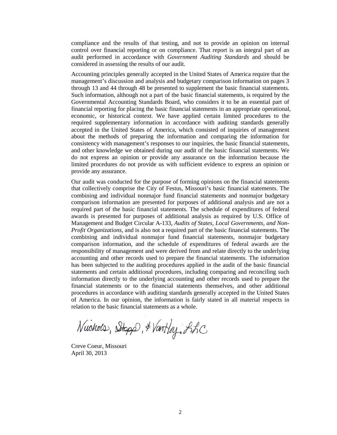compliance and the results of that testing, and not to provide an opinion on internal control over financial reporting or on compliance. That report is an integral part of an audit performed in accordance with *Government Auditing Standards* and should be considered in assessing the results of our audit.

Accounting principles generally accepted in the United States of America require that the management's discussion and analysis and budgetary comparison information on pages 3 through 13 and 44 through 48 be presented to supplement the basic financial statements. Such information, although not a part of the basic financial statements, is required by the Governmental Accounting Standards Board, who considers it to be an essential part of financial reporting for placing the basic financial statements in an appropriate operational, economic, or historical context. We have applied certain limited procedures to the required supplementary information in accordance with auditing standards generally accepted in the United States of America, which consisted of inquiries of management about the methods of preparing the information and comparing the information for consistency with management's responses to our inquiries, the basic financial statements, and other knowledge we obtained during our audit of the basic financial statements. We do not express an opinion or provide any assurance on the information because the limited procedures do not provide us with sufficient evidence to express an opinion or provide any assurance.

Our audit was conducted for the purpose of forming opinions on the financial statements that collectively comprise the City of Festus, Missouri's basic financial statements. The combining and individual nonmajor fund financial statements and nonmajor budgetary comparison information are presented for purposes of additional analysis and are not a required part of the basic financial statements. The schedule of expenditures of federal awards is presented for purposes of additional analysis as required by U.S. Office of Management and Budget Circular A-133, *Audits of States, Local Governments, and Non-Profit Organizations*, and is also not a required part of the basic financial statements. The combining and individual nonmajor fund financial statements, nonmajor budgetary comparison information, and the schedule of expenditures of federal awards are the responsibility of management and were derived from and relate directly to the underlying accounting and other records used to prepare the financial statements. The information has been subjected to the auditing procedures applied in the audit of the basic financial statements and certain additional procedures, including comparing and reconciling such information directly to the underlying accounting and other records used to prepare the financial statements or to the financial statements themselves, and other additional procedures in accordance with auditing standards generally accepted in the United States of America. In our opinion, the information is fairly stated in all material respects in relation to the basic financial statements as a whole.

Nuchols, Stopp, & Vantlay, SLC

Creve Coeur, Missouri April 30, 2013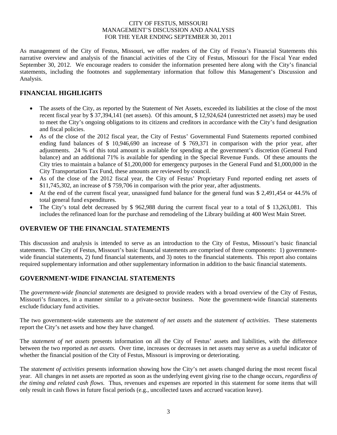As management of the City of Festus, Missouri, we offer readers of the City of Festus's Financial Statements this narrative overview and analysis of the financial activities of the City of Festus, Missouri for the Fiscal Year ended September 30, 2012. We encourage readers to consider the information presented here along with the City's financial statements, including the footnotes and supplementary information that follow this Management's Discussion and Analysis.

## **FINANCIAL HIGHLIGHTS**

- The assets of the City, as reported by the Statement of Net Assets, exceeded its liabilities at the close of the most recent fiscal year by \$ 37,394,141 (net assets). Of this amount, \$ 12,924,624 (unrestricted net assets) may be used to meet the City's ongoing obligations to its citizens and creditors in accordance with the City's fund designation and fiscal policies.
- As of the close of the 2012 fiscal year, the City of Festus' Governmental Fund Statements reported combined ending fund balances of \$ 10,946,690 an increase of \$ 769,371 in comparison with the prior year, after adjustments. 24 % of this total amount is available for spending at the government's discretion (General Fund balance) and an additional 71% is available for spending in the Special Revenue Funds. Of these amounts the City tries to maintain a balance of \$1,200,000 for emergency purposes in the General Fund and \$1,000,000 in the City Transportation Tax Fund, these amounts are reviewed by council.
- As of the close of the 2012 fiscal year, the City of Festus' Proprietary Fund reported ending net assets of \$11,745,302, an increase of \$ 759,706 in comparison with the prior year, after adjustments.
- At the end of the current fiscal year, unassigned fund balance for the general fund was \$ 2,491,454 or 44.5% of total general fund expenditures.
- The City's total debt decreased by \$ 962,988 during the current fiscal year to a total of \$ 13,263,081. This includes the refinanced loan for the purchase and remodeling of the Library building at 400 West Main Street.

## **OVERVIEW OF THE FINANCIAL STATEMENTS**

This discussion and analysis is intended to serve as an introduction to the City of Festus, Missouri's basic financial statements. The City of Festus, Missouri's basic financial statements are comprised of three components: 1) governmentwide financial statements, 2) fund financial statements, and 3) notes to the financial statements. This report also contains required supplementary information and other supplementary information in addition to the basic financial statements.

## **GOVERNMENT-WIDE FINANCIAL STATEMENTS**

The *government-wide financial statements* are designed to provide readers with a broad overview of the City of Festus, Missouri's finances, in a manner similar to a private-sector business. Note the government-wide financial statements exclude fiduciary fund activities.

The two government-wide statements are the *statement of net assets* and the *statement of activities*. These statements report the City's net assets and how they have changed.

The *statement of net assets* presents information on all the City of Festus' assets and liabilities, with the difference between the two reported as *net assets.* Over time, increases or decreases in net assets may serve as a useful indicator of whether the financial position of the City of Festus, Missouri is improving or deteriorating.

The *statement of activities* presents information showing how the City's net assets changed during the most recent fiscal year. All changes in net assets are reported as soon as the underlying event giving rise to the change occurs, *regardless of the timing and related cash flows.* Thus, revenues and expenses are reported in this statement for some items that will only result in cash flows in future fiscal periods (e.g., uncollected taxes and accrued vacation leave).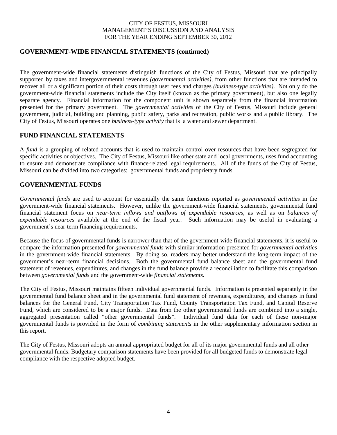## **GOVERNMENT-WIDE FINANCIAL STATEMENTS (continued)**

The government-wide financial statements distinguish functions of the City of Festus, Missouri that are principally supported by taxes and intergovernmental revenues *(governmental activities),* from other functions that are intended to recover all or a significant portion of their costs through user fees and charges *(business-type activities)*. Not only do the government-wide financial statements include the City itself (known as the primary government), but also one legally separate agency. Financial information for the component unit is shown separately from the financial information presented for the primary government. The *governmental activities* of the City of Festus, Missouri include general government, judicial, building and planning, public safety, parks and recreation, public works and a public library. The City of Festus, Missouri operates one *business-type activity* that is a water and sewer department.

## **FUND FINANCIAL STATEMENTS**

A *fund* is a grouping of related accounts that is used to maintain control over resources that have been segregated for specific activities or objectives. The City of Festus, Missouri like other state and local governments, uses fund accounting to ensure and demonstrate compliance with finance-related legal requirements. All of the funds of the City of Festus, Missouri can be divided into two categories: governmental funds and proprietary funds.

## **GOVERNMENTAL FUNDS**

*Governmental funds* are used to account for essentially the same functions reported as *governmental activities* in the government-wide financial statements. However, unlike the government-wide financial statements, governmental fund financial statement focus on *near-term inflows and outflows of expendable resources,* as well as on *balances of expendable resources* available at the end of the fiscal year. Such information may be useful in evaluating a government's near-term financing requirements.

Because the focus of governmental funds is narrower than that of the government-wide financial statements, it is useful to compare the information presented for *governmental funds* with similar information presented for *governmental activities*  in the government-wide financial statements. By doing so, readers may better understand the long-term impact of the government's near-term financial decisions. Both the governmental fund balance sheet and the governmental fund statement of revenues, expenditures, and changes in the fund balance provide a reconciliation to facilitate this comparison between *governmental funds* and the government-wide *financial statements.*

The City of Festus, Missouri maintains fifteen individual governmental funds. Information is presented separately in the governmental fund balance sheet and in the governmental fund statement of revenues, expenditures, and changes in fund balances for the General Fund, City Transportation Tax Fund, County Transportation Tax Fund, and Capital Reserve Fund, which are considered to be a major funds. Data from the other governmental funds are combined into a single, aggregated presentation called "other governmental funds". Individual fund data for each of these non-major governmental funds is provided in the form of *combining statements* in the other supplementary information section in this report.

The City of Festus, Missouri adopts an annual appropriated budget for all of its major governmental funds and all other governmental funds. Budgetary comparison statements have been provided for all budgeted funds to demonstrate legal compliance with the respective adopted budget.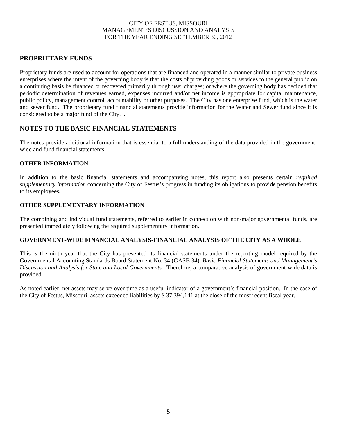## **PROPRIETARY FUNDS**

Proprietary funds are used to account for operations that are financed and operated in a manner similar to private business enterprises where the intent of the governing body is that the costs of providing goods or services to the general public on a continuing basis be financed or recovered primarily through user charges; or where the governing body has decided that periodic determination of revenues earned, expenses incurred and/or net income is appropriate for capital maintenance, public policy, management control, accountability or other purposes. The City has one enterprise fund, which is the water and sewer fund. The proprietary fund financial statements provide information for the Water and Sewer fund since it is considered to be a major fund of the City. .

## **NOTES TO THE BASIC FINANCIAL STATEMENTS**

The notes provide additional information that is essential to a full understanding of the data provided in the governmentwide and fund financial statements.

## **OTHER INFORMATION**

In addition to the basic financial statements and accompanying notes, this report also presents certain *required supplementary information* concerning the City of Festus's progress in funding its obligations to provide pension benefits to its employees**.**

## **OTHER SUPPLEMENTARY INFORMATION**

The combining and individual fund statements, referred to earlier in connection with non-major governmental funds, are presented immediately following the required supplementary information.

## **GOVERNMENT-WIDE FINANCIAL ANALYSIS-FINANCIAL ANALYSIS OF THE CITY AS A WHOLE**

This is the ninth year that the City has presented its financial statements under the reporting model required by the Governmental Accounting Standards Board Statement No. 34 (GASB 34), *Basic Financial Statements and Management's Discussion and Analysis for State and Local Governments.* Therefore, a comparative analysis of government-wide data is provided.

As noted earlier, net assets may serve over time as a useful indicator of a government's financial position. In the case of the City of Festus, Missouri, assets exceeded liabilities by \$ 37,394,141 at the close of the most recent fiscal year.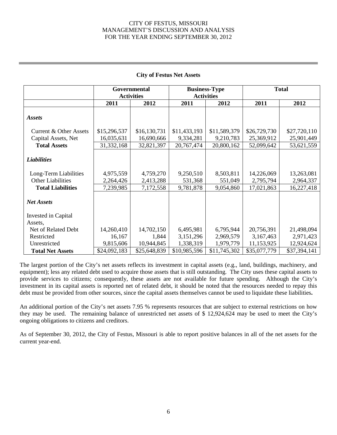|                          |              | Governmental      |              | <b>Business-Type</b> | <b>Total</b>             |              |  |  |  |
|--------------------------|--------------|-------------------|--------------|----------------------|--------------------------|--------------|--|--|--|
|                          |              | <b>Activities</b> |              | <b>Activities</b>    |                          |              |  |  |  |
|                          | 2011         | 2012              | 2011         | 2012                 | 2011                     | 2012         |  |  |  |
| <b>Assets</b>            |              |                   |              |                      |                          |              |  |  |  |
| Current & Other Assets   | \$15,296,537 | \$16,130,731      | \$11,433,193 | \$11,589,379         | \$26,729,730             | \$27,720,110 |  |  |  |
| Capital Assets, Net      | 16,035,631   | 16,690,666        | 9,334,281    | 9,210,783            | 25,369,912               | 25,901,449   |  |  |  |
| <b>Total Assets</b>      | 31, 332, 168 | 32,821,397        | 20,767,474   | 20,800,162           | 52,099,642               | 53,621,559   |  |  |  |
| <b>Liabilities</b>       |              |                   |              |                      |                          |              |  |  |  |
| Long-Term Liabilities    | 4,975,559    | 4,759,270         | 9,250,510    | 8,503,811            | 14,226,069               | 13,263,081   |  |  |  |
| <b>Other Liabilities</b> | 2,264,426    | 2,413,288         | 531,368      | 551,049              | 2,795,794                | 2,964,337    |  |  |  |
| <b>Total Liabilities</b> | 7,239,985    | 7,172,558         | 9,781,878    | 9,054,860            | 17,021,863               | 16,227,418   |  |  |  |
| <b>Net Assets</b>        |              |                   |              |                      |                          |              |  |  |  |
| Invested in Capital      |              |                   |              |                      |                          |              |  |  |  |
| Assets,                  |              |                   |              |                      |                          |              |  |  |  |
| Net of Related Debt      | 14,260,410   | 14,702,150        | 6,495,981    | 6,795,944            | 20,756,391               | 21,498,094   |  |  |  |
| Restricted               | 16,167       | 1,844             | 3,151,296    | 2,969,579            | 3,167,463                | 2,971,423    |  |  |  |
| Unrestricted             | 9,815,606    | 10,944,845        | 1,338,319    | 1,979,779            | 11,153,925<br>12,924,624 |              |  |  |  |
| <b>Total Net Assets</b>  | \$24,092,183 | \$25,648,839      | \$10,985,596 | \$11,745,302         | \$35,077,779             | \$37,394,141 |  |  |  |

### **City of Festus Net Assets**

The largest portion of the City's net assets reflects its investment in capital assets (e.g., land, buildings, machinery, and equipment); less any related debt used to acquire those assets that is still outstanding. The City uses these capital assets to provide services to citizens; consequently, these assets are not available for future spending. Although the City's investment in its capital assets is reported net of related debt, it should be noted that the resources needed to repay this debt must be provided from other sources, since the capital assets themselves cannot be used to liquidate these liabilities**.**

An additional portion of the City's net assets 7.95 % represents resources that are subject to external restrictions on how they may be used. The remaining balance of unrestricted net assets of \$ 12,924,624 may be used to meet the City's ongoing obligations to citizens and creditors.

As of September 30, 2012, the City of Festus, Missouri is able to report positive balances in all of the net assets for the current year-end.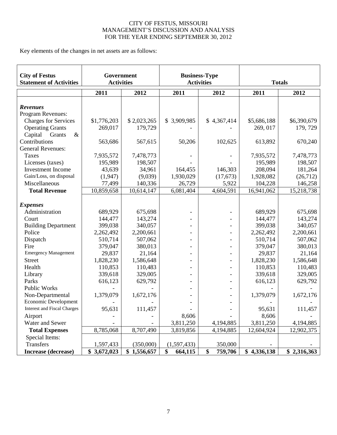Key elements of the changes in net assets are as follows:

| <b>City of Festus</b><br><b>Statement of Activities</b> | Government<br><b>Activities</b> |             |               | <b>Business-Type</b><br><b>Activities</b> | <b>Totals</b> |                         |  |  |
|---------------------------------------------------------|---------------------------------|-------------|---------------|-------------------------------------------|---------------|-------------------------|--|--|
|                                                         | 2011                            | 2012        | 2011          | 2012                                      | 2011          | 2012                    |  |  |
|                                                         |                                 |             |               |                                           |               |                         |  |  |
| <b>Revenues</b>                                         |                                 |             |               |                                           |               |                         |  |  |
| Program Revenues:                                       |                                 |             |               |                                           |               |                         |  |  |
| <b>Charges for Services</b>                             | \$1,776,203                     | \$2,023,265 | \$3,909,985   | \$4,367,414                               | \$5,686,188   | \$6,390,679             |  |  |
| <b>Operating Grants</b>                                 | 269,017                         | 179,729     |               |                                           | 269, 017      | 179, 729                |  |  |
| Capital<br>$\&$<br>Grants                               |                                 |             |               |                                           |               |                         |  |  |
| Contributions                                           | 563,686                         | 567,615     | 50,206        | 102,625                                   | 613,892       | 670,240                 |  |  |
| <b>General Revenues:</b>                                |                                 |             |               |                                           |               |                         |  |  |
| <b>Taxes</b>                                            | 7,935,572                       | 7,478,773   |               |                                           | 7,935,572     | 7,478,773               |  |  |
| Licenses (taxes)                                        | 195,989                         | 198,507     |               |                                           | 195,989       | 198,507                 |  |  |
| Investment Income                                       | 43,639                          | 34,961      | 164,455       | 146,303                                   | 208,094       | 181,264                 |  |  |
| Gain/Loss, on disposal                                  | (1,947)                         | (9,039)     | 1,930,029     | (17,673)                                  | 1,928,082     | (26, 712)               |  |  |
| Miscellaneous                                           | 77,499                          | 140,336     | 26,729        | 5,922                                     | 104,228       | 146,258                 |  |  |
| <b>Total Revenue</b>                                    | 10,859,658                      | 10,614,147  | 6,081,404     | 4,604,591                                 | 16,941,062    | 15,218,738              |  |  |
|                                                         |                                 |             |               |                                           |               |                         |  |  |
| <b>Expenses</b>                                         |                                 |             |               |                                           |               |                         |  |  |
| Administration                                          | 689,929                         | 675,698     |               |                                           | 689,929       | 675,698                 |  |  |
| Court                                                   | 144,477                         | 143,274     |               |                                           | 144,477       | 143,274                 |  |  |
| <b>Building Department</b>                              | 399,038                         | 340,057     |               |                                           | 399,038       | 340,057                 |  |  |
| Police                                                  | 2,262,492                       | 2,200,661   |               |                                           | 2,262,492     | 2,200,661               |  |  |
| Dispatch                                                | 510,714                         | 507,062     |               |                                           | 510,714       | 507,062                 |  |  |
| Fire                                                    | 379,047                         | 380,013     |               |                                           | 379,047       | 380,013                 |  |  |
| <b>Emergency Management</b>                             | 29,837                          | 21,164      |               |                                           | 29,837        | 21,164                  |  |  |
| <b>Street</b>                                           | 1,828,230                       | 1,586,648   |               |                                           | 1,828,230     | 1,586,648               |  |  |
| Health                                                  | 110,853                         | 110,483     |               |                                           | 110,853       | 110,483                 |  |  |
| Library                                                 | 339,618                         | 329,005     |               |                                           | 339,618       | 329,005                 |  |  |
| Parks                                                   | 616,123                         | 629,792     |               |                                           | 616,123       | 629,792                 |  |  |
| Public Works                                            |                                 |             |               |                                           |               |                         |  |  |
| Non-Departmental                                        | 1,379,079                       | 1,672,176   |               |                                           | 1,379,079     | 1,672,176               |  |  |
| Economic Development                                    |                                 |             |               |                                           |               |                         |  |  |
| <b>Interest and Fiscal Charges</b>                      | 95,631                          | 111,457     |               |                                           | 95,631        | 111,457                 |  |  |
| Airport                                                 |                                 |             | 8,606         |                                           | 8,606         |                         |  |  |
| Water and Sewer                                         |                                 |             | 3,811,250     | 4,194,885                                 | 3,811,250     | 4,194,885               |  |  |
| <b>Total Expenses</b>                                   | 8,785,068                       | 8,707,490   | 3,819,856     | 4,194,885                                 | 12,604,924    | $\overline{12,902,375}$ |  |  |
| Special Items:                                          |                                 |             |               |                                           |               |                         |  |  |
| Transfers                                               | 1,597,433                       | (350,000)   | (1,597,433)   | 350,000                                   |               |                         |  |  |
| Increase (decrease)                                     | \$3,672,023                     | \$1,556,657 | \$<br>664,115 | \$<br>759,706                             | \$4,336,138   | \$2,316,363             |  |  |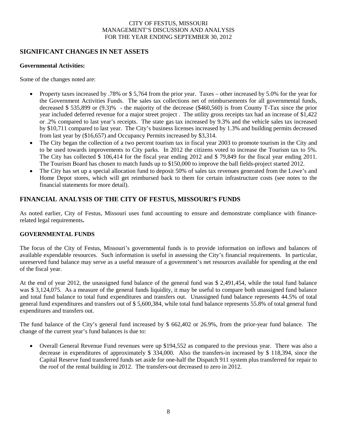## **SIGNIFICANT CHANGES IN NET ASSETS**

## **Governmental Activities:**

Some of the changes noted are:

- Property taxes increased by .78% or \$ 5,764 from the prior year. Taxes other increased by 5.0% for the year for the Government Activities Funds. The sales tax collections net of reimbursements for all governmental funds, decreased \$ 535,899 or (9.3)% - the majority of the decrease (\$460,560) is from County T-Tax since the prior year included deferred revenue for a major street project . The utility gross receipts tax had an increase of \$1,422 or .2% compared to last year's receipts. The state gas tax increased by 9.3% and the vehicle sales tax increased by \$10,711 compared to last year. The City's business licenses increased by 1.3% and building permits decreased from last year by (\$16,657) and Occupancy Permits increased by \$3,314.
- The City began the collection of a two percent tourism tax in fiscal year 2003 to promote tourism in the City and to be used towards improvements to City parks. In 2012 the citizens voted to increase the Tourism tax to 5%. The City has collected \$ 106,414 for the fiscal year ending 2012 and \$ 79,849 for the fiscal year ending 2011. The Tourism Board has chosen to match funds up to \$150,000 to improve the ball fields-project started 2012.
- The City has set up a special allocation fund to deposit 50% of sales tax revenues generated from the Lowe's and Home Depot stores, which will get reimbursed back to them for certain infrastructure costs (see notes to the financial statements for more detail).

## **FINANCIAL ANALYSIS OF THE CITY OF FESTUS, MISSOURI'S FUNDS**

As noted earlier, City of Festus, Missouri uses fund accounting to ensure and demonstrate compliance with financerelated legal requirements**.** 

## **GOVERNMENTAL FUNDS**

The focus of the City of Festus, Missouri's governmental funds is to provide information on inflows and balances of available expendable resources. Such information is useful in assessing the City's financial requirements. In particular, unreserved fund balance may serve as a useful measure of a government's net resources available for spending at the end of the fiscal year.

At the end of year 2012, the unassigned fund balance of the general fund was \$ 2,491,454, while the total fund balance was \$3,124,075. As a measure of the general funds liquidity, it may be useful to compare both unassigned fund balance and total fund balance to total fund expenditures and transfers out. Unassigned fund balance represents 44.5% of total general fund expenditures and transfers out of \$ 5,600,384, while total fund balance represents 55.8% of total general fund expenditures and transfers out.

The fund balance of the City's general fund increased by \$ 662,402 or 26.9%, from the prior-year fund balance. The change of the current year's fund balances is due to:

• Overall General Revenue Fund revenues were up \$194,552 as compared to the previous year. There was also a decrease in expenditures of approximately \$ 334,000. Also the transfers-in increased by \$ 118,394, since the Capital Reserve fund transferred funds set aside for one-half the Dispatch 911 system plus transferred for repair to the roof of the rental building in 2012. The transfers-out decreased to zero in 2012.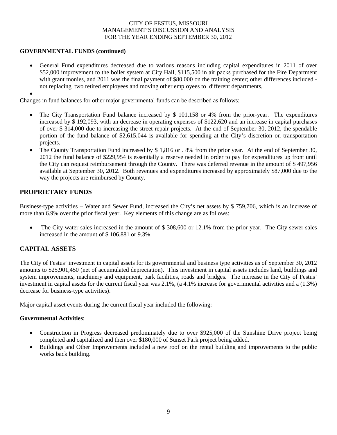## **GOVERNMENTAL FUNDS (continued)**

• General Fund expenditures decreased due to various reasons including capital expenditures in 2011 of over \$52,000 improvement to the boiler system at City Hall, \$115,500 in air packs purchased for the Fire Department with grant monies, and 2011 was the final payment of \$80,000 on the training center; other differences included not replacing two retired employees and moving other employees to different departments,

• Changes in fund balances for other major governmental funds can be described as follows:

- The City Transportation Fund balance increased by \$ 101,158 or 4% from the prior-year. The expenditures increased by \$ 192,093, with an decrease in operating expenses of \$122,620 and an increase in capital purchases of over \$ 314,000 due to increasing the street repair projects. At the end of September 30, 2012, the spendable portion of the fund balance of \$2,615,044 is available for spending at the City's discretion on transportation projects.
- The County Transportation Fund increased by \$1,816 or . 8% from the prior year. At the end of September 30, 2012 the fund balance of \$229,954 is essentially a reserve needed in order to pay for expenditures up front until the City can request reimbursement through the County. There was deferred revenue in the amount of \$ 497,956 available at September 30, 2012. Both revenues and expenditures increased by approximately \$87,000 due to the way the projects are reimbursed by County.

## **PROPRIETARY FUNDS**

Business-type activities – Water and Sewer Fund, increased the City's net assets by \$ 759,706, which is an increase of more than 6.9% over the prior fiscal year. Key elements of this change are as follows:

• The City water sales increased in the amount of \$308,600 or 12.1% from the prior year. The City sewer sales increased in the amount of \$ 106,881 or 9.3%.

## **CAPITAL ASSETS**

The City of Festus' investment in capital assets for its governmental and business type activities as of September 30, 2012 amounts to \$25,901,450 (net of accumulated depreciation). This investment in capital assets includes land, buildings and system improvements, machinery and equipment, park facilities, roads and bridges. The increase in the City of Festus' investment in capital assets for the current fiscal year was 2.1%, (a 4.1% increase for governmental activities and a (1.3%) decrease for business-type activities).

Major capital asset events during the current fiscal year included the following:

## **Governmental Activities**:

- Construction in Progress decreased predominately due to over \$925,000 of the Sunshine Drive project being completed and capitalized and then over \$180,000 of Sunset Park project being added.
- Buildings and Other Improvements included a new roof on the rental building and improvements to the public works back building.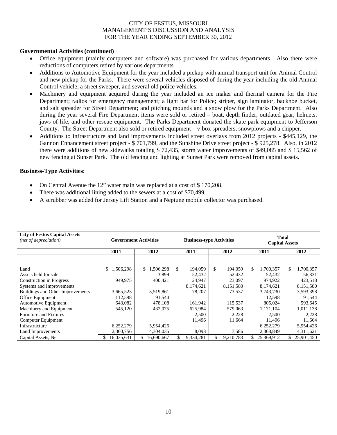## **Governmental Activities (continued)**

- Office equipment (mainly computers and software) was purchased for various departments. Also there were reductions of computers retired by various departments.
- Additions to Automotive Equipment for the year included a pickup with animal transport unit for Animal Control and new pickup for the Parks. There were several vehicles disposed of during the year including the old Animal Control vehicle, a street sweeper, and several old police vehicles.
- Machinery and equipment acquired during the year included an ice maker and thermal camera for the Fire Department; radios for emergency management; a light bar for Police; striper, sign laminator, backhoe bucket, and salt spreader for Street Department; and pitching mounds and a snow plow for the Parks Department. Also during the year several Fire Department items were sold or retired – boat, depth finder, outdated gear, helmets, jaws of life, and other rescue equipment. The Parks Department donated the skate park equipment to Jefferson County. The Street Department also sold or retired equipment – v-box spreaders, snowplows and a chipper.
- Additions to infrastructure and land improvements included street overlays from 2012 projects \$445,129, the Gannon Enhancement street project - \$ 701,799, and the Sunshine Drive street project - \$ 925,278. Also, in 2012 there were additions of new sidewalks totaling \$ 72,435, storm water improvements of \$49,085 and \$ 15,562 of new fencing at Sunset Park. The old fencing and lighting at Sunset Park were removed from capital assets.

### **Business-Type Activities**:

- On Central Avenue the 12" water main was replaced at a cost of \$170,208.
- There was additional lining added to the sewers at a cost of \$70,499.
- A scrubber was added for Jersey Lift Station and a Neptune mobile collector was purchased.

| <b>City of Festus Capital Assets</b><br>(net of depreciation) |                 | <b>Government Activities</b> |     | <b>Business-type Activities</b> |               | <b>Total</b><br><b>Capital Assets</b> |            |      |            |
|---------------------------------------------------------------|-----------------|------------------------------|-----|---------------------------------|---------------|---------------------------------------|------------|------|------------|
|                                                               | 2011            | 2012                         |     | 2011                            | 2012          |                                       | 2011       | 2012 |            |
|                                                               |                 |                              |     |                                 |               |                                       |            |      |            |
| Land                                                          | 1,506,298<br>\$ | 1,506,298<br>\$              | \$. | 194,059                         | \$<br>194,059 | \$                                    | 1,700,357  | \$.  | 1,700,357  |
| Assets held for sale                                          |                 | 3,899                        |     | 52,432                          | 52,432        |                                       | 52,432     |      | 56,331     |
| <b>Construction in Progress</b>                               | 949,975         | 400,421                      |     | 24,947                          | 23,097        |                                       | 974.922    |      | 423,518    |
| Systems and Improvements                                      |                 |                              |     | 8,174,621                       | 8,151,580     |                                       | 8,174,621  |      | 8,151,580  |
| Buildings and Other Improvements                              | 3,665,523       | 3,519,861                    |     | 78,207                          | 73,537        |                                       | 3,743,730  |      | 3,593,398  |
| Office Equipment                                              | 112,598         | 91,544                       |     |                                 |               |                                       | 112,598    |      | 91,544     |
| Automotive Equipment                                          | 643,082         | 478,108                      |     | 161,942                         | 115,537       |                                       | 805,024    |      | 593,645    |
| Machinery and Equipment                                       | 545,120         | 432,075                      |     | 625,984                         | 579,063       |                                       | 1,171,104  |      | 1,011,138  |
| <b>Furniture and Fixtures</b>                                 |                 |                              |     | 2,500                           | 2,228         |                                       | 2,500      |      | 2.228      |
| Computer Equipment                                            |                 |                              |     | 11,496                          | 11,664        |                                       | 11,496     |      | 11,664     |
| Infrastructure                                                | 6,252,279       | 5,954,426                    |     |                                 |               |                                       | 6,252,279  |      | 5,954,426  |
| Land Improvements                                             | 2,360,756       | 4,304,035                    |     | 8,093                           | 7,586         |                                       | 2,368,849  |      | 4,311,621  |
| Capital Assets, Net                                           | 16,035,631      | 16,690,667                   |     | 9,334,281                       | 9,210,783     |                                       | 25,369,912 | \$   | 25,901,450 |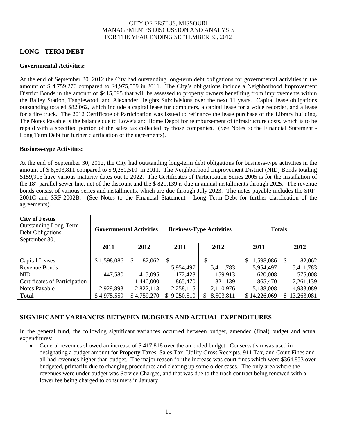## **LONG - TERM DEBT**

## **Governmental Activities:**

At the end of September 30, 2012 the City had outstanding long-term debt obligations for governmental activities in the amount of \$ 4,759,270 compared to \$4,975,559 in 2011. The City's obligations include a Neighborhood Improvement District Bonds in the amount of \$415,095 that will be assessed to property owners benefiting from improvements within the Bailey Station, Tanglewood, and Alexander Heights Subdivisions over the next 11 years. Capital lease obligations outstanding totaled \$82,062, which include a capital lease for computers, a capital lease for a voice recorder, and a lease for a fire truck. The 2012 Certificate of Participation was issued to refinance the lease purchase of the Library building. The Notes Payable is the balance due to Lowe's and Home Depot for reimbursement of infrastructure costs, which is to be repaid with a specified portion of the sales tax collected by those companies. (See Notes to the Financial Statement - Long Term Debt for further clarification of the agreements).

## **Business-type Activities:**

At the end of September 30, 2012, the City had outstanding long-term debt obligations for business-type activities in the amount of \$ 8,503,811 compared to \$ 9,250,510 in 2011. The Neighborhood Improvement District (NID) Bonds totaling \$159,913 have various maturity dates out to 2022. The Certificates of Participation Series 2005 is for the installation of the 18" parallel sewer line, net of the discount and the \$ 821,139 is due in annual installments through 2025. The revenue bonds consist of various series and installments, which are due through July 2023. The notes payable includes the SRF-2001C and SRF-2002B. (See Notes to the Financial Statement - Long Term Debt for further clarification of the agreements).

| <b>City of Festus</b><br><b>Outstanding Long-Term</b><br>Debt Obligations<br>September 30, |             | <b>Governmental Activities</b> |                                      | <b>Business-Type Activities</b>             | <b>Totals</b>                |                           |  |  |  |  |
|--------------------------------------------------------------------------------------------|-------------|--------------------------------|--------------------------------------|---------------------------------------------|------------------------------|---------------------------|--|--|--|--|
|                                                                                            | 2011        | 2012                           | 2011                                 | 2012                                        | 2011                         | 2012                      |  |  |  |  |
| Capital Leases<br>Revenue Bonds                                                            | \$1,598,086 | \$<br>82,062                   | \$<br>$\qquad \qquad -$<br>5,954,497 | -S<br>$\overline{\phantom{0}}$<br>5,411,783 | 1,598,086<br>\$<br>5,954,497 | 82,062<br>\$<br>5,411,783 |  |  |  |  |
| <b>NID</b>                                                                                 | 447,580     | 415,095                        | 172,428                              | 159,913                                     | 620,008                      | 575,008                   |  |  |  |  |
| Certificates of Participation                                                              |             | 1,440,000                      | 865,470                              | 821,139                                     | 865,470                      | 2,261,139                 |  |  |  |  |
| Notes Payable                                                                              | 2,929,893   | 2,822,113                      | 2,258,115                            | 2,110,976                                   | 5,188,008                    | 4,933,089                 |  |  |  |  |
| <b>Total</b>                                                                               | \$4,975,559 | \$4,759,270                    | \$9,250,510                          | 8,503,811<br>S                              | \$14,226,069                 | 13,263,081                |  |  |  |  |

## **SIGNIFICANT VARIANCES BETWEEN BUDGETS AND ACTUAL EXPENDITURES**

In the general fund, the following significant variances occurred between budget, amended (final) budget and actual expenditures:

• General revenues showed an increase of \$417,818 over the amended budget. Conservatism was used in designating a budget amount for Property Taxes, Sales Tax, Utility Gross Receipts, 911 Tax, and Court Fines and all had revenues higher than budget. The major reason for the increase was court fines which were \$364,853 over budgeted, primarily due to changing procedures and clearing up some older cases. The only area where the revenues were under budget was Service Charges, and that was due to the trash contract being renewed with a lower fee being charged to consumers in January.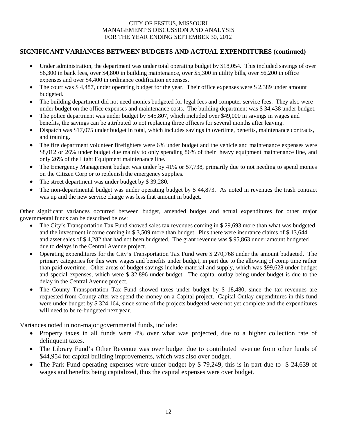## **SIGNIFICANT VARIANCES BETWEEN BUDGETS AND ACTUAL EXPENDITURES (continued)**

- Under administration, the department was under total operating budget by \$18,054. This included savings of over \$6,300 in bank fees, over \$4,800 in building maintenance, over \$5,300 in utility bills, over \$6,200 in office expenses and over \$4,400 in ordinance codification expenses.
- The court was \$4,487, under operating budget for the year. Their office expenses were \$2,389 under amount budgeted.
- The building department did not need monies budgeted for legal fees and computer service fees. They also were under budget on the office expenses and maintenance costs. The building department was \$ 34,438 under budget.
- The police department was under budget by \$45,807, which included over \$49,000 in savings in wages and benefits, the savings can be attributed to not replacing three officers for several months after leaving.
- Dispatch was \$17,075 under budget in total, which includes savings in overtime, benefits, maintenance contracts, and training.
- The fire department volunteer firefighters were 6% under budget and the vehicle and maintenance expenses were \$8,012 or 26% under budget due mainly to only spending 86% of their heavy equipment maintenance line, and only 26% of the Light Equipment maintenance line.
- The Emergency Management budget was under by 41% or \$7,738, primarily due to not needing to spend monies on the Citizen Corp or to replenish the emergency supplies.
- The street department was under budget by \$ 39,280.
- The non-departmental budget was under operating budget by \$44,873. As noted in revenues the trash contract was up and the new service charge was less that amount in budget.

Other significant variances occurred between budget, amended budget and actual expenditures for other major governmental funds can be described below:

- The City's Transportation Tax Fund showed sales tax revenues coming in \$ 29,693 more than what was budgeted and the investment income coming in \$ 3,509 more than budget. Plus there were insurance claims of \$ 13,644 and asset sales of \$ 4,282 that had not been budgeted. The grant revenue was \$ 95,863 under amount budgeted due to delays in the Central Avenue project.
- Operating expenditures for the City's Transportation Tax Fund were \$ 270,768 under the amount budgeted. The primary categories for this were wages and benefits under budget, in part due to the allowing of comp time rather than paid overtime. Other areas of budget savings include material and supply, which was \$99,628 under budget and special expenses, which were \$ 32,896 under budget. The capital outlay being under budget is due to the delay in the Central Avenue project.
- The County Transportation Tax Fund showed taxes under budget by \$ 18,480, since the tax revenues are requested from County after we spend the money on a Capital project. Capital Outlay expenditures in this fund were under budget by \$ 324,164, since some of the projects budgeted were not yet complete and the expenditures will need to be re-budgeted next year.

Variances noted in non-major governmental funds, include:

- Property taxes in all funds were 4% over what was projected, due to a higher collection rate of delinquent taxes.
- The Library Fund's Other Revenue was over budget due to contributed revenue from other funds of \$44,954 for capital building improvements, which was also over budget.
- The Park Fund operating expenses were under budget by \$79,249, this is in part due to \$24,639 of wages and benefits being capitalized, thus the capital expenses were over budget.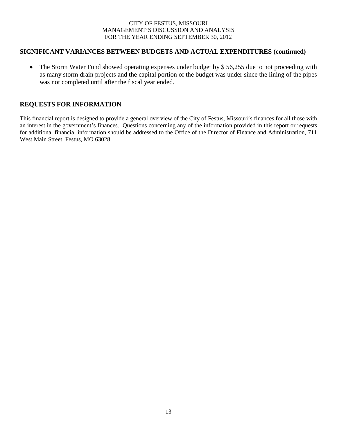## **SIGNIFICANT VARIANCES BETWEEN BUDGETS AND ACTUAL EXPENDITURES (continued)**

• The Storm Water Fund showed operating expenses under budget by \$56,255 due to not proceeding with as many storm drain projects and the capital portion of the budget was under since the lining of the pipes was not completed until after the fiscal year ended.

## **REQUESTS FOR INFORMATION**

This financial report is designed to provide a general overview of the City of Festus, Missouri's finances for all those with an interest in the government's finances. Questions concerning any of the information provided in this report or requests for additional financial information should be addressed to the Office of the Director of Finance and Administration, 711 West Main Street, Festus, MO 63028.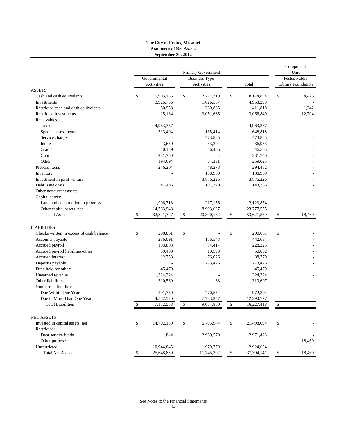### **The City of Festus, Missouri Statement of Net Assets September 30, 2012**

|                                          |                  |                         | Primary Government   |               |            |               | Component<br>Unit    |
|------------------------------------------|------------------|-------------------------|----------------------|---------------|------------|---------------|----------------------|
|                                          | Governmental     |                         | <b>Business Type</b> |               |            |               | <b>Festus Public</b> |
| <b>ASSETS</b>                            | Activities       | Activities              |                      | Total         |            |               | Library Foundation   |
| Cash and cash equivalents                | \$<br>5,903,135  | \$                      | 2,271,719            | \$            | 8,174,854  | \$            | 4,423                |
| Investments                              | 3,926,736        |                         | 1,026,557            |               | 4,953,293  |               |                      |
| Restricted cash and cash equivalents     | 50,953           |                         | 360,865              |               | 411,818    |               | 1,342                |
| Restricted investments                   | 15,184           |                         | 3,051,665            |               | 3,066,849  |               | 12,704               |
| Receivables, net                         |                  |                         |                      |               |            |               |                      |
| Taxes                                    | 4,963,357        |                         |                      |               | 4,963,357  |               |                      |
| Special assessments                      | 513,404          |                         | 135,414              |               | 648,818    |               |                      |
| Service charges                          |                  |                         | 473,885              |               | 473,885    |               |                      |
| Interest                                 | 3,659            |                         | 33,294               |               | 36,953     |               |                      |
| Grants                                   | 40,159           |                         | 6,406                |               | 46,565     |               |                      |
| Court                                    | 231,750          |                         |                      |               | 231,750    |               |                      |
| Other                                    | 194,694          |                         | 64,331               |               | 259,025    |               |                      |
| Prepaid items                            | 246,204          |                         | 48,278               |               | 294,482    |               |                      |
| Inventory                                |                  |                         | 138,969              |               | 138,969    |               |                      |
| Investment in joint venture              |                  |                         | 3,876,226            |               | 3,876,226  |               |                      |
| Debt issue costs                         | 41,496           |                         | 101,770              |               | 143,266    |               |                      |
| Other noncurrent assets                  |                  |                         |                      |               |            |               |                      |
| Capital assets:                          |                  |                         |                      |               |            |               |                      |
| Land and construction in progress        | 1,906,718        |                         | 217,156              |               | 2,123,874  |               |                      |
| Other capital assets, net                | 14,783,948       |                         | 8,993,627            |               | 23,777,575 |               |                      |
| <b>Total Assets</b>                      | \$<br>32,821,397 | $\sqrt[6]{\frac{1}{2}}$ | 20,800,162           | \$            | 53,621,559 | $\$\,$        | 18,469               |
|                                          |                  |                         |                      |               |            |               |                      |
| <b>LIABILITIES</b>                       |                  |                         |                      |               |            |               |                      |
| Checks written in excess of cash balance | \$<br>200,861    | \$                      |                      | \$            | 200,861    | \$            |                      |
| Accounts payable                         | 286,091          |                         | 156,543              |               | 442,634    |               |                      |
| Accrued payroll                          | 193,808          |                         | 34,417               |               | 228,225    |               |                      |
| Accrued payroll liabilities-other        | 39,403           |                         | 10,599               |               | 50,002     |               |                      |
| Accrued interest                         | 12,753           |                         | 76,026               |               | 88,779     |               |                      |
| Deposits payable                         |                  |                         | 273,426              |               | 273,426    |               |                      |
| Fund held for others                     | 45,479           |                         |                      |               | 45,479     |               |                      |
| Unearned revenue                         | 1,324,324        |                         |                      |               | 1,324,324  |               |                      |
| Other liabilities                        | 310,569          |                         | 38                   |               | 310,607    |               |                      |
| Noncurrent liabilities:                  |                  |                         |                      |               |            |               |                      |
| Due Within One Year                      | 201,750          |                         | 770,554              |               | 972,304    |               |                      |
| Due in More Than One Year                | 4,557,520        |                         | 7,733,257            |               | 12,290,777 |               |                      |
| <b>Total Liabilities</b>                 | \$<br>7,172,558  | \$                      | 9,054,860            | \$            | 16,227,418 | \$            |                      |
|                                          |                  |                         |                      |               |            |               |                      |
| <b>NET ASSETS</b>                        |                  |                         |                      |               |            |               |                      |
| Invested in capital assets, net          | \$<br>14,702,150 | \$                      | 6,795,944            | \$            | 21,498,094 | \$            |                      |
| Restricted:                              |                  |                         |                      |               |            |               |                      |
| Debt service funds                       | 1,844            |                         | 2,969,579            |               | 2,971,423  |               |                      |
| Other purposes                           |                  |                         |                      |               |            |               | 18,469               |
| Unrestricted                             | 10,944,845       |                         | 1,979,779            |               | 12,924,624 |               |                      |
| <b>Total Net Assets</b>                  | 25,648,839       |                         | 11,745,302           | $\sqrt[6]{3}$ | 37,394,141 | $\sqrt[6]{3}$ | 18,469               |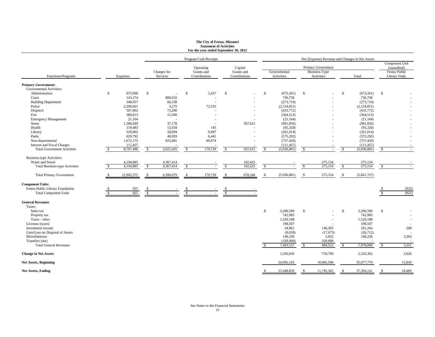|                                                                                                                            |               |                                                      |                                |                                      |     | Statement of Activities<br>For the year ended September 30, 2012 |               |                                        |                                                 |                                                                 |                                                                   |                              |              |                                                                    |                                                                        |                                                    |
|----------------------------------------------------------------------------------------------------------------------------|---------------|------------------------------------------------------|--------------------------------|--------------------------------------|-----|------------------------------------------------------------------|---------------|----------------------------------------|-------------------------------------------------|-----------------------------------------------------------------|-------------------------------------------------------------------|------------------------------|--------------|--------------------------------------------------------------------|------------------------------------------------------------------------|----------------------------------------------------|
|                                                                                                                            |               |                                                      |                                |                                      |     | Program Cash Receipts                                            |               |                                        | Net (Expense) Revenue and Changes in Net Assets |                                                                 |                                                                   |                              |              |                                                                    |                                                                        |                                                    |
| Functions/Programs                                                                                                         |               |                                                      |                                | Charges for<br>Services              |     | Operating<br>Grants and<br>Contributions                         |               | Capital<br>Grants and<br>Contributions |                                                 | Governmental<br>Activities                                      | Primary Government<br><b>Business-Type</b><br>Activities<br>Total |                              |              |                                                                    | Component Unit<br>(unaudited)<br><b>Festus Public</b><br>Library Fndn. |                                                    |
|                                                                                                                            |               | Expenses                                             |                                |                                      |     |                                                                  |               |                                        |                                                 |                                                                 |                                                                   |                              |              |                                                                    |                                                                        |                                                    |
| <b>Primary Government:</b><br>Governmental Activities:<br>Administration<br>Court                                          | $\mathbb{S}$  | 675,698<br>143,274                                   | $\mathbb{S}$                   | $\overline{\phantom{a}}$<br>880,032  | \$  | 2,437                                                            | $\mathcal{S}$ |                                        | $\mathbb{S}$                                    | (673, 261)<br>736,758                                           | <sup>S</sup>                                                      |                              | $\mathbb{S}$ | (673, 261)<br>736,758                                              | \$                                                                     |                                                    |
| <b>Building Department</b><br>Police<br>Dispatch<br>Fire                                                                   |               | 340,057<br>2,200,661<br>507,062<br>380,013           |                                | 66,338<br>3,275<br>73,290<br>15,500  |     | 72,535                                                           |               |                                        |                                                 | (273, 719)<br>(2,124,851)<br>(433,772)<br>(364, 513)            |                                                                   |                              |              | (273, 719)<br>(2,124,851)<br>(433, 772)<br>(364, 513)              |                                                                        |                                                    |
| <b>Emergency Management</b><br>Street<br>Health<br>Library<br>Parks                                                        |               | 21,164<br>1,586,649<br>110,483<br>329,005<br>629,792 |                                | 37,178<br>15,018<br>58,894<br>48,059 |     | 145<br>9,097<br>6,441                                            |               | 567,615                                |                                                 | (21, 164)<br>(981, 856)<br>(95,320)<br>(261, 014)<br>(575, 292) |                                                                   |                              |              | (21, 164)<br>(981, 856)<br>(95,320)<br>(261, 014)<br>(575, 292)    |                                                                        | $\sim$                                             |
| Non-departmental<br><b>Interest and Fiscal Charges</b><br><b>Total Government Activities</b>                               | <sup>\$</sup> | 1,672,175<br>111,457<br>8,707,490                    | \$                             | 825,681<br>2,023,265                 | S.  | 89,074<br>179,729                                                | <sup>\$</sup> | 567,615                                | -S                                              | (757, 420)<br>(111, 457)<br>(5,936,881)                         | -S                                                                | $\sim$                       | \$           | (757, 420)<br>(111, 457)<br>(5,936,881)                            | -S                                                                     | $\sim$                                             |
| <b>Business-type Activities:</b><br>Water and Sewer<br>Total Business-type Activities                                      |               | 4,194,885<br>4,194,885                               | <sup>\$</sup>                  | 4,367,414<br>4,367,414               | -\$ |                                                                  | <sup>\$</sup> | 102,625<br>102,625                     | -S                                              |                                                                 | -S                                                                | 275,154<br>275,154           | \$           | 275,154<br>275,154                                                 | -S                                                                     | $\sim$                                             |
| <b>Total Primary Government</b>                                                                                            | <sup>S</sup>  | 12,902,375                                           | \$                             | 6,390,679                            | -S  | 179,729                                                          | - \$          | 670,240                                | \$                                              | (5,936,881)                                                     | -\$                                                               | 275,154                      | \$           | (5,661,727)                                                        |                                                                        |                                                    |
| <b>Component Units:</b><br>Festus Public Library Foundation<br><b>Total Component Units</b>                                | <sup>\$</sup> | 925<br>925                                           | -S<br>$\overline{\mathcal{S}}$ |                                      | S   |                                                                  |               |                                        |                                                 |                                                                 |                                                                   |                              |              |                                                                    | -S                                                                     | (925)<br>(925)                                     |
| <b>General Revenues</b><br>Taxes:<br>Sales tax                                                                             |               |                                                      |                                |                                      |     |                                                                  |               |                                        | $\mathbb{S}$                                    | 5,206,599                                                       | S.                                                                |                              | \$           | 5,206,599                                                          | $\mathbb{S}$                                                           |                                                    |
| Property tax<br>Taxes - other<br>Licenses (taxes)<br>Investment income<br>Gain/Loss on Disposal of Assets<br>Miscellaneous |               |                                                      |                                |                                      |     |                                                                  |               |                                        |                                                 | 742,985<br>1,529,188<br>198,507<br>34,961<br>(9,039)<br>140,336 |                                                                   | 146,303<br>(17,673)<br>5,922 |              | 742,985<br>1,529,188<br>198,507<br>181,264<br>(26, 712)<br>146,258 |                                                                        | $\sim$<br>$\overline{\phantom{a}}$<br>288<br>3,263 |
| Transfers (net)<br><b>Total General Revenues</b>                                                                           |               |                                                      |                                |                                      |     |                                                                  |               |                                        | -S                                              | (350,000)<br>7,493,537                                          |                                                                   | 350,000<br>484,552           |              | 7,978,089                                                          | -S                                                                     | 3,551                                              |
| <b>Change in Net Assets</b>                                                                                                |               |                                                      |                                |                                      |     |                                                                  |               |                                        |                                                 | 1,556,656                                                       |                                                                   | 759,706                      |              | 2,316,362                                                          |                                                                        | 2,626                                              |
| <b>Net Assets, Beginning</b>                                                                                               |               |                                                      |                                |                                      |     |                                                                  |               |                                        |                                                 | 24,092,183                                                      |                                                                   | 10,985,596                   |              | 35,077,779                                                         |                                                                        | 15,843                                             |
| <b>Net Assets, Ending</b>                                                                                                  |               |                                                      |                                |                                      |     |                                                                  |               |                                        | -S                                              | 25,648,839                                                      |                                                                   | 11,745,302                   |              | 37,394,141                                                         |                                                                        | 18,469                                             |

## **The City of Festus, Missouri Statement of Activities**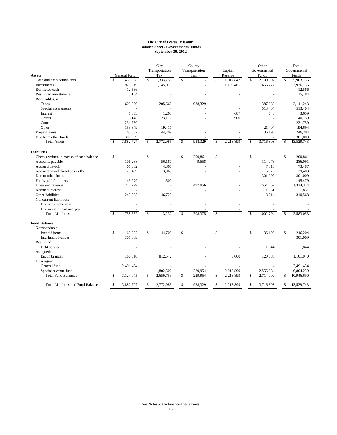#### **The City of Festus, Missouri Balance Sheet - Governmental Funds September 30, 2012**

|                                                       | General Fund  |           |             | City<br>Transportation |            | County<br>Transportation |               | Capital   |               | Other<br>Governmental | Total<br>Governmental |            |
|-------------------------------------------------------|---------------|-----------|-------------|------------------------|------------|--------------------------|---------------|-----------|---------------|-----------------------|-----------------------|------------|
| <b>Assets</b>                                         |               |           |             | Tax                    |            | Tax                      |               | Reserve   |               | Funds                 |                       | Funds      |
| Cash and cash equivalents                             | \$            | 1,450,538 | \$.         | 1,333,753              | \$         |                          | $\mathsf{\$}$ | 1,017,847 | $\mathbb{S}$  | 2,100,997             | $\mathbb{S}$          | 5,903,135  |
| Investments                                           |               | 925,919   |             | 1,145,075              |            |                          |               | 1,199,465 |               | 656,277               |                       | 3,926,736  |
| Restricted cash                                       |               | 12,566    |             |                        |            |                          |               |           |               |                       |                       | 12,566     |
| Restricted investments                                |               | 15,184    |             |                        |            |                          |               |           |               |                       |                       | 15,184     |
| Receivables, net                                      |               |           |             |                        |            |                          |               |           |               |                       |                       |            |
| Taxes                                                 |               | 609,369   |             | 205,663                |            | 938,329                  |               |           |               | 387,882               |                       | 2.141.243  |
| Special assessments                                   |               |           |             |                        |            |                          |               |           |               | 513,404               |                       | 513,404    |
| Interest                                              |               | 1,063     |             | 1,263                  |            |                          |               | 687       |               | 646                   |                       | 3,659      |
| Grants                                                |               | 16,148    |             | 23,111                 |            |                          |               | 900       |               |                       |                       | 40,159     |
| Court                                                 |               | 231,750   |             |                        |            |                          |               |           |               |                       |                       | 231,750    |
| Other                                                 |               | 153,879   |             | 19,411                 |            |                          |               |           |               | 21,404                |                       | 194,694    |
| Prepaid items                                         |               | 165,302   |             | 44,709                 |            |                          |               |           |               | 36,193                |                       | 246,204    |
| Due from other funds                                  |               | 301,009   |             |                        |            |                          |               |           |               |                       |                       | 301,009    |
| <b>Total Assets</b>                                   |               | 3,882,727 | S           | 2,772,985              | $\sqrt{2}$ | 938,329                  | \$            | 2,218,899 | $\mathcal{S}$ | 3,716,803             | <sup>\$</sup>         | 13,529,743 |
|                                                       |               |           |             |                        |            |                          |               |           |               |                       |                       |            |
| <b>Liabilities</b>                                    |               |           |             |                        |            |                          |               |           |               |                       |                       |            |
| Checks written in excess of cash balance              | \$            |           | \$          | L.                     | \$         | 200,861                  | \$            |           | \$            | J.                    | \$                    | 200,861    |
| Accounts payable                                      |               | 106,288   |             | 56,167                 |            | 9,558                    |               |           |               | 114,078               |                       | 286,091    |
| Accrued payroll                                       |               | 61,302    |             | 4,867                  |            |                          |               |           |               | 7,318                 |                       | 73,487     |
| Accrued payroll liabilities - other                   |               | 29,459    |             | 3,969                  |            |                          |               |           |               | 5,975                 |                       | 39,403     |
| Due to other funds                                    |               |           |             | L.                     |            |                          |               |           |               | 301,009               |                       | 301,009    |
| Funds held for others                                 |               | 43,979    |             | 1,500                  |            |                          |               |           |               |                       |                       | 45,479     |
| Unearned revenue                                      |               | 272,299   |             | ä,                     |            | 497,956                  |               |           |               | 554,069               |                       | 1,324,324  |
| Accrued interest                                      |               |           |             |                        |            |                          |               |           |               | 1,831                 |                       | 1,831      |
| Other liabilities                                     |               | 245,325   |             | 46,729                 |            |                          |               |           |               | 18,514                |                       | 310,568    |
| Noncurrent liabilities:                               |               |           |             |                        |            |                          |               |           |               |                       |                       |            |
| Due within one year                                   |               |           |             |                        |            |                          |               |           |               |                       |                       |            |
|                                                       |               |           |             |                        |            |                          |               |           |               |                       |                       |            |
| Due in more than one year<br><b>Total Liabilities</b> | <sup>\$</sup> | 758.652   | $\mathbf S$ | 113.232                | $\sqrt{3}$ | 708,375                  | $\mathbb{S}$  |           | $\mathbb{S}$  | 1.002.794             | $\mathbf{\hat{S}}$    | 2,583,053  |
|                                                       |               |           |             |                        |            |                          |               | $\sim$    |               |                       |                       |            |
| <b>Fund Balance</b>                                   |               |           |             |                        |            |                          |               |           |               |                       |                       |            |
| Nonspendable:                                         |               |           |             |                        |            |                          |               |           |               |                       |                       |            |
| Prepaid items                                         | $\mathbf S$   | 165.302   | \$          | 44,709                 | \$         |                          | \$            |           | \$            | 36.193                | $\mathbb{S}$          | 246.204    |
| Interfund advances                                    |               | 301,009   |             |                        |            |                          |               |           |               | J.                    |                       | 301,009    |
| Restricted:                                           |               |           |             |                        |            |                          |               |           |               |                       |                       |            |
| Debt service                                          |               |           |             |                        |            |                          |               |           |               | 1,844                 |                       | 1,844      |
| Assigned:                                             |               |           |             |                        |            |                          |               |           |               |                       |                       |            |
| Encumbrances                                          |               | 166,310   |             | 812,542                |            |                          |               | 3,000     |               | 120,088               |                       | 1,101,940  |
|                                                       |               |           |             |                        |            |                          |               |           |               |                       |                       |            |
| Unassigned:<br>General fund                           |               |           |             |                        |            |                          |               |           |               |                       |                       |            |
|                                                       |               | 2,491,454 |             |                        |            |                          |               |           |               |                       |                       | 2,491,454  |
| Special revenue fund                                  |               |           |             | 1,802,502              |            | 229,954                  |               | 2,215,899 |               | 2,555,884             |                       | 6,804,239  |
| <b>Total Fund Balances</b>                            | -S            | 3,124,075 | \$          | 2,659,753              | \$         | 229,954                  | \$            | 2,218,899 | \$            | 2,714,009             | \$                    | 10,946,690 |
| <b>Total Liabilities and Fund Balances</b>            | \$            | 3,882,727 | \$          | 2,772,985              | \$         | 938,329                  | \$            | 2,218,899 | \$            | 3,716,803             | \$                    | 13,529,743 |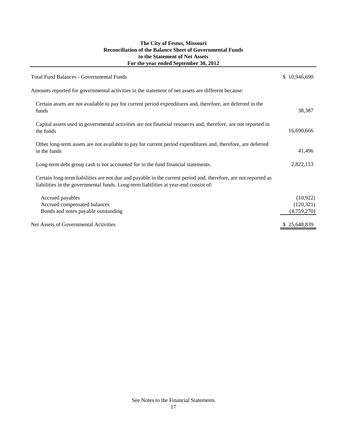## **The City of Festus, Missouri Reconciliation of the Balance Sheet of Governmental Funds to the Statement of Net Assets For the year ended September 30, 2012**

| <b>Total Fund Balances - Governmental Funds</b>                                                                                                                                                         | \$10,946,690                           |
|---------------------------------------------------------------------------------------------------------------------------------------------------------------------------------------------------------|----------------------------------------|
| Amounts reported for governmental activities in the statement of net assets are different because:                                                                                                      |                                        |
| Certain assets are not available to pay for current period expenditures and, therefore, are deferred in the<br>funds                                                                                    | 38,387                                 |
| Capital assets used in governmental activities are not financial resources and, therefore, are not reported in<br>the funds                                                                             | 16,690,666                             |
| Other long-term assets are not available to pay for current period expenditures and, therefore, are deferred<br>in the funds                                                                            | 41,496                                 |
| Long-term debt group cash is not accounted for in the fund financial statements.                                                                                                                        | 2,822,113                              |
| Certain long-term liabilities are not due and payable in the current period and, therefore, are not reported as<br>liabilities in the governmental funds. Long-term liabilities at year-end consist of: |                                        |
| Accrued payables<br>Accrued compensated balances<br>Bonds and notes payable outstanding                                                                                                                 | (10, 922)<br>(120, 321)<br>(4,759,270) |
| Net Assets of Governmental Activities                                                                                                                                                                   | 25,648,839                             |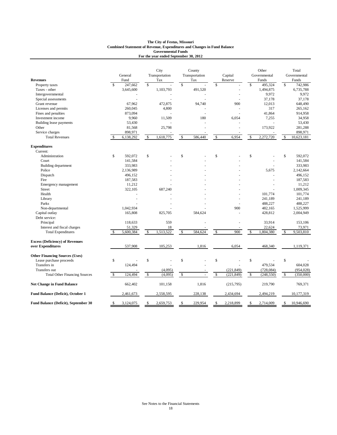| <b>Revenues</b>                             |              | General<br>Fund          |              | City<br>Transportation<br>Tax |                         | County<br>Transportation<br>Tax |               | Capital<br>Reserve | Other<br>Governmental<br>Funds |               | Total<br>Governmental<br>Funds |
|---------------------------------------------|--------------|--------------------------|--------------|-------------------------------|-------------------------|---------------------------------|---------------|--------------------|--------------------------------|---------------|--------------------------------|
| Property taxes                              | $\mathbf{s}$ | 247,662                  | $\mathbf S$  |                               | $\overline{\mathbb{S}}$ | $\sim$                          | \$            |                    | \$<br>495,324                  | $\mathcal{S}$ | 742,986                        |
| Taxes - other                               |              | 3,645,600                |              | 1,103,793                     |                         | 491,520                         |               |                    | 1,494,875                      |               | 6,735,788                      |
| Intergovernmental                           |              |                          |              |                               |                         |                                 |               | ÷,                 | 9,972                          |               | 9,972                          |
| Special assessments                         |              |                          |              |                               |                         |                                 |               |                    | 37,178                         |               | 37,178                         |
| Grant revenue                               |              | 67,962                   |              | 472,875                       |                         | 94,740                          |               | 900                | 12,013                         |               | 648,490                        |
| Licenses and permits                        |              | 260,045                  |              | 4,800                         |                         |                                 |               |                    | 317                            |               | 265,162                        |
| Fines and penalties                         |              | 873,094                  |              |                               |                         |                                 |               |                    | 41,864                         |               | 914,958                        |
| Investment income                           |              | 9,960                    |              | 11,509                        |                         | 180                             |               | 6,054              | 7,255                          |               | 34,958                         |
| Building lease payments                     |              | 53,430                   |              |                               |                         |                                 |               |                    |                                |               | 53,430                         |
| Other                                       |              | 81,568                   |              | 25,798                        |                         |                                 |               |                    | 173,922                        |               | 281,288                        |
| Service charges                             |              | 898,971                  |              |                               |                         |                                 |               |                    |                                |               | 898,971                        |
| <b>Total Revenues</b>                       | \$.          | 6,138,292                | $\mathbb{S}$ | 1,618,775                     | \$                      | 586,440                         | \$            | 6,954              | \$<br>2,272,720                | \$            | 10,623,181                     |
| <b>Expenditures</b>                         |              |                          |              |                               |                         |                                 |               |                    |                                |               |                                |
| Current:                                    |              |                          |              |                               |                         |                                 |               |                    |                                |               |                                |
| Administration                              | \$           | 592,072                  | \$           |                               | \$                      |                                 | $\mathsf{\$}$ |                    | \$                             | \$            | 592,072                        |
| Court                                       |              | 141,584                  |              |                               |                         |                                 |               |                    |                                |               | 141,584                        |
| Building department                         |              | 333,983                  |              |                               |                         |                                 |               |                    |                                |               | 333,983                        |
| Police                                      |              | 2,136,989                |              |                               |                         |                                 |               |                    | 5,675                          |               | 2,142,664                      |
| Dispatch                                    |              | 496,152                  |              |                               |                         |                                 |               |                    |                                |               | 496,152                        |
| Fire                                        |              | 187,583                  |              |                               |                         |                                 |               |                    |                                |               | 187,583                        |
| Emergency management                        |              | 11,212                   |              |                               |                         |                                 |               |                    |                                |               | 11,212                         |
| Street                                      |              | 322,105                  |              | 687,240                       |                         |                                 |               |                    |                                |               | 1,009,345                      |
| Health                                      |              |                          |              |                               |                         |                                 |               |                    | 101,774                        |               | 101,774                        |
| Library                                     |              | $\overline{\phantom{a}}$ |              |                               |                         |                                 |               |                    | 241,189                        |               | 241,189                        |
| Parks                                       |              |                          |              |                               |                         |                                 |               |                    | 488,227                        |               | 488,227                        |
| Non-departmental                            |              | 1,042,934                |              |                               |                         |                                 |               | 900                | 482,165                        |               | 1,525,999                      |
| Capital outlay                              |              | 165,808                  |              | 825,705                       |                         | 584,624                         |               |                    | 428,812                        |               | 2,004,949                      |
| Debt service:                               |              |                          |              |                               |                         |                                 |               |                    |                                |               |                                |
| Principal                                   |              | 118,633                  |              | 559                           |                         |                                 |               |                    | 33,914                         |               | 153,106                        |
| Interest and fiscal charges                 |              | 51,329                   |              | 18                            |                         |                                 |               |                    | 22,624                         |               | 73,971                         |
| <b>Total Expenditures</b>                   | -S           | 5,600,384                | $\sqrt{S}$   | 1,513,522                     | \$                      | 584,624                         | $\mathsf{\$}$ | 900                | \$<br>1,804,380                | \$            | 9,503,810                      |
| <b>Excess (Deficiency) of Revenues</b>      |              |                          |              |                               |                         |                                 |               |                    |                                |               |                                |
| over Expenditures                           |              | 537,908                  |              | 105,253                       |                         | 1,816                           |               | 6,054              | 468,340                        |               | 1,119,371                      |
| <b>Other Financing Sources (Uses)</b>       |              |                          |              |                               |                         |                                 |               |                    |                                |               |                                |
| Lease purchase proceeds                     | \$           |                          | \$           |                               | \$                      |                                 | \$            |                    | \$                             | \$            |                                |
| Transfers in                                |              | 124,494                  |              |                               |                         |                                 |               |                    | 479,534                        |               | 604,028                        |
| Transfers out                               |              |                          |              | (4,095)                       |                         |                                 |               | (221, 849)         | (728, 084)                     |               | (954, 028)                     |
| <b>Total Other Financing Sources</b>        | $\mathbb{S}$ | 124,494                  | \$           | (4,095)                       | \$                      |                                 | \$            | (221.849)          | \$<br>(248, 550)               | $\sqrt{5}$    | (350,000)                      |
| <b>Net Change in Fund Balance</b>           |              | 662,402                  |              | 101,158                       |                         | 1,816                           |               | (215,795)          | 219,790                        |               | 769,371                        |
| Fund Balance (Deficit), October 1           |              | 2,461,673                |              | 2,558,595                     |                         | 228,138                         |               | 2,434,694          | 2,494,219                      |               | 10,177,319                     |
| <b>Fund Balance (Deficit), September 30</b> | \$           | 3,124,075                | \$           | 2,659,753                     | Ś                       | 229,954                         |               | 2,218,899          | \$<br>2,714,009                | \$            | 10,946,690                     |

#### **The City of Festus, Missouri Combined Statement of Revenue, Expenditures and Changes in Fund Balance Governmental Funds For the year ended September 30, 2012**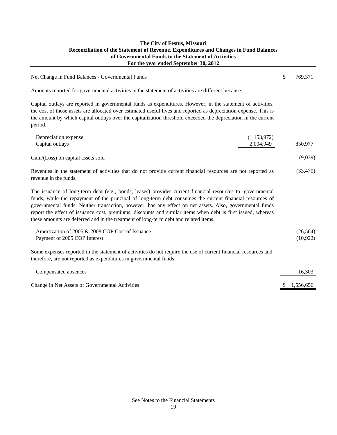### **The City of Festus, Missouri Reconciliation of the Statement of Revenue, Expenditures and Changes in Fund Balances of Governmental Funds to the Statement of Activities For the year ended September 30, 2012**

\$ 769,371

Net Change in Fund Balances - Governmental Funds

Amounts reported for governmental activities in the statement of activities are different because:

Capital outlays are reported in governmental funds as expenditures. However, in the statement of activities, the cost of those assets are allocated over estimated useful lives and reported as depreciation expense. This is the amount by which capital outlays over the capitalization threshold exceeded the depreciation in the current period.

| Depreciation expense               | (1,153,972)          |         |  |  |
|------------------------------------|----------------------|---------|--|--|
| Capital outlays                    | 850.977<br>2,004,949 |         |  |  |
| Gain/(Loss) on capital assets sold |                      | (9,039) |  |  |

 (33,470) Revenues in the statement of activities that do not provide current financial resources are not reported as revenue in the funds.

The issuance of long-term debt (e.g., bonds, leases) provides current financial resources to governmental funds, while the repayment of the principal of long-term debt consumes the current financial resources of governmental funds. Neither transaction, however, has any effect on net assets. Also, governmental funds report the effect of issuance cost, premiums, discounts and similar items when debt is first issued, whereas these amounts are deferred and in the treatment of long-term debt and related items.

| Amortization of 2005 & 2008 COP Cost of Issuance | (26, 564) |
|--------------------------------------------------|-----------|
| Payment of 2005 COP Interest                     | (10, 922) |

Some expenses reported in the statement of activities do not require the use of current financial resources and, therefore, are not reported as expenditures in governmental funds:

| Compensated absences                            | 16.303      |
|-------------------------------------------------|-------------|
| Change in Net Assets of Governmental Activities | \$1,556,656 |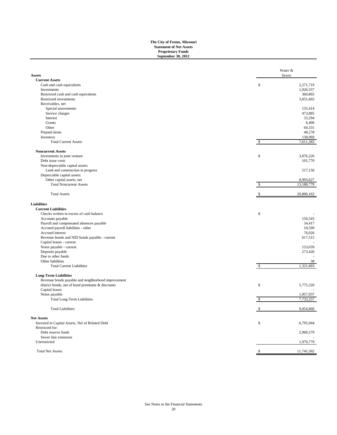#### **The City of Festus, Missouri Statement of Net Assets Proprietary Funds September 30, 2012**

| <b>Assets</b>                                      |     | Water &<br>Sewer |
|----------------------------------------------------|-----|------------------|
| <b>Current Assets</b>                              |     |                  |
| Cash and cash equivalents                          | \$  | 2,271,719        |
| Investments                                        |     | 1,026,557        |
| Restricted cash and cash equivalents               |     | 360,865          |
| Restricted investments                             |     | 3,051,665        |
| Receivables, net                                   |     |                  |
| Special assessments                                |     | 135,414          |
| Service charges                                    |     | 473,885          |
| Interest                                           |     | 33,294           |
| Grants                                             |     | 6,406            |
| Other                                              |     |                  |
|                                                    |     | 64,331           |
| Prepaid items                                      |     | 48,278           |
| Inventory                                          |     | 138,969          |
| <b>Total Current Assets</b>                        | -\$ | 7,611,383        |
| <b>Noncurrent Assets</b>                           |     |                  |
| Investments in joint venture                       | \$  | 3,876,226        |
| Debt issue costs                                   |     | 101,770          |
| Non-depreciable capital assets:                    |     |                  |
| Land and construction in progress                  |     | 217,156          |
| Depreciable capital assets:                        |     |                  |
| Other capital assets, net                          |     | 8,993,627        |
| <b>Total Noncurrent Assets</b>                     |     |                  |
|                                                    | \$  | 13,188,779       |
| <b>Total Assets</b>                                |     | 20,800,162       |
| <b>Liabilities</b>                                 |     |                  |
| <b>Current Liabilities</b>                         |     |                  |
| Checks written in excess of cash balance           | \$  |                  |
| Accounts payable                                   |     | 156,543          |
| Payroll and compensated absences payable           |     | 34,417           |
| Accrued payroll liabilities - other                |     | 10,599           |
| Accrued interest                                   |     | 76,026           |
|                                                    |     |                  |
| Revenue bonds and NID bonds payable - current      |     | 617,515          |
| Capital leases - current                           |     |                  |
| Notes payable - current                            |     | 153,039          |
| Deposits payable                                   |     | 273,426          |
| Due to other funds                                 |     |                  |
| Other liabilities                                  |     | 38               |
| <b>Total Current Liabilities</b>                   | \$  | 1,321,603        |
| <b>Long-Term Liabilities</b>                       |     |                  |
| Revenue bonds payable and neighborhood improvement |     |                  |
| district bonds, net of bond premiums & discounts   | \$  | 5,775,320        |
| Capital leases                                     |     |                  |
|                                                    |     |                  |
| Notes payable                                      |     | 1,957,937        |
| <b>Total Long-Term Liabilities</b>                 | \$  | 7,733,257        |
| <b>Total Liabilities</b>                           | \$  | 9,054,860        |
| <b>Net Assets</b>                                  |     |                  |
| Invested in Capital Assets, Net of Related Debt    | \$  | 6,795,944        |
| Restricted for:                                    |     |                  |
| Debt reserve funds                                 |     | 2,969,579        |
| Sewer line extension                               |     |                  |
|                                                    |     |                  |
| Unrestricted                                       |     | 1,979,779        |
| <b>Total Net Assets</b>                            |     | 11,745,302       |
|                                                    |     |                  |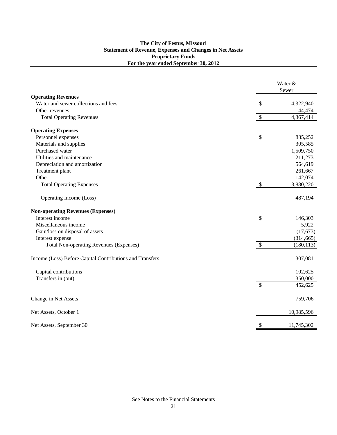|                                                          |                           | Water &<br>Sewer |
|----------------------------------------------------------|---------------------------|------------------|
| <b>Operating Revenues</b>                                |                           |                  |
| Water and sewer collections and fees                     | \$                        | 4,322,940        |
| Other revenues                                           |                           | 44,474           |
| <b>Total Operating Revenues</b>                          | $\sqrt[6]{3}$             | 4,367,414        |
| <b>Operating Expenses</b>                                |                           |                  |
| Personnel expenses                                       | \$                        | 885,252          |
| Materials and supplies                                   |                           | 305,585          |
| Purchased water                                          |                           | 1,509,750        |
| Utilities and maintenance                                |                           | 211,273          |
| Depreciation and amortization                            |                           | 564,619          |
| Treatment plant                                          |                           | 261,667          |
| Other                                                    |                           | 142,074          |
| <b>Total Operating Expenses</b>                          | $\boldsymbol{\mathsf{S}}$ | 3,880,220        |
| Operating Income (Loss)                                  |                           | 487,194          |
| <b>Non-operating Revenues (Expenses)</b>                 |                           |                  |
| Interest income                                          | \$                        | 146,303          |
| Miscellaneous income                                     |                           | 5,922            |
| Gain/loss on disposal of assets                          |                           | (17,673)         |
| Interest expense                                         |                           | (314, 665)       |
| <b>Total Non-operating Revenues (Expenses)</b>           | $\mathbb{S}$              | (180, 113)       |
| Income (Loss) Before Capital Contributions and Transfers |                           | 307,081          |
| Capital contributions                                    |                           | 102,625          |
| Transfers in (out)                                       |                           | 350,000          |
|                                                          | \$                        | 452,625          |
| Change in Net Assets                                     |                           | 759,706          |
| Net Assets, October 1                                    |                           | 10,985,596       |
| Net Assets, September 30                                 | \$                        | 11,745,302       |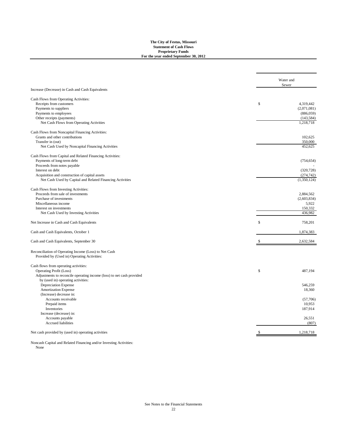#### **The City of Festus, Missouri Statement of Cash Flows Proprietary Funds For the year ended September 30, 2012**

|                                                                                                                                                                                                                                                           |                    | Water and<br>Sewer                                                |
|-----------------------------------------------------------------------------------------------------------------------------------------------------------------------------------------------------------------------------------------------------------|--------------------|-------------------------------------------------------------------|
| Increase (Decrease) in Cash and Cash Equivalents                                                                                                                                                                                                          |                    |                                                                   |
| Cash Flows from Operating Activities:<br>Receipts from customers<br>Payments to suppliers<br>Payments to employees<br>Other receipts (payments)<br>Net Cash Flows from Operating Activities                                                               | \$                 | 4,319,442<br>(2,071,081)<br>(886, 059)<br>(143, 584)<br>1,218,718 |
| Cash Flows from Noncapital Financing Activities:<br>Grants and other contributions<br>Transfer in (out)<br>Net Cash Used by Noncapital Financing Activities                                                                                               |                    | 102,625<br>350,000<br>452.625                                     |
| Cash Flows from Capital and Related Financing Activities:<br>Payments of long-term debt<br>Proceeds from notes payable<br>Interest on debt<br>Acquisition and construction of capital assets<br>Net Cash Used by Capital and Related Financing Activities |                    | (754, 654)<br>(320, 728)<br>(274, 742)<br>(1,350,124)             |
| Cash Flows from Investing Activities:<br>Proceeds from sale of investments<br>Purchase of investments<br>Miscellaneous income<br>Interest on investments<br>Net Cash Used by Investing Activities                                                         |                    | 2,884,562<br>(2,603,834)<br>5,922<br>150,332<br>436,982           |
| Net Increase in Cash and Cash Equivalents                                                                                                                                                                                                                 | $\mathbf S$        | 758,201                                                           |
| Cash and Cash Equivalents, October 1                                                                                                                                                                                                                      |                    | 1,874,383                                                         |
| Cash and Cash Equivalents, September 30                                                                                                                                                                                                                   |                    | 2,632,584                                                         |
| Reconciliation of Operating Income (Loss) to Net Cash<br>Provided by (Used in) Operating Activities:                                                                                                                                                      |                    |                                                                   |
| Cash flows from operating activities:<br>Operating Profit (Loss)<br>Adjustments to reconcile operating income (loss) to net cash provided<br>by (used in) operating activities:                                                                           | $\mathbf{\hat{S}}$ | 487.194                                                           |
| Depreciation Expense<br><b>Amortization Expense</b><br>(Increase) decrease in:                                                                                                                                                                            |                    | 546,259<br>18,360                                                 |
| Accounts receivable<br>Prepaid items<br>Inventories<br>Increase (decrease) in:                                                                                                                                                                            |                    | (57,706)<br>10,953<br>187,914                                     |
| Accounts payable<br>Accrued liabilities                                                                                                                                                                                                                   |                    | 26,551<br>(807)                                                   |
| Net cash provided by (used in) operating activities                                                                                                                                                                                                       |                    | 1,218,718                                                         |

Noncash Capital and Related Financing and/or Investing Activities: None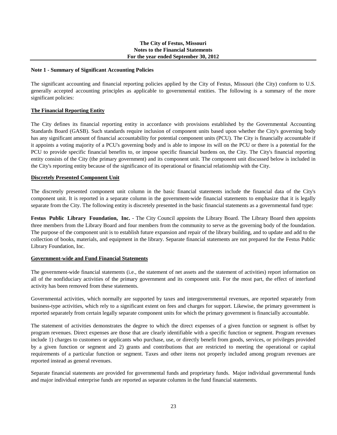#### **Note 1 - Summary of Significant Accounting Policies**

The significant accounting and financial reporting policies applied by the City of Festus, Missouri (the City) conform to U.S. generally accepted accounting principles as applicable to governmental entities. The following is a summary of the more significant policies:

#### **The Financial Reporting Entity**

The City defines its financial reporting entity in accordance with provisions established by the Governmental Accounting Standards Board (GASB). Such standards require inclusion of component units based upon whether the City's governing body has any significant amount of financial accountability for potential component units (PCU). The City is financially accountable if it appoints a voting majority of a PCU's governing body and is able to impose its will on the PCU or there is a potential for the PCU to provide specific financial benefits to, or impose specific financial burdens on, the City. The City's financial reporting entity consists of the City (the primary government) and its component unit. The component unit discussed below is included in the City's reporting entity because of the significance of its operational or financial relationship with the City.

#### **Discretely Presented Component Unit**

The discretely presented component unit column in the basic financial statements include the financial data of the City's component unit. It is reported in a separate column in the government-wide financial statements to emphasize that it is legally separate from the City. The following entity is discretely presented in the basic financial statements as a governmental fund type:

**Festus Public Library Foundation, Inc.** - The City Council appoints the Library Board. The Library Board then appoints three members from the Library Board and four members from the community to serve as the governing body of the foundation. The purpose of the component unit is to establish future expansion and repair of the library building, and to update and add to the collection of books, materials, and equipment in the library. Separate financial statements are not prepared for the Festus Public Library Foundation, Inc.

#### **Government-wide and Fund Financial Statements**

The government-wide financial statements (i.e., the statement of net assets and the statement of activities) report information on all of the nonfiduciary activities of the primary government and its component unit. For the most part, the effect of interfund activity has been removed from these statements.

Governmental activities, which normally are supported by taxes and intergovernmental revenues, are reported separately from business-type activities, which rely to a significant extent on fees and charges for support. Likewise, the primary government is reported separately from certain legally separate component units for which the primary government is financially accountable.

The statement of activities demonstrates the degree to which the direct expenses of a given function or segment is offset by program revenues. Direct expenses are those that are clearly identifiable with a specific function or segment. Program revenues include 1) charges to customers or applicants who purchase, use, or directly benefit from goods, services, or privileges provided by a given function or segment and 2) grants and contributions that are restricted to meeting the operational or capital requirements of a particular function or segment. Taxes and other items not properly included among program revenues are reported instead as general revenues.

Separate financial statements are provided for governmental funds and proprietary funds. Major individual governmental funds and major individual enterprise funds are reported as separate columns in the fund financial statements.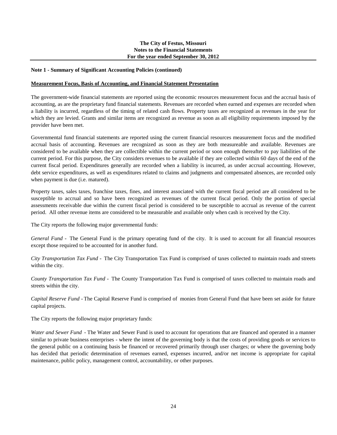### **Notes to the Financial Statements For the year ended September 30, 2012 The City of Festus, Missouri**

#### **Note 1 - Summary of Significant Accounting Policies (continued)**

#### **Measurement Focus, Basis of Accounting, and Financial Statement Presentation**

The government-wide financial statements are reported using the economic resources measurement focus and the accrual basis of accounting, as are the proprietary fund financial statements. Revenues are recorded when earned and expenses are recorded when a liability is incurred, regardless of the timing of related cash flows. Property taxes are recognized as revenues in the year for which they are levied. Grants and similar items are recognized as revenue as soon as all eligibility requirements imposed by the provider have been met.

Governmental fund financial statements are reported using the current financial resources measurement focus and the modified accrual basis of accounting. Revenues are recognized as soon as they are both measureable and available. Revenues are considered to be available when they are collectible within the current period or soon enough thereafter to pay liabilities of the current period. For this purpose, the City considers revenues to be available if they are collected within 60 days of the end of the current fiscal period. Expenditures generally are recorded when a liability is incurred, as under accrual accounting. However, debt service expenditures, as well as expenditures related to claims and judgments and compensated absences, are recorded only when payment is due (i.e. matured).

Property taxes, sales taxes, franchise taxes, fines, and interest associated with the current fiscal period are all considered to be susceptible to accrual and so have been recognized as revenues of the current fiscal period. Only the portion of special assessments receivable due within the current fiscal period is considered to be susceptible to accrual as revenue of the current period. All other revenue items are considered to be measurable and available only when cash is received by the City.

The City reports the following major governmental funds:

*General Fund -* The General Fund is the primary operating fund of the city. It is used to account for all financial resources except those required to be accounted for in another fund.

*City Transportation Tax Fund -* The City Transportation Tax Fund is comprised of taxes collected to maintain roads and streets within the city.

*County Transportation Tax Fund -* The County Transportation Tax Fund is comprised of taxes collected to maintain roads and streets within the city.

*Capital Reserve Fund -* The Capital Reserve Fund is comprised of monies from General Fund that have been set aside for future capital projects.

The City reports the following major proprietary funds:

*Water and Sewer Fund* - The Water and Sewer Fund is used to account for operations that are financed and operated in a manner similar to private business enterprises - where the intent of the governing body is that the costs of providing goods or services to the general public on a continuing basis be financed or recovered primarily through user charges; or where the governing body has decided that periodic determination of revenues earned, expenses incurred, and/or net income is appropriate for capital maintenance, public policy, management control, accountability, or other purposes.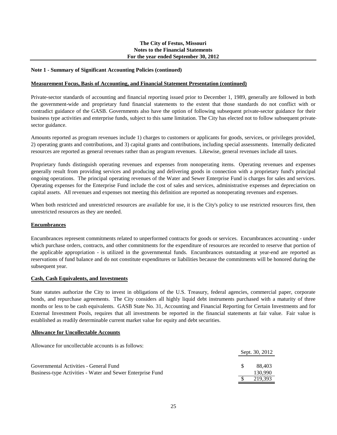### **The City of Festus, Missouri Notes to the Financial Statements For the year ended September 30, 2012**

#### **Note 1 - Summary of Significant Accounting Policies (continued)**

#### **Measurement Focus, Basis of Accounting, and Financial Statement Presentation (continued)**

Private-sector standards of accounting and financial reporting issued prior to December 1, 1989, generally are followed in both the government-wide and proprietary fund financial statements to the extent that those standards do not conflict with or contradict guidance of the GASB. Governments also have the option of following subsequent private-sector guidance for their business type activities and enterprise funds, subject to this same limitation. The City has elected not to follow subsequent privatesector guidance.

Amounts reported as program revenues include 1) charges to customers or applicants for goods, services, or privileges provided, 2) operating grants and contributions, and 3) capital grants and contributions, including special assessments. Internally dedicated resources are reported as general revenues rather than as program revenues. Likewise, general revenues include all taxes.

Proprietary funds distinguish operating revenues and expenses from nonoperating items. Operating revenues and expenses generally result from providing services and producing and delivering goods in connection with a proprietary fund's principal ongoing operations. The principal operating revenues of the Water and Sewer Enterprise Fund is charges for sales and services. Operating expenses for the Enterprise Fund include the cost of sales and services, administrative expenses and depreciation on capital assets. All revenues and expenses not meeting this definition are reported as nonoperating revenues and expenses.

When both restricted and unrestricted resources are available for use, it is the City's policy to use restricted resources first, then unrestricted resources as they are needed.

#### **Encumbrances**

Encumbrances represent commitments related to unperformed contracts for goods or services. Encumbrances accounting - under which purchase orders, contracts, and other commitments for the expenditure of resources are recorded to reserve that portion of the applicable appropriation - is utilized in the governmental funds. Encumbrances outstanding at year-end are reported as reservations of fund balance and do not constitute expenditures or liabilities because the commitments will be honored during the subsequent year.

#### **Cash, Cash Equivalents, and Investments**

State statutes authorize the City to invest in obligations of the U.S. Treasury, federal agencies, commercial paper, corporate bonds, and repurchase agreements. The City considers all highly liquid debt instruments purchased with a maturity of three months or less to be cash equivalents. GASB State No. 31, Accounting and Financial Reporting for Certain Investments and for External Investment Pools, requires that all investments be reported in the financial statements at fair value. Fair value is established as readily determinable current market value for equity and debt securities.

 $\overline{30}$   $\overline{201}$ 

#### **Allowance for Uncollectable Accounts**

Allowance for uncollectable accounts is as follows:

|                                                            | Sept. 30, 2012 |
|------------------------------------------------------------|----------------|
| Governmental Activities - General Fund                     | 88.403         |
| Business-type Activities - Water and Sewer Enterprise Fund | 130.990        |
|                                                            | 219.393        |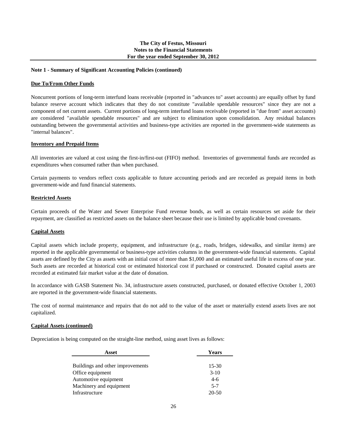#### **Due To/From Other Funds**

Noncurrent portions of long-term interfund loans receivable (reported in "advances to" asset accounts) are equally offset by fund balance reserve account which indicates that they do not constitute "available spendable resources" since they are not a component of net current assets. Current portions of long-term interfund loans receivable (reported in "due from" asset accounts) are considered "available spendable resources" and are subject to elimination upon consolidation. Any residual balances outstanding between the governmental activities and business-type activities are reported in the government-wide statements as "internal balances".

#### **Inventory and Prepaid Items**

All inventories are valued at cost using the first-in/first-out (FIFO) method. Inventories of governmental funds are recorded as expenditures when consumed rather than when purchased.

Certain payments to vendors reflect costs applicable to future accounting periods and are recorded as prepaid items in both government-wide and fund financial statements.

#### **Restricted Assets**

Certain proceeds of the Water and Sewer Enterprise Fund revenue bonds, as well as certain resources set aside for their repayment, are classified as restricted assets on the balance sheet because their use is limited by applicable bond covenants.

#### **Capital Assets**

Capital assets which include property, equipment, and infrastructure (e.g., roads, bridges, sidewalks, and similar items) are reported in the applicable governmental or business-type activities columns in the government-wide financial statements. Capital assets are defined by the City as assets with an initial cost of more than \$1,000 and an estimated useful life in excess of one year. Such assets are recorded at historical cost or estimated historical cost if purchased or constructed. Donated capital assets are recorded at estimated fair market value at the date of donation.

In accordance with GASB Statement No. 34, infrastructure assets constructed, purchased, or donated effective October 1, 2003 are reported in the government-wide financial statements.

The cost of normal maintenance and repairs that do not add to the value of the asset or materially extend assets lives are not capitalized.

#### **Capital Assets (continued)**

Depreciation is being computed on the straight-line method, using asset lives as follows:

| Asset                            | Years     |  |  |
|----------------------------------|-----------|--|--|
|                                  |           |  |  |
| Buildings and other improvements | 15-30     |  |  |
| Office equipment                 | $3-10$    |  |  |
| Automotive equipment             | $4-6$     |  |  |
| Machinery and equipment          | $5 - 7$   |  |  |
| Infrastructure                   | $20 - 50$ |  |  |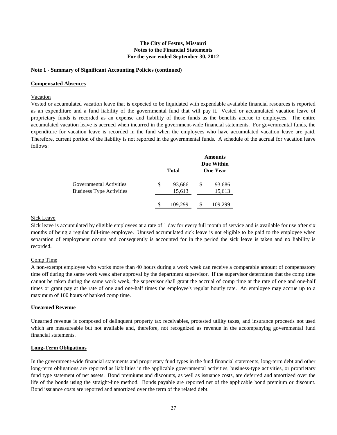#### **Compensated Absences**

#### Vacation

Vested or accumulated vacation leave that is expected to be liquidated with expendable available financial resources is reported as an expenditure and a fund liability of the governmental fund that will pay it. Vested or accumulated vacation leave of proprietary funds is recorded as an expense and liability of those funds as the benefits accrue to employees. The entire accumulated vacation leave is accrued when incurred in the government-wide financial statements. For governmental funds, the expenditure for vacation leave is recorded in the fund when the employees who have accumulated vacation leave are paid. Therefore, current portion of the liability is not reported in the governmental funds. A schedule of the accrual for vacation leave follows:

|                                 |   | <b>Total</b> |   | <b>Amounts</b><br>Due Within<br><b>One Year</b> |
|---------------------------------|---|--------------|---|-------------------------------------------------|
| Governmental Activities         | S | 93,686       | S | 93,686                                          |
| <b>Business Type Activities</b> |   | 15,613       |   | 15,613                                          |
|                                 | S | 109.299      |   | 109,299                                         |

#### Sick Leave

Sick leave is accumulated by eligible employees at a rate of 1 day for every full month of service and is available for use after six months of being a regular full-time employee. Unused accumulated sick leave is not eligible to be paid to the employee when separation of employment occurs and consequently is accounted for in the period the sick leave is taken and no liability is recorded.

### Comp Time

A non-exempt employee who works more than 40 hours during a work week can receive a comparable amount of compensatory time off during the same work week after approval by the department supervisor. If the supervisor determines that the comp time cannot be taken during the same work week, the supervisor shall grant the accrual of comp time at the rate of one and one-half times or grant pay at the rate of one and one-half times the employee's regular hourly rate. An employee may accrue up to a maximum of 100 hours of banked comp time.

#### **Unearned Revenue**

Unearned revenue is composed of delinquent property tax receivables, protested utility taxes, and insurance proceeds not used which are measureable but not available and, therefore, not recognized as revenue in the accompanying governmental fund financial statements.

#### **Long-Term Obligations**

In the government-wide financial statements and proprietary fund types in the fund financial statements, long-term debt and other long-term obligations are reported as liabilities in the applicable governmental activities, business-type activities, or proprietary fund type statement of net assets. Bond premiums and discounts, as well as issuance costs, are deferred and amortized over the life of the bonds using the straight-line method. Bonds payable are reported net of the applicable bond premium or discount. Bond issuance costs are reported and amortized over the term of the related debt.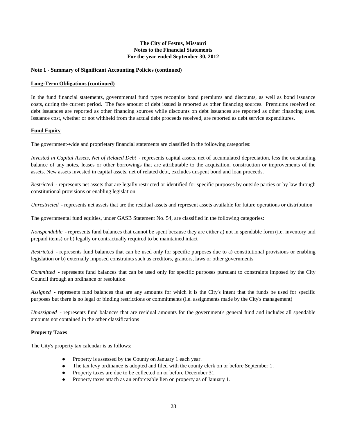### **Long-Term Obligations (continued)**

In the fund financial statements, governmental fund types recognize bond premiums and discounts, as well as bond issuance costs, during the current period. The face amount of debt issued is reported as other financing sources. Premiums received on debt issuances are reported as other financing sources while discounts on debt issuances are reported as other financing uses. Issuance cost, whether or not withheld from the actual debt proceeds received, are reported as debt service expenditures.

### **Fund Equity**

The government-wide and proprietary financial statements are classified in the following categories:

*Invested in Capital Assets, Net of Related Debt* - represents capital assets, net of accumulated depreciation, less the outstanding balance of any notes, leases or other borrowings that are attributable to the acquisition, construction or improvements of the assets. New assets invested in capital assets, net of related debt, excludes unspent bond and loan proceeds.

*Restricted* - represents net assets that are legally restricted or identified for specific purposes by outside parties or by law through constitutional provisions or enabling legislation

*Unrestricted* - represents net assets that are the residual assets and represent assets available for future operations or distribution

The governmental fund equities, under GASB Statement No. 54, are classified in the following categories:

*Nonspendable* - represents fund balances that cannot be spent because they are either a) not in spendable form (i.e. inventory and prepaid items) or b) legally or contractually required to be maintained intact

*Restricted* - represents fund balances that can be used only for specific purposes due to a) constitutional provisions or enabling legislation or b) externally imposed constraints such as creditors, grantors, laws or other governments

*Committed* - represents fund balances that can be used only for specific purposes pursuant to constraints imposed by the City Council through an ordinance or resolution

*Assigned* - represents fund balances that are any amounts for which it is the City's intent that the funds be used for specific purposes but there is no legal or binding restrictions or commitments (i.e. assignments made by the City's management)

*Unassigned* - represents fund balances that are residual amounts for the government's general fund and includes all spendable amounts not contained in the other classifications

#### **Property Taxes**

The City's property tax calendar is as follows:

- Property is assessed by the County on January 1 each year.
- The tax levy ordinance is adopted and filed with the county clerk on or before September 1.
- Property taxes are due to be collected on or before December 31.
- Property taxes attach as an enforceable lien on property as of January 1.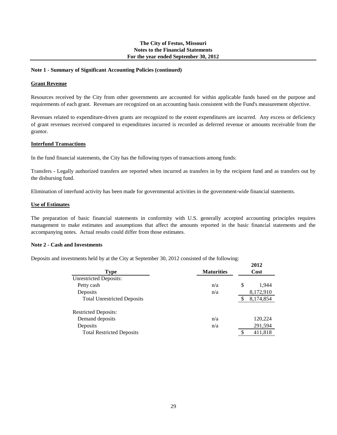### **Grant Revenue**

Resources received by the City from other governments are accounted for within applicable funds based on the purpose and requirements of each grant. Revenues are recognized on an accounting basis consistent with the Fund's measurement objective.

Revenues related to expenditure-driven grants are recognized to the extent expenditures are incurred. Any excess or deficiency of grant revenues received compared to expenditures incurred is recorded as deferred revenue or amounts receivable from the grantor.

#### **Interfund Transactions**

In the fund financial statements, the City has the following types of transactions among funds:

Transfers - Legally authorized transfers are reported when incurred as transfers in by the recipient fund and as transfers out by the disbursing fund.

Elimination of interfund activity has been made for governmental activities in the government-wide financial statements.

#### **Use of Estimates**

The preparation of basic financial statements in conformity with U.S. generally accepted accounting principles requires management to make estimates and assumptions that affect the amounts reported in the basic financial statements and the accompanying notes. Actual results could differ from those estimates.

**2012**

### **Note 2 - Cash and Investments**

Deposits and investments held by at the City at September 30, 2012 consisted of the following:

| Type                               | <b>Maturities</b> | $\overline{a}$ $\overline{b}$<br>Cost |  |  |
|------------------------------------|-------------------|---------------------------------------|--|--|
| <b>Unrestricted Deposits:</b>      |                   |                                       |  |  |
| Petty cash                         | n/a               | \$<br>1,944                           |  |  |
| Deposits                           | n/a               | 8,172,910                             |  |  |
| <b>Total Unrestricted Deposits</b> |                   | 8,174,854                             |  |  |
| <b>Restricted Deposits:</b>        |                   |                                       |  |  |
| Demand deposits                    | n/a               | 120,224                               |  |  |
| Deposits                           | n/a               | 291,594                               |  |  |
| <b>Total Restricted Deposits</b>   |                   | 411,818                               |  |  |
|                                    |                   |                                       |  |  |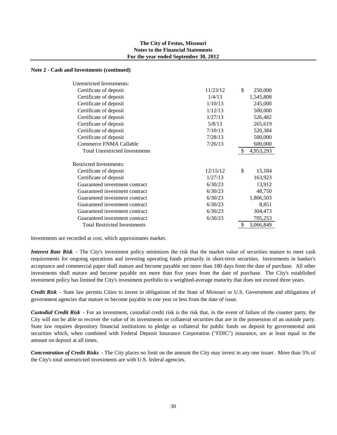#### **Note 2 - Cash and Investments (continued)**

| <b>Unrestricted Investments:</b>      |          |               |           |
|---------------------------------------|----------|---------------|-----------|
| Certificate of deposit                | 11/23/12 | \$            | 250,000   |
| Certificate of deposit                | 1/4/13   |               | 1,545,808 |
| Certificate of deposit                | 1/10/13  |               | 245,000   |
| Certificate of deposit                | 1/12/13  |               | 500,000   |
| Certificate of deposit                | 1/27/13  |               | 526,482   |
| Certificate of deposit                | 5/8/13   |               | 265,619   |
| Certificate of deposit                | 7/10/13  |               | 520,384   |
| Certificate of deposit                | 7/28/13  |               | 500,000   |
| Commerce FNMA Callable                | 7/26/13  |               | 600,000   |
| <b>Total Unrestricted Investments</b> |          | <sup>\$</sup> | 4,953,293 |
|                                       |          |               |           |
| <b>Restricted Investments:</b>        |          |               |           |
| Certificate of deposit                | 12/15/12 | \$            | 15,184    |
| Certificate of deposit                | 1/27/13  |               | 163,923   |
| Guaranteed investment contract        | 6/30/23  |               | 13,912    |
| Guaranteed investment contract        | 6/30/23  |               | 48,750    |
| Guaranteed investment contract        | 6/30/23  |               | 1,806,503 |
| Guaranteed investment contract        | 6/30/23  |               | 8,851     |
| Guaranteed investment contract        | 6/30/23  |               | 304,473   |
| Guaranteed investment contract        |          |               |           |
|                                       | 6/30/23  |               | 705,253   |

Investments are recorded at cost, which approximates market.

*Interest Rate Risk* - The City's investment policy minimizes the risk that the market value of securities mature to meet cash requirements for ongoing operations and investing operating funds primarily in short-term securities. Investments in banker's acceptance and commercial paper shall mature and become payable not more than 180 days from the date of purchase. All other investments shall mature and become payable not more than five years from the date of purchase. The City's established investment policy has limited the City's investment portfolio to a weighted-average maturity that does not exceed three years.

*Credit Risk* - State law permits Cities to invest in obligations of the State of Missouri or U.S. Government and obligations of government agencies that mature or become payable in one year or less from the date of issue.

*Custodial Credit Risk* - For an investment, custodial credit risk is the risk that, in the event of failure of the counter party, the City will not be able to recover the value of its investments or collateral securities that are in the possession of an outside party. State law requires depository financial institutions to pledge as collateral for public funds on deposit by governmental unit securities which, when combined with Federal Deposit Insurance Corporation ("FDIC") insurance, are at least equal to the amount on deposit at all times.

*Concentration of Credit Risks* - The City places no limit on the amount the City may invest in any one issuer. More than 5% of the City's total unrestricted investments are with U.S. federal agencies.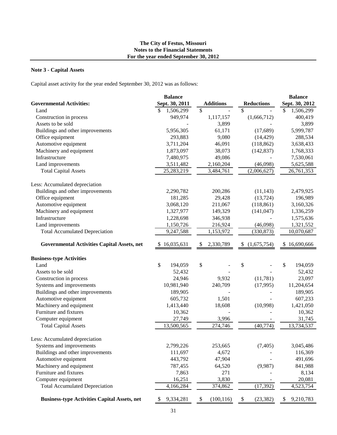### **Note 3 - Capital Assets**

Capital asset activity for the year ended September 30, 2012 was as follows:

|                                                     | <b>Balance</b>  |                  |                   | <b>Balance</b>  |
|-----------------------------------------------------|-----------------|------------------|-------------------|-----------------|
| <b>Governmental Activities:</b>                     | Sept. 30, 2011  | <b>Additions</b> | <b>Reductions</b> | Sept. 30, 2012  |
| Land                                                | 1,506,299       | $\mathbb{S}$     | \$                | 1,506,299<br>\$ |
| Construction in process                             | 949,974         | 1,117,157        | (1,666,712)       | 400,419         |
| Assets to be sold                                   |                 | 3,899            |                   | 3,899           |
| Buildings and other improvements                    | 5,956,305       | 61,171           | (17,689)          | 5,999,787       |
| Office equipment                                    | 293,883         | 9,080            | (14, 429)         | 288,534         |
| Automotive equipment                                | 3,711,204       | 46,091           | (118, 862)        | 3,638,433       |
| Machinery and equipment                             | 1,873,097       | 38,073           | (142, 837)        | 1,768,333       |
| Infrastructure                                      | 7,480,975       | 49,086           |                   | 7,530,061       |
| Land improvements                                   | 3,511,482       | 2,160,204        | (46,098)          | 5,625,588       |
| <b>Total Capital Assets</b>                         | 25,283,219      | 3,484,761        | (2,006,627)       | 26,761,353      |
| Less: Accumulated depreciation                      |                 |                  |                   |                 |
| Buildings and other improvements                    | 2,290,782       | 200,286          | (11, 143)         | 2,479,925       |
| Office equipment                                    | 181,285         | 29,428           | (13, 724)         | 196,989         |
| Automotive equipment                                | 3,068,120       | 211,067          | (118, 861)        | 3,160,326       |
| Machinery and equipment                             | 1,327,977       | 149,329          | (141, 047)        | 1,336,259       |
| Infrastructure                                      | 1,228,698       | 346,938          |                   | 1,575,636       |
| Land improvements                                   | 1,150,726       | 216,924          | (46,098)          | 1,321,552       |
| <b>Total Accumulated Depreciation</b>               | 9,247,588       | 1,153,972        | (330, 873)        | 10,070,687      |
| <b>Governmental Activities Capital Assets, net</b>  | 16,035,631      | 2,330,789<br>\$  | (1,675,754)<br>\$ | \$16,690,666    |
| <b>Business-type Activities</b>                     |                 |                  |                   |                 |
| Land                                                | \$<br>194,059   | \$               | \$                | \$<br>194,059   |
| Assets to be sold                                   | 52,432          |                  |                   | 52,432          |
| Construction in process                             | 24,946          | 9,932            | (11,781)          | 23,097          |
| Systems and improvements                            | 10,981,940      | 240,709          | (17,995)          | 11,204,654      |
| Buildings and other improvements                    | 189,905         |                  |                   | 189,905         |
| Automotive equipment                                | 605,732         | 1,501            |                   | 607,233         |
| Machinery and equipment                             | 1,413,440       | 18,608           | (10,998)          | 1,421,050       |
| Furniture and fixtures                              | 10,362          |                  |                   | 10,362          |
| Computer equipment                                  | 27,749          | 3,996            |                   | 31,745          |
| <b>Total Capital Assets</b>                         | 13,500,565      | 274,746          | (40, 774)         | 13,734,537      |
| Less: Accumulated depreciation                      |                 |                  |                   |                 |
| Systems and improvements                            | 2,799,226       | 253,665          | (7, 405)          | 3,045,486       |
| Buildings and other improvements                    | 111,697         | 4,672            |                   | 116,369         |
| Automotive equipment                                | 443,792         | 47,904           |                   | 491,696         |
| Machinery and equipment                             | 787,455         | 64,520           | (9,987)           | 841,988         |
| Furniture and fixtures                              | 7,863           | 271              |                   | 8,134           |
| Computer equipment                                  | 16,251          | 3,830            |                   | 20,081          |
| <b>Total Accumulated Depreciation</b>               | 4,166,284       | 374,862          | (17, 392)         | 4,523,754       |
| <b>Business-type Activities Capital Assets, net</b> | 9,334,281<br>S, | (100, 116)<br>\$ | (23, 382)<br>\$   | 9,210,783<br>\$ |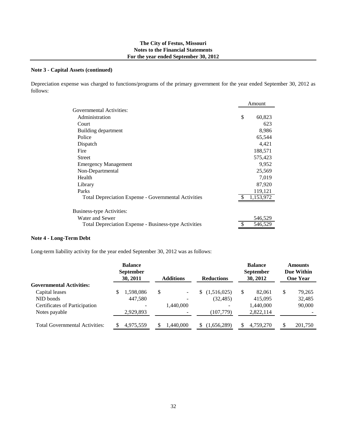### **Note 3 - Capital Assets (continued)**

Depreciation expense was charged to functions/programs of the primary government for the year ended September 30, 2012 as follows:

|                                                             | Amount        |           |  |  |
|-------------------------------------------------------------|---------------|-----------|--|--|
| Governmental Activities:                                    |               |           |  |  |
| Administration                                              | \$            | 60,823    |  |  |
| Court                                                       |               | 623       |  |  |
| Building department                                         |               | 8,986     |  |  |
| Police                                                      |               | 65,544    |  |  |
| Dispatch                                                    |               | 4,421     |  |  |
| Fire                                                        |               | 188,571   |  |  |
| <b>Street</b>                                               |               | 575,423   |  |  |
| <b>Emergency Management</b>                                 |               | 9,952     |  |  |
| Non-Departmental                                            |               | 25,569    |  |  |
| Health                                                      |               | 7,019     |  |  |
| Library                                                     |               | 87,920    |  |  |
| Parks                                                       |               | 119,121   |  |  |
| <b>Total Depreciation Expense - Governmental Activities</b> |               | 1,153,972 |  |  |
| Business-type Activities:                                   |               |           |  |  |
| Water and Sewer                                             |               | 546,529   |  |  |
| Total Depreciation Expense - Business-type Activities       | <sup>\$</sup> | 546,529   |  |  |

### **Note 4 - Long-Term Debt**

Long-term liability activity for the year ended September 30, 2012 was as follows:

|                                       | <b>Balance</b><br><b>September</b><br>30, 2011 |           |    | <b>Additions</b> |     | <b>Reductions</b> |   | <b>Balance</b><br><b>September</b><br>30, 2012 |    | <b>Amounts</b><br>Due Within<br><b>One Year</b> |  |
|---------------------------------------|------------------------------------------------|-----------|----|------------------|-----|-------------------|---|------------------------------------------------|----|-------------------------------------------------|--|
| <b>Governmental Activities:</b>       |                                                |           |    |                  |     |                   |   |                                                |    |                                                 |  |
| Capital leases                        | S                                              | 1,598,086 | \$ | Ξ.               | S.  | (1,516,025)       | S | 82,061                                         | \$ | 79,265                                          |  |
| NID bonds                             |                                                | 447.580   |    |                  |     | (32, 485)         |   | 415,095                                        |    | 32,485                                          |  |
| Certificates of Participation         |                                                |           |    | 1.440.000        |     |                   |   | 1,440,000                                      |    | 90,000                                          |  |
| Notes payable                         |                                                | 2,929,893 |    |                  |     | (107, 779)        |   | 2,822,114                                      |    |                                                 |  |
| <b>Total Governmental Activities:</b> |                                                | 4,975,559 |    | 1.440.000        | \$. | (1,656,289)       |   | 4.759.270                                      | S. | 201,750                                         |  |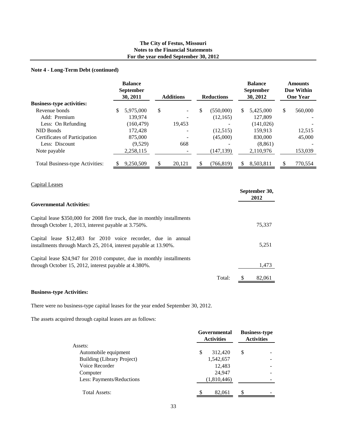# **The City of Festus, Missouri Notes to the Financial Statements For the year ended September 30, 2012**

### **Note 4 - Long-Term Debt (continued)**

|                                  |   | <b>Balance</b><br><b>September</b><br>30, 2011 | <b>Additions</b>               | <b>Reductions</b> |    | <b>Balance</b><br><b>September</b><br>30, 2012 | <b>Amounts</b><br>Due Within<br><b>One Year</b> |
|----------------------------------|---|------------------------------------------------|--------------------------------|-------------------|----|------------------------------------------------|-------------------------------------------------|
| <b>Business-type activities:</b> |   |                                                |                                |                   |    |                                                |                                                 |
| Revenue bonds                    | S | 5.975,000                                      | \$<br>$\overline{\phantom{a}}$ | \$<br>(550,000)   | S. | 5,425,000                                      | \$<br>560,000                                   |
| Add: Premium                     |   | 139.974                                        |                                | (12, 165)         |    | 127,809                                        |                                                 |
| Less: On Refunding               |   | (160, 479)                                     | 19,453                         |                   |    | (141, 026)                                     |                                                 |
| NID Bonds                        |   | 172,428                                        |                                | (12, 515)         |    | 159.913                                        | 12,515                                          |
| Certificates of Participation    |   | 875,000                                        |                                | (45,000)          |    | 830,000                                        | 45,000                                          |
| Less: Discount                   |   | (9,529)                                        | 668                            |                   |    | (8, 861)                                       |                                                 |
| Note payable                     |   | 2,258,115                                      |                                | (147, 139)        |    | 2,110,976                                      | 153,039                                         |
| Total Business-type Activities:  |   | 9,250,509                                      | 20,121                         | \$<br>(766.819)   |    | 8.503.811                                      | \$<br>770,554                                   |

### Capital Leases

|                                                                                                                                   |        |   | September 30,<br>2012 |
|-----------------------------------------------------------------------------------------------------------------------------------|--------|---|-----------------------|
| <b>Governmental Activities:</b>                                                                                                   |        |   |                       |
| Capital lease \$350,000 for 2008 fire truck, due in monthly installments<br>through October 1, 2013, interest payable at 3.750%.  |        |   | 75.337                |
| Capital lease \$12,483 for 2010 voice recorder, due in annual<br>installments through March 25, 2014, interest payable at 13.90%. |        |   | 5.251                 |
| Capital lease \$24,947 for 2010 computer, due in monthly installments<br>through October 15, 2012, interest payable at 4.380%.    |        |   | 1,473                 |
|                                                                                                                                   | Total: | S | 82,061                |

### **Business-type Activities:**

There were no business-type capital leases for the year ended September 30, 2012.

The assets acquired through capital leases are as follows:

|                                   | Governmental<br><b>Activities</b> | <b>Business-type</b><br><b>Activities</b> |
|-----------------------------------|-----------------------------------|-------------------------------------------|
| Assets:                           |                                   |                                           |
| Automobile equipment              | \$<br>312,420                     | \$                                        |
| <b>Building (Library Project)</b> | 1,542,657                         |                                           |
| Voice Recorder                    | 12,483                            |                                           |
| Computer                          | 24,947                            |                                           |
| Less: Payments/Reductions         | (1,810,446)                       |                                           |
| Total Assets:                     | 82,061                            |                                           |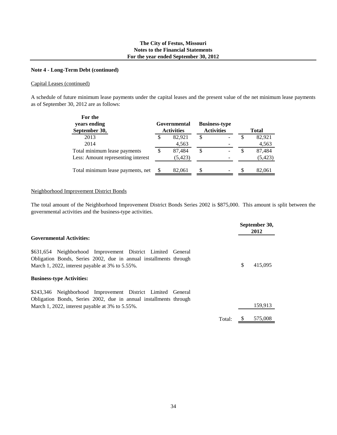### **Note 4 - Long-Term Debt (continued)**

#### Capital Leases (continued)

A schedule of future minimum lease payments under the capital leases and the present value of the net minimum lease payments as of September 30, 2012 are as follows:

| For the<br>years ending<br>September 30, |   | Governmental<br><b>Activities</b> |   | <b>Business-type</b><br><b>Activities</b> |   | <b>Total</b> |
|------------------------------------------|---|-----------------------------------|---|-------------------------------------------|---|--------------|
| 2013                                     | S | 82,921                            | S |                                           | S | 82,921       |
| 2014                                     |   | 4,563                             |   |                                           |   | 4,563        |
| Total minimum lease payments             |   | 87,484                            | S |                                           | S | 87,484       |
| Less: Amount representing interest       |   | (5, 423)                          |   |                                           |   | (5, 423)     |
| Total minimum lease payments, net        |   | 82,061                            |   |                                           |   | 82.061       |

### Neighborhood Improvement District Bonds

The total amount of the Neighborhood Improvement District Bonds Series 2002 is \$875,000. This amount is split between the governmental activities and the business-type activities.

|                                                                                                                                                                                            |        | September 30,<br>2012 |
|--------------------------------------------------------------------------------------------------------------------------------------------------------------------------------------------|--------|-----------------------|
| <b>Governmental Activities:</b>                                                                                                                                                            |        |                       |
| \$631,654 Neighborhood Improvement District Limited General<br>Obligation Bonds, Series 2002, due in annual installments through<br>March 1, 2022, interest payable at $3\%$ to $5.55\%$ . |        | \$<br>415,095         |
| <b>Business-type Activities:</b>                                                                                                                                                           |        |                       |
| \$243,346 Neighborhood Improvement District Limited General<br>Obligation Bonds, Series 2002, due in annual installments through                                                           |        |                       |
| March 1, 2022, interest payable at 3% to 5.55%.                                                                                                                                            |        | 159,913               |
|                                                                                                                                                                                            | Total: | 575,008               |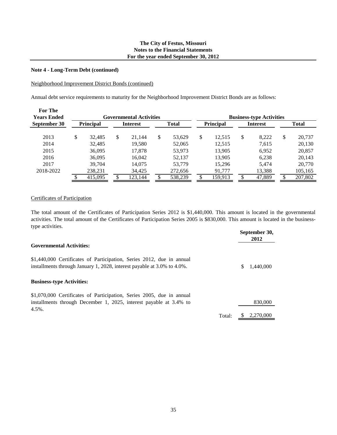#### **Note 4 - Long-Term Debt (continued)**

### Neighborhood Improvement District Bonds (continued)

Annual debt service requirements to maturity for the Neighborhood Improvement District Bonds are as follows:

| <b>For The</b>     |                  |                                |              |                  |   |                                 |              |
|--------------------|------------------|--------------------------------|--------------|------------------|---|---------------------------------|--------------|
| <b>Years Ended</b> |                  | <b>Governmental Activities</b> |              |                  |   | <b>Business-type Activities</b> |              |
| September 30       | <b>Principal</b> | <b>Interest</b>                | <b>Total</b> | <b>Principal</b> |   | <b>Interest</b>                 | <b>Total</b> |
|                    |                  |                                |              |                  |   |                                 |              |
| 2013               | \$<br>32,485     | \$<br>21.144                   | \$<br>53.629 | \$<br>12.515     | S | 8.222                           | \$<br>20,737 |
| 2014               | 32,485           | 19,580                         | 52,065       | 12,515           |   | 7,615                           | 20,130       |
| 2015               | 36,095           | 17,878                         | 53.973       | 13,905           |   | 6,952                           | 20,857       |
| 2016               | 36,095           | 16,042                         | 52,137       | 13,905           |   | 6,238                           | 20,143       |
| 2017               | 39,704           | 14,075                         | 53,779       | 15.296           |   | 5,474                           | 20,770       |
| 2018-2022          | 238,231          | 34,425                         | 272,656      | 91,777           |   | 13,388                          | 105,165      |
|                    | 415,095          | 123,144                        | 538,239      | 159,913          |   | 47,889                          | 207,802      |

### Certificates of Participation

The total amount of the Certificates of Participation Series 2012 is \$1,440,000. This amount is located in the governmental activities. The total amount of the Certificates of Participation Series 2005 is \$830,000. This amount is located in the businesstype activities.

|                                                                                                                                                  |   | September 30,<br>2012 |
|--------------------------------------------------------------------------------------------------------------------------------------------------|---|-----------------------|
| <b>Governmental Activities:</b>                                                                                                                  |   |                       |
| \$1,440,000 Certificates of Participation, Series 2012, due in annual<br>installments through January 1, 2028, interest payable at 3.0% to 4.0%. | S | 1.440.000             |
| <b>Business-type Activities:</b>                                                                                                                 |   |                       |
| \$1,070,000 Certificates of Participation, Series 2005, due in annual<br>installments through December 1, 2025, interest payable at 3.4% to      |   | 830,000               |
| $4.5\%$ .<br>Total:                                                                                                                              |   | 2,270,000             |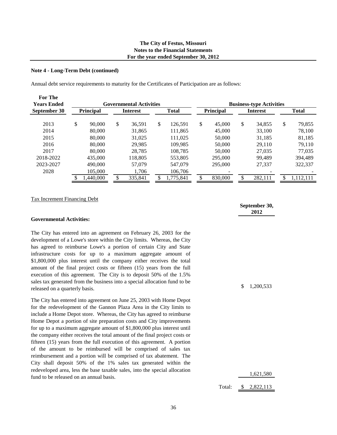### **Notes to the Financial Statements For the year ended September 30, 2012 The City of Festus, Missouri**

#### **Note 4 - Long-Term Debt (continued)**

Annual debt service requirements to maturity for the Certificates of Participation are as follows:

| <b>For The</b><br><b>Years Ended</b> |                  | <b>Governmental Activities</b> |                 |    |              |    | <b>Business-type Activities</b> |    |                 |    |              |  |
|--------------------------------------|------------------|--------------------------------|-----------------|----|--------------|----|---------------------------------|----|-----------------|----|--------------|--|
| September 30                         | <b>Principal</b> |                                | <b>Interest</b> |    | <b>Total</b> |    | Principal                       |    | <b>Interest</b> |    | <b>Total</b> |  |
| 2013                                 | \$<br>90,000     | \$                             | 36,591          | \$ | 126.591      | \$ | 45,000                          | \$ | 34,855          | \$ | 79,855       |  |
| 2014                                 | 80,000           |                                | 31,865          |    | 111.865      |    | 45,000                          |    | 33,100          |    | 78,100       |  |
| 2015                                 | 80,000           |                                | 31,025          |    | 111.025      |    | 50,000                          |    | 31.185          |    | 81,185       |  |
| 2016                                 | 80,000           |                                | 29,985          |    | 109.985      |    | 50,000                          |    | 29,110          |    | 79.110       |  |
| 2017                                 | 80,000           |                                | 28.785          |    | 108.785      |    | 50,000                          |    | 27.035          |    | 77.035       |  |
| 2018-2022                            | 435,000          |                                | 118.805         |    | 553,805      |    | 295,000                         |    | 99.489          |    | 394,489      |  |
| 2023-2027                            | 490,000          |                                | 57,079          |    | 547,079      |    | 295,000                         |    | 27,337          |    | 322,337      |  |
| 2028                                 | 105,000          |                                | 1,706           |    | 106,706      |    |                                 |    |                 |    |              |  |
|                                      | 1,440,000        |                                | 335,841         |    | 1,775,841    | \$ | 830,000                         |    | 282,111         | \$ | 1,112,111    |  |

Tax Increment Financing Debt

#### **Governmental Activities:**

The City has entered into an agreement on February 26, 2003 for the development of a Lowe's store within the City limits. Whereas, the City has agreed to reimburse Lowe's a portion of certain City and State infrastructure costs for up to a maximum aggregate amount of \$1,800,000 plus interest until the company either receives the total amount of the final project costs or fifteen (15) years from the full execution of this agreement. The City is to deposit 50% of the 1.5% sales tax generated from the business into a special allocation fund to be released on a quarterly basis.

The City has entered into agreement on June 25, 2003 with Home Depot for the redevelopment of the Gannon Plaza Area in the City limits to include a Home Depot store. Whereas, the City has agreed to reimburse Home Depot a portion of site preparation costs and City improvements for up to a maximum aggregate amount of \$1,800,000 plus interest until the company either receives the total amount of the final project costs or fifteen (15) years from the full execution of this agreement. A portion of the amount to be reimbursed will be comprised of sales tax reimbursement and a portion will be comprised of tax abatement. The City shall deposit 50% of the 1% sales tax generated within the redeveloped area, less the base taxable sales, into the special allocation fund to be released on an annual basis.

**September 30, 2012**

\$ 1,200,533

| Total: | S. | 2,822,113 |
|--------|----|-----------|

1,621,580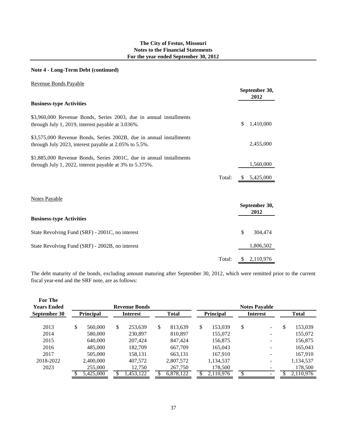### **Note 4 - Long-Term Debt (continued)**

| <b>Revenue Bonds Payable</b>                                                                                                   |        | September 30,<br>2012 |
|--------------------------------------------------------------------------------------------------------------------------------|--------|-----------------------|
| <b>Business-type Activities</b>                                                                                                |        |                       |
| \$3,960,000 Revenue Bonds, Series 2003, due in annual installments<br>through July 1, 2019, interest payable at 3.036%.        |        | \$<br>1,410,000       |
| \$3,575,000 Revenue Bonds, Series 2002B, due in annual installments<br>through July 2023, interest payable at 2.05% to 5.5%.   |        | 2,455,000             |
| \$1,885,000 Revenue Bonds, Series 2001C, due in annual installments<br>through July 1, 2022, interest payable at 3% to 5.375%. |        | 1,560,000             |
|                                                                                                                                | Total: | 5,425,000             |
| <b>Notes Payable</b>                                                                                                           |        | September 30,<br>2012 |
| <b>Business-type Activities</b>                                                                                                |        |                       |
| State Revolving Fund (SRF) - 2001C, no interest                                                                                |        | \$<br>304,474         |
| State Revolving Fund (SRF) - 2002B, no interest                                                                                |        | 1,806,502             |
|                                                                                                                                | Total: | 2,110,976             |

The debt maturity of the bonds, excluding amount maturing after September 30, 2012, which were remitted prior to the current fiscal year-end and the SRF note, are as follows:

| <b>For The</b><br><b>Years Ended</b> |                  | <b>Revenue Bonds</b> |               |                  | <b>Notes Pavable</b>           |               |
|--------------------------------------|------------------|----------------------|---------------|------------------|--------------------------------|---------------|
| September 30                         | <b>Principal</b> | <b>Interest</b>      | <b>Total</b>  | <b>Principal</b> | <b>Interest</b>                | <b>Total</b>  |
| 2013                                 | \$<br>560,000    | \$<br>253,639        | \$<br>813,639 | \$<br>153,039    | \$<br>$\overline{\phantom{a}}$ | \$<br>153,039 |
| 2014                                 | 580,000          | 230,897              | 810,897       | 155,072          | $\overline{\phantom{a}}$       | 155,072       |
| 2015                                 | 640,000          | 207.424              | 847,424       | 156,875          |                                | 156,875       |
| 2016                                 | 485,000          | 182.709              | 667.709       | 165.043          |                                | 165,043       |
| 2017                                 | 505,000          | 158,131              | 663,131       | 167,910          |                                | 167,910       |
| 2018-2022                            | 2,400,000        | 407,572              | 2,807,572     | 1,134,537        |                                | 1,134,537     |
| 2023                                 | 255,000          | 12,750               | 267,750       | 178,500          |                                | 178,500       |
|                                      | 5,425,000        | 1,453,122            | 6,878,122     | 2,110,976        | \$                             | 2,110,976     |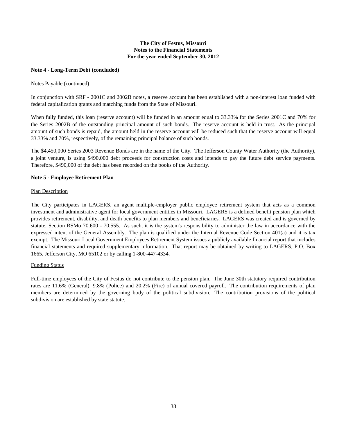### **Note 4 - Long-Term Debt (concluded)**

#### Notes Payable (continued)

In conjunction with SRF - 2001C and 2002B notes, a reserve account has been established with a non-interest loan funded with federal capitalization grants and matching funds from the State of Missouri.

When fully funded, this loan (reserve account) will be funded in an amount equal to 33.33% for the Series 2001C and 70% for the Series 2002B of the outstanding principal amount of such bonds. The reserve account is held in trust. As the principal amount of such bonds is repaid, the amount held in the reserve account will be reduced such that the reserve account will equal 33.33% and 70%, respectively, of the remaining principal balance of such bonds.

The \$4,450,000 Series 2003 Revenue Bonds are in the name of the City. The Jefferson County Water Authority (the Authority), a joint venture, is using \$490,000 debt proceeds for construction costs and intends to pay the future debt service payments. Therefore, \$490,000 of the debt has been recorded on the books of the Authority.

### **Note 5 - Employee Retirement Plan**

### Plan Description

The City participates in LAGERS, an agent multiple-employer public employee retirement system that acts as a common investment and administrative agent for local government entities in Missouri. LAGERS is a defined benefit pension plan which provides retirement, disability, and death benefits to plan members and beneficiaries. LAGERS was created and is governed by statute, Section RSMo 70.600 - 70.555. As such, it is the system's responsibility to administer the law in accordance with the expressed intent of the General Assembly. The plan is qualified under the Internal Revenue Code Section 401(a) and it is tax exempt. The Missouri Local Government Employees Retirement System issues a publicly available financial report that includes financial statements and required supplementary information. That report may be obtained by writing to LAGERS, P.O. Box 1665, Jefferson City, MO 65102 or by calling 1-800-447-4334.

### Funding Status

Full-time employees of the City of Festus do not contribute to the pension plan. The June 30th statutory required contribution rates are 11.6% (General), 9.8% (Police) and 20.2% (Fire) of annual covered payroll. The contribution requirements of plan members are determined by the governing body of the political subdivision. The contribution provisions of the political subdivision are established by state statute.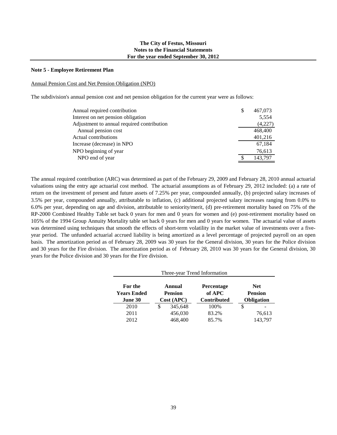#### **Note 5 - Employee Retirement Plan**

#### Annual Pension Cost and Net Pension Obligation (NPO)

The subdivision's annual pension cost and net pension obligation for the current year were as follows:

| Annual required contribution               | S | 467,073 |
|--------------------------------------------|---|---------|
| Interest on net pension obligation         |   | 5,554   |
| Adjustment to annual required contribution |   | (4,227) |
| Annual pension cost                        |   | 468,400 |
| Actual contributions                       |   | 401,216 |
| Increase (decrease) in NPO                 |   | 67,184  |
| NPO beginning of year                      |   | 76,613  |
| NPO end of year                            |   | 143,797 |
|                                            |   |         |

The annual required contribution (ARC) was determined as part of the February 29, 2009 and February 28, 2010 annual actuarial valuations using the entry age actuarial cost method. The actuarial assumptions as of February 29, 2012 included: (a) a rate of return on the investment of present and future assets of 7.25% per year, compounded annually, (b) projected salary increases of 3.5% per year, compounded annually, attributable to inflation, (c) additional projected salary increases ranging from 0.0% to 6.0% per year, depending on age and division, attributable to seniority/merit, (d) pre-retirement mortality based on 75% of the RP-2000 Combined Healthy Table set back 0 years for men and 0 years for women and (e) post-retirement mortality based on 105% of the 1994 Group Annuity Mortality table set back 0 years for men and 0 years for women. The actuarial value of assets was determined using techniques that smooth the effects of short-term volatility in the market value of investments over a fiveyear period. The unfunded actuarial accrued liability is being amortized as a level percentage of projected payroll on an open basis. The amortization period as of February 28, 2009 was 30 years for the General division, 30 years for the Police division and 30 years for the Fire division. The amortization period as of February 28, 2010 was 30 years for the General division, 30 years for the Police division and 30 years for the Fire division.

| Three-year Trend Information             |            |                                        |                                                   |                                            |         |  |  |  |  |  |  |  |
|------------------------------------------|------------|----------------------------------------|---------------------------------------------------|--------------------------------------------|---------|--|--|--|--|--|--|--|
| For the<br><b>Years Ended</b><br>June 30 | 2010<br>\$ | Annual<br><b>Pension</b><br>Cost (APC) | <b>Percentage</b><br>of APC<br><b>Contributed</b> | <b>Net</b><br><b>Pension</b><br>Obligation |         |  |  |  |  |  |  |  |
|                                          |            | 345,648                                | 100%                                              | \$                                         |         |  |  |  |  |  |  |  |
| 2011                                     |            | 456,030                                | 83.2%                                             |                                            | 76,613  |  |  |  |  |  |  |  |
| 2012                                     |            | 468,400                                | 85.7%                                             |                                            | 143,797 |  |  |  |  |  |  |  |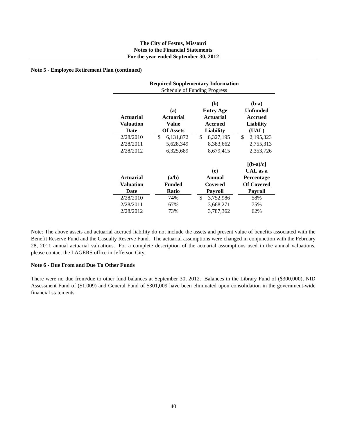### **Note 5 - Employee Retirement Plan (continued)**

|                                       | <b>Required Supplementary Information</b><br>Schedule of Funding Progress |                                                                     |                                                             |  |  |  |  |  |  |  |  |  |
|---------------------------------------|---------------------------------------------------------------------------|---------------------------------------------------------------------|-------------------------------------------------------------|--|--|--|--|--|--|--|--|--|
| <b>Actuarial</b><br>Valuation<br>Date | (a)<br><b>Actuarial</b><br>Value<br><b>Of Assets</b>                      | (b)<br><b>Entry Age</b><br><b>Actuarial</b><br>Accrued<br>Liability | $(b-a)$<br>Unfunded<br>Accrued<br><b>Liability</b><br>(UAL) |  |  |  |  |  |  |  |  |  |
| 2/28/2010                             | \$<br>6,131,872                                                           | \$<br>8,327,195                                                     | \$<br>2,195,323                                             |  |  |  |  |  |  |  |  |  |
| 2/28/2011                             | 5,628,349                                                                 | 8,383,662                                                           | 2,755,313                                                   |  |  |  |  |  |  |  |  |  |
| 2/28/2012                             | 6,325,689                                                                 | 8,679,415                                                           | 2,353,726                                                   |  |  |  |  |  |  |  |  |  |
| <b>Actuarial</b>                      | (a/b)                                                                     | (c)<br>Annual                                                       | $[(b-a)/c]$<br>UAL as a<br><b>Percentage</b>                |  |  |  |  |  |  |  |  |  |
| Valuation                             | <b>Funded</b>                                                             | Covered                                                             | <b>Of Covered</b>                                           |  |  |  |  |  |  |  |  |  |
| Date                                  | Ratio                                                                     | <b>Payroll</b>                                                      | Payroll                                                     |  |  |  |  |  |  |  |  |  |
| 2/28/2010                             | 74%                                                                       | \$<br>3,752,986                                                     | 58%                                                         |  |  |  |  |  |  |  |  |  |
| 2/28/2011                             | 67%                                                                       | 3,668,271                                                           | 75%                                                         |  |  |  |  |  |  |  |  |  |
| 2/28/2012                             | 73%                                                                       | 3,787,362                                                           | 62%                                                         |  |  |  |  |  |  |  |  |  |

Note: The above assets and actuarial accrued liability do not include the assets and present value of benefits associated with the Benefit Reserve Fund and the Casualty Reserve Fund. The actuarial assumptions were changed in conjunction with the February 28, 2011 annual actuarial valuations. For a complete description of the actuarial assumptions used in the annual valuations, please contact the LAGERS office in Jefferson City.

#### **Note 6 - Due From and Due To Other Funds**

There were no due from/due to other fund balances at September 30, 2012. Balances in the Library Fund of (\$300,000), NID Assessment Fund of (\$1,009) and General Fund of \$301,009 have been eliminated upon consolidation in the government-wide financial statements.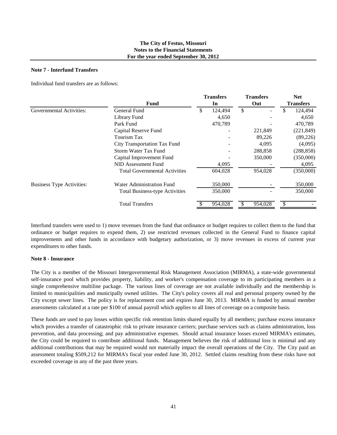### **Note 7 - Interfund Transfers**

Individual fund transfers are as follows:

|                                  |                                       | <b>Transfers</b> | <b>Transfers</b> | <b>Net</b>       |
|----------------------------------|---------------------------------------|------------------|------------------|------------------|
|                                  | Fund                                  | In               | Out              | <b>Transfers</b> |
| Governmental Activities:         | General Fund                          | \$<br>124,494    | \$               | 124,494<br>\$    |
|                                  | Library Fund                          | 4,650            |                  | 4,650            |
|                                  | Park Fund                             | 470,789          |                  | 470,789          |
|                                  | Capital Reserve Fund                  |                  | 221,849          | (221, 849)       |
|                                  | Tourism Tax                           |                  | 89,226           | (89, 226)        |
|                                  | City Transportation Tax Fund          |                  | 4,095            | (4,095)          |
|                                  | Storm Water Tax Fund                  |                  | 288,858          | (288, 858)       |
|                                  | Capital Improvement Fund              |                  | 350,000          | (350,000)        |
|                                  | NID Assessment Fund                   | 4,095            |                  | 4,095            |
|                                  | <b>Total Governmental Activities</b>  | 604,028          | 954,028          | (350,000)        |
| <b>Business Type Activities:</b> | <b>Water Administration Fund</b>      | 350,000          |                  | 350,000          |
|                                  | <b>Total Business-type Activities</b> | 350,000          |                  | 350,000          |
|                                  | <b>Total Transfers</b>                | 954,028          | 954,028          |                  |

Interfund transfers were used to 1) move revenues from the fund that ordinance or budget requires to collect them to the fund that ordinance or budget requires to expend them, 2) use restricted revenues collected in the General Fund to finance capital improvements and other funds in accordance with budgetary authorization, or 3) move revenues in excess of current year expenditures to other funds.

### **Note 8 - Insurance**

The City is a member of the Missouri Intergovernmental Risk Management Association (MIRMA), a state-wide governmental self-insurance pool which provides property, liability, and worker's compensation coverage to its participating members in a single comprehensive multiline package. The various lines of coverage are not available individually and the membership is limited to municipalities and municipally owned utilities. The City's policy covers all real and personal property owned by the City except sewer lines. The policy is for replacement cost and expires June 30, 2013. MIRMA is funded by annual member assessments calculated at a rate per \$100 of annual payroll which applies to all lines of coverage on a composite basis.

These funds are used to pay losses within specific risk retention limits shared equally by all members; purchase excess insurance which provides a transfer of catastrophic risk to private insurance carriers; purchase services such as claims administration, loss prevention, and data processing; and pay administrative expenses. Should actual insurance losses exceed MIRMA's estimates, the City could be required to contribute additional funds. Management believes the risk of additional loss is minimal and any additional contributions that may be required would not materially impact the overall operations of the City. The City paid an assessment totaling \$509,212 for MIRMA's fiscal year ended June 30, 2012. Settled claims resulting from these risks have not exceeded coverage in any of the past three years.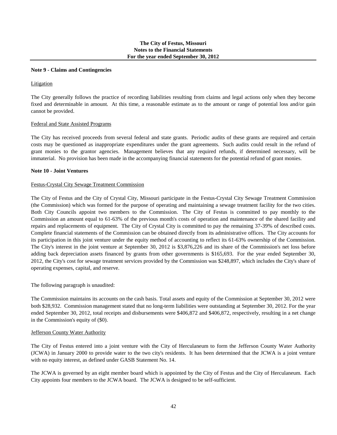#### **Note 9 - Claims and Contingencies**

Litigation

The City generally follows the practice of recording liabilities resulting from claims and legal actions only when they become fixed and determinable in amount. At this time, a reasonable estimate as to the amount or range of potential loss and/or gain cannot be provided.

### Federal and State Assisted Programs

The City has received proceeds from several federal and state grants. Periodic audits of these grants are required and certain costs may be questioned as inappropriate expenditures under the grant agreements. Such audits could result in the refund of grant monies to the grantor agencies. Management believes that any required refunds, if determined necessary, will be immaterial. No provision has been made in the accompanying financial statements for the potential refund of grant monies.

### **Note 10 - Joint Ventures**

### Festus-Crystal City Sewage Treatment Commission

The City of Festus and the City of Crystal City, Missouri participate in the Festus-Crystal City Sewage Treatment Commission (the Commission) which was formed for the purpose of operating and maintaining a sewage treatment facility for the two cities. Both City Councils appoint two members to the Commission. The City of Festus is committed to pay monthly to the Commission an amount equal to 61-63% of the previous month's costs of operation and maintenance of the shared facility and repairs and replacements of equipment. The City of Crystal City is committed to pay the remaining 37-39% of described costs. Complete financial statements of the Commission can be obtained directly from its administrative offices. The City accounts for its participation in this joint venture under the equity method of accounting to reflect its 61-63% ownership of the Commission. The City's interest in the joint venture at September 30, 2012 is \$3,876,226 and its share of the Commission's net loss before adding back depreciation assets financed by grants from other governments is \$165,693. For the year ended September 30, 2012, the City's cost for sewage treatment services provided by the Commission was \$248,897, which includes the City's share of operating expenses, capital, and reserve.

The following paragraph is unaudited:

The Commission maintains its accounts on the cash basis. Total assets and equity of the Commission at September 30, 2012 were both \$28,932. Commission management stated that no long-term liabilities were outstanding at September 30, 2012. For the year ended September 30, 2012, total receipts and disbursements were \$406,872 and \$406,872, respectively, resulting in a net change in the Commission's equity of (\$0).

### Jefferson County Water Authority

The City of Festus entered into a joint venture with the City of Herculaneum to form the Jefferson County Water Authority (JCWA) in January 2000 to provide water to the two city's residents. It has been determined that the JCWA is a joint venture with no equity interest, as defined under GASB Statement No. 14.

The JCWA is governed by an eight member board which is appointed by the City of Festus and the City of Herculaneum. Each City appoints four members to the JCWA board. The JCWA is designed to be self-sufficient.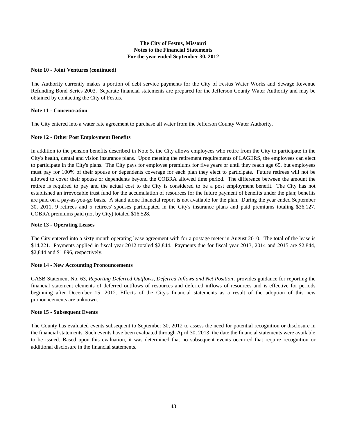#### **Note 10 - Joint Ventures (continued)**

The Authority currently makes a portion of debt service payments for the City of Festus Water Works and Sewage Revenue Refunding Bond Series 2003. Separate financial statements are prepared for the Jefferson County Water Authority and may be obtained by contacting the City of Festus.

### **Note 11 - Concentration**

The City entered into a water rate agreement to purchase all water from the Jefferson County Water Authority.

### **Note 12 - Other Post Employment Benefits**

In addition to the pension benefits described in Note 5, the City allows employees who retire from the City to participate in the City's health, dental and vision insurance plans. Upon meeting the retirement requirements of LAGERS, the employees can elect to participate in the City's plans. The City pays for employee premiums for five years or until they reach age 65, but employees must pay for 100% of their spouse or dependents coverage for each plan they elect to participate. Future retirees will not be allowed to cover their spouse or dependents beyond the COBRA allowed time period. The difference between the amount the retiree is required to pay and the actual cost to the City is considered to be a post employment benefit. The City has not established an irrevocable trust fund for the accumulation of resources for the future payment of benefits under the plan; benefits are paid on a pay-as-you-go basis. A stand alone financial report is not available for the plan. During the year ended September 30, 2011, 9 retirees and 5 retirees' spouses participated in the City's insurance plans and paid premiums totaling \$36,127. COBRA premiums paid (not by City) totaled \$16,528.

### **Note 13 - Operating Leases**

The City entered into a sixty month operating lease agreement with for a postage meter in August 2010. The total of the lease is \$14,221. Payments applied in fiscal year 2012 totaled \$2,844. Payments due for fiscal year 2013, 2014 and 2015 are \$2,844, \$2,844 and \$1,896, respectively.

### **Note 14 - New Accounting Pronouncements**

GASB Statement No. 63, *Reporting Deferred Outflows, Deferred Inflows and Net Position* , provides guidance for reporting the financial statement elements of deferred outflows of resources and deferred inflows of resources and is effective for periods beginning after December 15, 2012. Effects of the City's financial statements as a result of the adoption of this new pronouncements are unknown.

### **Note 15 - Subsequent Events**

The County has evaluated events subsequent to September 30, 2012 to assess the need for potential recognition or disclosure in the financial statements. Such events have been evaluated through April 30, 2013, the date the financial statements were available to be issued. Based upon this evaluation, it was determined that no subsequent events occurred that require recognition or additional disclosure in the financial statements.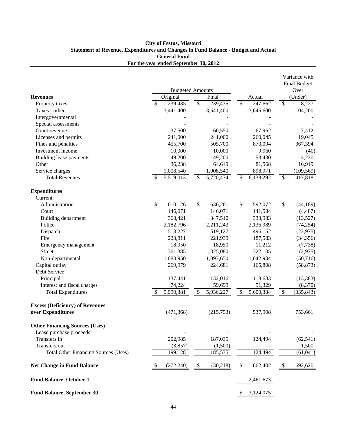## **City of Festus, Missouri Statement of Revenue, Expenditures and Changes in Fund Balance - Budget and Actual General Fund For the year ended September 30, 2012**

|                                                                  |               |                                     |                 |           |              |           |                          | Variance with<br><b>Final Budget</b><br>Over |
|------------------------------------------------------------------|---------------|-------------------------------------|-----------------|-----------|--------------|-----------|--------------------------|----------------------------------------------|
| <b>Revenues</b>                                                  |               | <b>Budgeted Amounts</b><br>Original |                 | Final     |              | Actual    |                          | (Under)                                      |
| Property taxes                                                   | $\mathbb{S}$  | 239,435                             | $\overline{\$}$ | 239,435   | $\mathbb{S}$ | 247,662   | $\overline{\mathcal{S}}$ | 8,227                                        |
| Taxes - other                                                    |               | 3,441,400                           |                 | 3,541,400 |              | 3,645,600 |                          | 104,200                                      |
| Intergovernmental                                                |               |                                     |                 |           |              |           |                          |                                              |
| Special assessments                                              |               |                                     |                 |           |              |           |                          |                                              |
| Grant revenue                                                    |               | 37,500                              |                 | 60,550    |              | 67,962    |                          | 7,412                                        |
| Licenses and permits                                             |               | 241,000                             |                 | 241,000   |              | 260,045   |                          | 19,045                                       |
| Fines and penalties                                              |               | 455,700                             |                 | 505,700   |              | 873,094   |                          | 367,394                                      |
| Investment income                                                |               | 10,000                              |                 | 10,000    |              | 9,960     |                          | (40)                                         |
| Building lease payments                                          |               | 49,200                              |                 | 49,200    |              | 53,430    |                          | 4,230                                        |
| Other                                                            |               | 36,238                              |                 | 64,649    |              | 81,568    |                          | 16,919                                       |
| Service charges                                                  |               | 1,008,540                           |                 | 1,008,540 |              | 898,971   |                          | (109, 569)                                   |
| <b>Total Revenues</b>                                            | <sup>\$</sup> | 5,519,013                           | \$              | 5,720,474 | \$           | 6,138,292 | $\mathbb{S}$             | 417,818                                      |
| <b>Expenditures</b>                                              |               |                                     |                 |           |              |           |                          |                                              |
| Current:                                                         |               |                                     |                 |           |              |           |                          |                                              |
| Administration                                                   | \$            | 610,126                             | \$              | 636,261   | \$           | 592,072   | \$                       | (44, 189)                                    |
| Court                                                            |               | 146,071                             |                 | 146,071   |              | 141,584   |                          | (4, 487)                                     |
| Building department                                              |               | 368,421                             |                 | 347,510   |              | 333,983   |                          | (13,527)                                     |
| Police                                                           |               | 2,182,796                           |                 | 2,211,243 |              | 2,136,989 |                          | (74, 254)                                    |
| Dispatch                                                         |               | 513,227                             |                 | 519,127   |              | 496,152   |                          | (22, 975)                                    |
| Fire                                                             |               | 223,811                             |                 | 221,939   |              | 187,583   |                          | (34, 356)                                    |
| Emergency management                                             |               | 18,950                              |                 | 18,950    |              | 11,212    |                          | (7, 738)                                     |
| <b>Street</b>                                                    |               | 361,385                             |                 | 325,080   |              | 322,105   |                          | (2,975)                                      |
| Non-departmental                                                 |               | 1,083,950                           |                 | 1,093,650 |              | 1,042,934 |                          | (50, 716)                                    |
| Capital outlay                                                   |               | 269,979                             |                 | 224,681   |              | 165,808   |                          | (58, 873)                                    |
| Debt Service:                                                    |               |                                     |                 |           |              |           |                          |                                              |
| Principal                                                        |               | 137,441                             |                 | 132,016   |              | 118,633   |                          | (13, 383)                                    |
| Interest and fiscal charges                                      |               | 74,224                              |                 | 59,699    |              | 51,329    |                          | (8,370)                                      |
| <b>Total Expenditures</b>                                        | \$            | 5,990,381                           | \$              | 5,936,227 | \$           | 5,600,384 | $\$\,$                   | (335, 843)                                   |
| <b>Excess (Deficiency) of Revenues</b><br>over Expenditures      |               | (471, 368)                          |                 | (215,753) |              | 537,908   |                          | 753,661                                      |
| <b>Other Financing Sources (Uses)</b><br>Lease purchase proceeds |               |                                     |                 |           |              |           |                          |                                              |
| Transfers in                                                     |               | 202,985                             |                 | 187,035   |              | 124,494   |                          | (62, 541)                                    |
| Transfers out                                                    |               | (3,857)                             |                 | (1,500)   |              |           |                          | 1,500                                        |
| <b>Total Other Financing Sources (Uses)</b>                      |               | 199,128                             |                 | 185,535   |              | 124,494   |                          | (61, 041)                                    |
| <b>Net Change in Fund Balance</b>                                |               | (272, 240)                          | -\$             | (30,218)  | \$           | 662,402   | -\$                      | 692,620                                      |
| <b>Fund Balance, October 1</b>                                   |               |                                     |                 |           |              | 2,461,673 |                          |                                              |
| <b>Fund Balance, September 30</b>                                |               |                                     |                 |           |              | 3,124,075 |                          |                                              |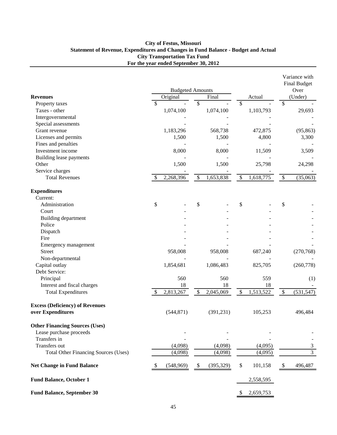### **City of Festus, Missouri Statement of Revenue, Expenditures and Changes in Fund Balance - Budget and Actual City Transportation Tax Fund For the year ended September 30, 2012**

|                                             |               |                         |                 |            |        |           |        | Variance with<br><b>Final Budget</b> |
|---------------------------------------------|---------------|-------------------------|-----------------|------------|--------|-----------|--------|--------------------------------------|
|                                             |               | <b>Budgeted Amounts</b> |                 |            |        |           |        | Over                                 |
| <b>Revenues</b>                             |               | Original                |                 | Final      |        | Actual    |        | (Under)                              |
| Property taxes                              | \$            |                         | $\overline{\$}$ |            | \$     |           | \$     |                                      |
| Taxes - other                               |               | 1,074,100               |                 | 1,074,100  |        | 1,103,793 |        | 29,693                               |
| Intergovernmental                           |               |                         |                 |            |        |           |        |                                      |
| Special assessments                         |               |                         |                 |            |        |           |        |                                      |
| Grant revenue                               |               | 1,183,296               |                 | 568,738    |        | 472,875   |        | (95, 863)                            |
| Licenses and permits                        |               | 1,500                   |                 | 1,500      |        | 4,800     |        | 3,300                                |
| Fines and penalties                         |               |                         |                 |            |        |           |        |                                      |
| Investment income                           |               | 8,000                   |                 | 8,000      |        | 11,509    |        | 3,509                                |
| Building lease payments                     |               |                         |                 |            |        |           |        |                                      |
| Other                                       |               | 1,500                   |                 | 1,500      |        | 25,798    |        | 24,298                               |
| Service charges                             |               |                         |                 |            |        |           |        |                                      |
| <b>Total Revenues</b>                       | <sup>\$</sup> | 2,268,396               | $\$$            | 1,653,838  | $\$\,$ | 1,618,775 | $\$\,$ | (35,063)                             |
| <b>Expenditures</b>                         |               |                         |                 |            |        |           |        |                                      |
| Current:                                    |               |                         |                 |            |        |           |        |                                      |
| Administration                              | \$            |                         | \$              |            | \$     |           | \$     |                                      |
| Court                                       |               |                         |                 |            |        |           |        |                                      |
| Building department                         |               |                         |                 |            |        |           |        |                                      |
| Police                                      |               |                         |                 |            |        |           |        |                                      |
| Dispatch                                    |               |                         |                 |            |        |           |        |                                      |
| Fire                                        |               |                         |                 |            |        |           |        |                                      |
| Emergency management                        |               |                         |                 |            |        |           |        |                                      |
| <b>Street</b>                               |               | 958,008                 |                 | 958,008    |        | 687,240   |        | (270, 768)                           |
| Non-departmental                            |               |                         |                 |            |        |           |        |                                      |
| Capital outlay                              |               | 1,854,681               |                 | 1,086,483  |        | 825,705   |        | (260, 778)                           |
| Debt Service:                               |               |                         |                 |            |        |           |        |                                      |
| Principal                                   |               | 560                     |                 | 560        |        | 559       |        | (1)                                  |
| Interest and fiscal charges                 |               | 18                      |                 | 18         |        | 18        |        |                                      |
| <b>Total Expenditures</b>                   |               | 2,813,267               | \$              | 2,045,069  | \$     | 1,513,522 | \$     | (531, 547)                           |
| <b>Excess (Deficiency) of Revenues</b>      |               |                         |                 |            |        |           |        |                                      |
| over Expenditures                           |               | (544, 871)              |                 | (391, 231) |        | 105,253   |        | 496,484                              |
| <b>Other Financing Sources (Uses)</b>       |               |                         |                 |            |        |           |        |                                      |
| Lease purchase proceeds                     |               |                         |                 |            |        |           |        |                                      |
| Transfers in                                |               |                         |                 |            |        |           |        |                                      |
| <b>Transfers out</b>                        |               | (4,098)                 |                 | (4,098)    |        | (4,095)   |        | 3                                    |
| <b>Total Other Financing Sources (Uses)</b> |               | (4,098)                 |                 | (4,098)    |        | (4,095)   |        | $\overline{3}$                       |
| <b>Net Change in Fund Balance</b>           | \$            | (548,969)               | \$              | (395, 329) | \$     | 101,158   | -S     | 496,487                              |
| <b>Fund Balance, October 1</b>              |               |                         |                 |            |        | 2,558,595 |        |                                      |
| <b>Fund Balance, September 30</b>           |               |                         |                 |            | S      | 2,659,753 |        |                                      |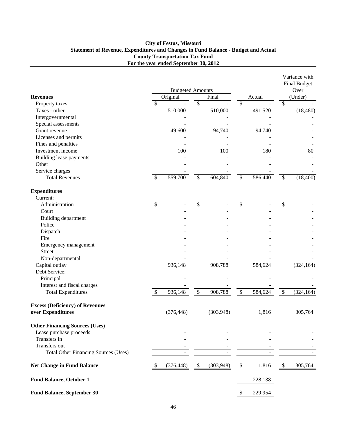### **City of Festus, Missouri Statement of Revenue, Expenditures and Changes in Fund Balance - Budget and Actual County Transportation Tax Fund For the year ended September 30, 2012**

|                                        |                          | <b>Budgeted Amounts</b> |                          |                          |                          |         | Variance with<br><b>Final Budget</b><br>Over<br>(Under) |                          |  |
|----------------------------------------|--------------------------|-------------------------|--------------------------|--------------------------|--------------------------|---------|---------------------------------------------------------|--------------------------|--|
| <b>Revenues</b>                        |                          | Original                |                          | Final                    |                          | Actual  |                                                         |                          |  |
| Property taxes                         | $\overline{\mathcal{S}}$ |                         | $\overline{\$}$          |                          | $\overline{\mathcal{S}}$ |         | \$                                                      |                          |  |
| Taxes - other                          |                          | 510,000                 |                          | 510,000                  |                          | 491,520 |                                                         | (18, 480)                |  |
| Intergovernmental                      |                          |                         |                          |                          |                          |         |                                                         |                          |  |
| Special assessments                    |                          |                         |                          |                          |                          |         |                                                         |                          |  |
| Grant revenue                          |                          | 49,600                  |                          | 94,740                   |                          | 94,740  |                                                         |                          |  |
| Licenses and permits                   |                          |                         |                          |                          |                          |         |                                                         |                          |  |
| Fines and penalties                    |                          |                         |                          |                          |                          |         |                                                         |                          |  |
| Investment income                      |                          | 100                     |                          | 100                      |                          | 180     |                                                         | 80                       |  |
| Building lease payments                |                          |                         |                          |                          |                          |         |                                                         |                          |  |
| Other                                  |                          |                         |                          |                          |                          |         |                                                         |                          |  |
| Service charges                        |                          |                         |                          |                          |                          |         |                                                         |                          |  |
| <b>Total Revenues</b>                  | $\mathcal{S}$            | 559,700                 | $\mathbb{S}$             | 604,840                  | \$                       | 586,440 | $\boldsymbol{\mathsf{S}}$                               | (18, 400)                |  |
| <b>Expenditures</b>                    |                          |                         |                          |                          |                          |         |                                                         |                          |  |
| Current:                               |                          |                         |                          |                          |                          |         |                                                         |                          |  |
| Administration                         | \$                       |                         | \$                       |                          | \$                       |         | \$                                                      |                          |  |
| Court                                  |                          |                         |                          |                          |                          |         |                                                         |                          |  |
| Building department                    |                          |                         |                          |                          |                          |         |                                                         |                          |  |
| Police                                 |                          |                         |                          |                          |                          |         |                                                         |                          |  |
| Dispatch                               |                          |                         |                          |                          |                          |         |                                                         |                          |  |
| Fire                                   |                          |                         |                          |                          |                          |         |                                                         |                          |  |
| Emergency management                   |                          |                         |                          |                          |                          |         |                                                         |                          |  |
| <b>Street</b>                          |                          |                         |                          |                          |                          |         |                                                         |                          |  |
| Non-departmental                       |                          |                         |                          |                          |                          |         |                                                         |                          |  |
| Capital outlay                         |                          | 936,148                 |                          | 908,788                  |                          | 584,624 |                                                         | (324, 164)               |  |
| Debt Service:                          |                          |                         |                          |                          |                          |         |                                                         |                          |  |
| Principal                              |                          |                         |                          |                          |                          |         |                                                         |                          |  |
| Interest and fiscal charges            |                          |                         |                          |                          |                          |         |                                                         |                          |  |
| <b>Total Expenditures</b>              | \$                       | 936,148                 | $\overline{\mathcal{L}}$ | 908,788                  | $\overline{\mathcal{S}}$ | 584,624 | $\overline{\mathcal{S}}$                                | (324, 164)               |  |
| <b>Excess (Deficiency) of Revenues</b> |                          |                         |                          |                          |                          |         |                                                         |                          |  |
| over Expenditures                      |                          | (376, 448)              |                          | (303,948)                |                          | 1,816   |                                                         | 305,764                  |  |
| <b>Other Financing Sources (Uses)</b>  |                          |                         |                          |                          |                          |         |                                                         |                          |  |
| Lease purchase proceeds                |                          |                         |                          |                          |                          |         |                                                         |                          |  |
| Transfers in                           |                          |                         |                          |                          |                          |         |                                                         |                          |  |
| Transfers out                          |                          |                         |                          |                          |                          |         |                                                         |                          |  |
| Total Other Financing Sources (Uses)   |                          |                         |                          | $\overline{\phantom{a}}$ |                          |         |                                                         | $\overline{\phantom{a}}$ |  |
| <b>Net Change in Fund Balance</b>      | \$                       | (376, 448)              | \$                       | (303,948)                | \$                       | 1,816   | $\mathbb{S}$                                            | 305,764                  |  |
| <b>Fund Balance, October 1</b>         |                          |                         |                          |                          |                          | 228,138 |                                                         |                          |  |
| <b>Fund Balance, September 30</b>      |                          |                         |                          |                          | <sup>\$</sup>            | 229,954 |                                                         |                          |  |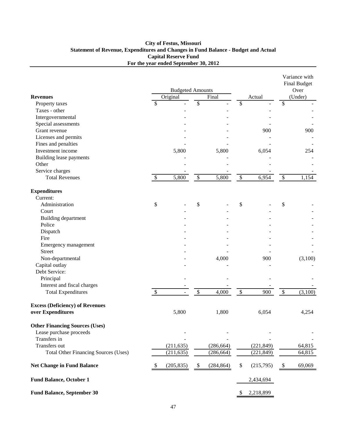## **City of Festus, Missouri Statement of Revenue, Expenditures and Changes in Fund Balance - Budget and Actual Capital Reserve Fund For the year ended September 30, 2012**

|                                             |                           |                         |                          |            |              |            |                          | Variance with<br><b>Final Budget</b> |  |
|---------------------------------------------|---------------------------|-------------------------|--------------------------|------------|--------------|------------|--------------------------|--------------------------------------|--|
|                                             |                           | <b>Budgeted Amounts</b> |                          |            |              |            | Over                     |                                      |  |
| <b>Revenues</b>                             |                           | Original                |                          | Final      |              | Actual     |                          | (Under)                              |  |
| Property taxes                              | $\mathcal{S}$             |                         | \$                       |            | \$           |            | \$                       |                                      |  |
| Taxes - other                               |                           |                         |                          |            |              |            |                          |                                      |  |
| Intergovernmental                           |                           |                         |                          |            |              |            |                          |                                      |  |
| Special assessments                         |                           |                         |                          |            |              |            |                          |                                      |  |
| Grant revenue                               |                           |                         |                          |            |              | 900        |                          | 900                                  |  |
| Licenses and permits                        |                           |                         |                          |            |              |            |                          |                                      |  |
| Fines and penalties                         |                           |                         |                          |            |              |            |                          |                                      |  |
| Investment income                           |                           | 5,800                   |                          | 5,800      |              | 6,054      |                          | 254                                  |  |
| Building lease payments                     |                           |                         |                          |            |              |            |                          |                                      |  |
| Other                                       |                           |                         |                          |            |              |            |                          |                                      |  |
| Service charges                             |                           |                         |                          |            |              |            |                          |                                      |  |
| <b>Total Revenues</b>                       | $\boldsymbol{\mathsf{S}}$ | 5,800                   | $\overline{\mathcal{S}}$ | 5,800      | \$           | 6,954      | $\overline{\mathcal{S}}$ | 1,154                                |  |
| <b>Expenditures</b>                         |                           |                         |                          |            |              |            |                          |                                      |  |
| Current:                                    |                           |                         |                          |            |              |            |                          |                                      |  |
| Administration                              | \$                        |                         | \$                       |            | \$           |            | \$                       |                                      |  |
| Court                                       |                           |                         |                          |            |              |            |                          |                                      |  |
| Building department                         |                           |                         |                          |            |              |            |                          |                                      |  |
| Police                                      |                           |                         |                          |            |              |            |                          |                                      |  |
| Dispatch                                    |                           |                         |                          |            |              |            |                          |                                      |  |
| Fire                                        |                           |                         |                          |            |              |            |                          |                                      |  |
| Emergency management                        |                           |                         |                          |            |              |            |                          |                                      |  |
| <b>Street</b>                               |                           |                         |                          |            |              |            |                          |                                      |  |
| Non-departmental                            |                           |                         |                          | 4,000      |              | 900        |                          | (3,100)                              |  |
| Capital outlay                              |                           |                         |                          |            |              |            |                          |                                      |  |
| Debt Service:                               |                           |                         |                          |            |              |            |                          |                                      |  |
| Principal                                   |                           |                         |                          |            |              |            |                          |                                      |  |
| Interest and fiscal charges                 |                           |                         |                          |            |              |            |                          |                                      |  |
| <b>Total Expenditures</b>                   | \$                        |                         | $\mathbb{S}$             | 4,000      | $\mathbb{S}$ | 900        | $\$\,$                   | (3,100)                              |  |
| <b>Excess (Deficiency) of Revenues</b>      |                           |                         |                          |            |              |            |                          |                                      |  |
| over Expenditures                           |                           | 5,800                   |                          | 1,800      |              | 6,054      |                          | 4,254                                |  |
| <b>Other Financing Sources (Uses)</b>       |                           |                         |                          |            |              |            |                          |                                      |  |
| Lease purchase proceeds                     |                           |                         |                          |            |              |            |                          |                                      |  |
| Transfers in                                |                           |                         |                          |            |              |            |                          |                                      |  |
| Transfers out                               |                           | (211, 635)              |                          | (286, 664) |              | (221, 849) |                          | 64,815                               |  |
| <b>Total Other Financing Sources (Uses)</b> |                           | (211, 635)              |                          | (286, 664) |              | (221, 849) |                          | 64,815                               |  |
| <b>Net Change in Fund Balance</b>           | \$                        | (205, 835)              | \$                       | (284, 864) | \$           | (215,795)  | $\mathcal{L}$            | 69,069                               |  |
| <b>Fund Balance, October 1</b>              |                           |                         |                          |            |              | 2,434,694  |                          |                                      |  |
| <b>Fund Balance, September 30</b>           |                           |                         |                          |            | \$           | 2,218,899  |                          |                                      |  |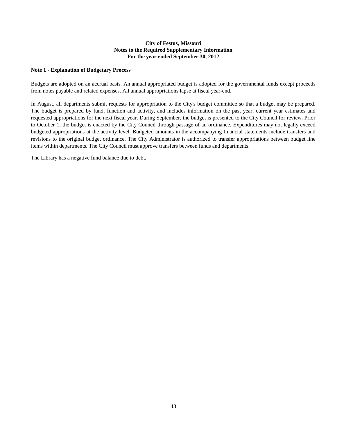### **Note 1 - Explanation of Budgetary Process**

Budgets are adopted on an accrual basis. An annual appropriated budget is adopted for the governmental funds except proceeds from notes payable and related expenses. All annual appropriations lapse at fiscal year-end.

In August, all departments submit requests for appropriation to the City's budget committee so that a budget may be prepared. The budget is prepared by fund, function and activity, and includes information on the past year, current year estimates and requested appropriations for the next fiscal year. During September, the budget is presented to the City Council for review. Prior to October 1, the budget is enacted by the City Council through passage of an ordinance. Expenditures may not legally exceed budgeted appropriations at the activity level. Budgeted amounts in the accompanying financial statements include transfers and revisions to the original budget ordinance. The City Administrator is authorized to transfer appropriations between budget line items within departments. The City Council must approve transfers between funds and departments.

The Library has a negative fund balance due to debt.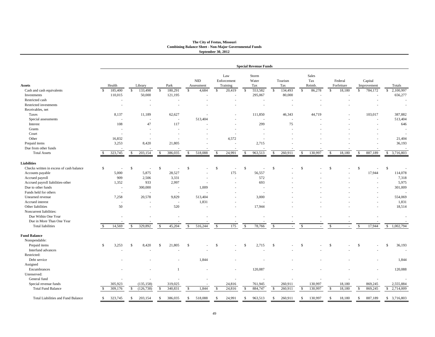### **The City of Festus, Missouri Combining Balance Sheet - Non-Major Governmental Funds September 30, 2012**

|                                          |     |                          |               |                          |               |                          |              |                          |                    |                                |               | <b>Special Revenue Funds</b> |              |                          |               |                        |                    |                          |               |                        |                                                     |
|------------------------------------------|-----|--------------------------|---------------|--------------------------|---------------|--------------------------|--------------|--------------------------|--------------------|--------------------------------|---------------|------------------------------|--------------|--------------------------|---------------|------------------------|--------------------|--------------------------|---------------|------------------------|-----------------------------------------------------|
| <b>Assets</b>                            |     | Health                   |               | Library                  |               | Park                     |              | $\rm NID$<br>Assessment  |                    | Law<br>Enforcement<br>Training |               | Storm<br>Water<br>Tax        |              | Tourism<br>Tax           |               | Sales<br>Tax<br>Reimb. |                    | Federal<br>Forfeiture    |               | Capital<br>Improvement | Totals                                              |
| Cash and cash equivalents                | -\$ | 185,400                  | <sup>\$</sup> | 133,498                  | - \$          | 180,291                  | \$           | 4,684                    | $\mathcal{S}$      | 20,419                         | $\mathbb{S}$  | 553,582                      | \$           | 134,493                  | \$            | 86,278                 | \$                 | 18,180                   | \$            | 784,172                | 2,100,997<br>$\mathbb{S}$                           |
| Investments                              |     | 110,015                  |               | 50,000                   |               | 121,195                  |              |                          |                    |                                |               | 295,067                      |              | 80,000                   |               |                        |                    |                          |               |                        | 656,277                                             |
| Restricted cash                          |     | $\overline{\phantom{a}}$ |               | $\overline{\phantom{a}}$ |               | $\overline{\phantom{a}}$ |              |                          |                    |                                |               | $\sim$                       |              | $\overline{\phantom{a}}$ |               |                        |                    |                          |               |                        |                                                     |
| Restricted investments                   |     |                          |               |                          |               |                          |              |                          |                    |                                |               |                              |              |                          |               |                        |                    |                          |               |                        |                                                     |
| Receivables, net                         |     |                          |               |                          |               |                          |              |                          |                    |                                |               |                              |              |                          |               |                        |                    |                          |               |                        |                                                     |
| Taxes                                    |     | 8,137                    |               | 11,189                   |               | 62,627                   |              |                          |                    |                                |               | 111,850                      |              | 46,343                   |               | 44,719                 |                    |                          |               | 103,017                | 387,882                                             |
| Special assessments                      |     | $\overline{\phantom{a}}$ |               | ÷,                       |               | $\overline{\phantom{a}}$ |              | 513,404                  |                    |                                |               |                              |              |                          |               |                        |                    |                          |               |                        | 513,404                                             |
| Interest                                 |     | 108                      |               | 47                       |               | 117                      |              |                          |                    |                                |               | 299                          |              | 75                       |               |                        |                    |                          |               |                        | 646                                                 |
| Grants                                   |     |                          |               |                          |               |                          |              |                          |                    |                                |               |                              |              |                          |               |                        |                    |                          |               |                        |                                                     |
| Court                                    |     | $\overline{\phantom{a}}$ |               |                          |               |                          |              |                          |                    | $\overline{\phantom{a}}$       |               |                              |              |                          |               |                        |                    |                          |               |                        |                                                     |
| Other                                    |     | 16,832                   |               |                          |               |                          |              |                          |                    | 4,572                          |               |                              |              |                          |               |                        |                    |                          |               |                        | 21,404                                              |
| Prepaid items                            |     | 3,253                    |               | 8,420                    |               | 21,805                   |              |                          |                    |                                |               | 2,715                        |              |                          |               |                        |                    |                          |               |                        | 36,193                                              |
| Due from other funds                     |     |                          |               |                          |               |                          |              |                          |                    |                                |               |                              |              |                          |               |                        |                    |                          |               |                        |                                                     |
| <b>Total Assets</b>                      |     | 323,745                  | <sup>\$</sup> | 203,154                  | -S            | 386,035                  | <sup>S</sup> | 518,088                  | -S                 | 24,991                         | <sup>S</sup>  | 963,513                      | -S           | 260,911                  | S.            | 130,997                | <sup>S</sup>       | 18,180                   | <sup>S</sup>  | 887,189                | $\overline{\phantom{a}}$<br>$\frac{1}{2}$ 3,716,803 |
|                                          |     |                          |               |                          |               |                          |              |                          |                    |                                |               |                              |              |                          |               |                        |                    |                          |               |                        |                                                     |
| <b>Liabilities</b>                       |     |                          |               |                          |               |                          |              |                          |                    |                                |               |                              |              |                          |               |                        |                    |                          |               |                        |                                                     |
| Checks written in excess of cash balance | -\$ |                          | \$            |                          | \$            |                          | \$           |                          | $\mathbf{\hat{S}}$ |                                | \$            |                              | $\mathbb{S}$ |                          | $\mathcal{S}$ |                        | $\mathbf{\hat{S}}$ |                          | $\mathcal{S}$ |                        | $\mathbb{S}$                                        |
| Accounts payable                         |     | 5,000                    |               | 5,875                    |               | 28,527                   |              |                          |                    | 175                            |               | 56,557                       |              |                          |               |                        |                    |                          |               | 17,944                 | 114,078                                             |
| Accrued payroll                          |     | 909                      |               | 2,506                    |               | 3,331                    |              |                          |                    | $\overline{\phantom{a}}$       |               | 572                          |              |                          |               |                        |                    |                          |               |                        | 7,318                                               |
| Accrued payroll liabilities-other        |     | 1,352                    |               | 933                      |               | 2,997                    |              |                          |                    |                                |               | 693                          |              |                          |               |                        |                    |                          |               |                        | 5,975                                               |
| Due to other funds                       |     |                          |               | 300,000                  |               | $\overline{\phantom{a}}$ |              | 1,009                    |                    |                                |               |                              |              |                          |               |                        |                    |                          |               |                        | 301,009                                             |
| Funds held for others                    |     | $\overline{\phantom{a}}$ |               | $\overline{a}$           |               | $\overline{\phantom{a}}$ |              |                          |                    |                                |               | $\sim$                       |              |                          |               |                        |                    |                          |               |                        |                                                     |
| Unearned revenue                         |     | 7,258                    |               | 20,578                   |               | 9,829                    |              | 513,404                  |                    |                                |               | 3,000                        |              |                          |               |                        |                    |                          |               |                        | 554,069                                             |
| Accrued interest                         |     |                          |               |                          |               | $\overline{\phantom{a}}$ |              | 1,831                    |                    |                                |               | $\overline{\phantom{a}}$     |              |                          |               |                        |                    |                          |               |                        | 1,831                                               |
| Other liabilities                        |     | 50                       |               |                          |               | 520                      |              | $\overline{\phantom{a}}$ |                    | $\overline{\phantom{a}}$       |               | 17,944                       |              |                          |               |                        |                    |                          |               |                        | 18,514                                              |
| Noncurrent liabilities:                  |     |                          |               |                          |               |                          |              |                          |                    |                                |               |                              |              |                          |               |                        |                    |                          |               |                        |                                                     |
| Due Within One Year                      |     | $\overline{\phantom{a}}$ |               |                          |               |                          |              |                          |                    |                                |               |                              |              |                          |               |                        |                    |                          |               |                        |                                                     |
| Due in More Than One Year                |     |                          |               |                          |               |                          |              |                          |                    |                                |               |                              |              |                          |               |                        |                    |                          |               |                        |                                                     |
| <b>Total liabilities</b>                 |     | 14,569                   | <sup>\$</sup> | 329,892                  | <sup>\$</sup> | 45,204                   | -\$          | 516,244                  | \$                 | 175                            | \$            | 78,766                       | - \$         | $\sim$                   | \$            |                        | \$                 |                          | \$            | 17,944                 | $\frac{1,002,794}{$                                 |
| <b>Fund Balance</b><br>Nonspendable:     |     |                          |               |                          |               |                          |              |                          |                    |                                |               |                              |              |                          |               |                        |                    |                          |               |                        |                                                     |
| Prepaid items                            | \$  | 3,253                    | \$            | 8,420                    | -\$           | 21,805                   | \$           |                          | -\$                |                                | \$            | 2,715                        | \$           |                          | <sup>\$</sup> |                        | <sup>\$</sup>      |                          | $\mathcal{S}$ |                        | 36,193<br>$\mathcal{S}$                             |
| Interfund advances                       |     |                          |               |                          |               |                          |              |                          |                    |                                |               |                              |              |                          |               |                        |                    |                          |               |                        |                                                     |
| Restricted:                              |     |                          |               |                          |               |                          |              |                          |                    |                                |               |                              |              |                          |               |                        |                    |                          |               |                        |                                                     |
| Debt service                             |     |                          |               |                          |               |                          |              | 1,844                    |                    |                                |               |                              |              |                          |               |                        |                    |                          |               |                        | 1,844                                               |
| Assigned                                 |     |                          |               |                          |               |                          |              |                          |                    |                                |               |                              |              |                          |               |                        |                    |                          |               |                        |                                                     |
| Encumbrances                             |     |                          |               |                          |               |                          |              |                          |                    | $\overline{\phantom{a}}$       |               | 120,087                      |              |                          |               |                        |                    |                          |               |                        | 120,088                                             |
| Unreserved:                              |     |                          |               |                          |               |                          |              |                          |                    |                                |               |                              |              |                          |               |                        |                    |                          |               |                        |                                                     |
| General fund                             |     | $\overline{\phantom{a}}$ |               | $\overline{\phantom{m}}$ |               | $\overline{\phantom{a}}$ |              | $\overline{\phantom{a}}$ |                    | $\overline{\phantom{a}}$       |               | $\overline{\phantom{a}}$     |              | $\overline{\phantom{a}}$ |               | $\sim$                 |                    | $\overline{\phantom{a}}$ |               |                        |                                                     |
| Special revenue funds                    |     | 305,923                  |               | (135, 158)               |               | 319,025                  |              |                          |                    | 24,816                         |               | 761,945                      |              | 260,911                  |               | 130,997                |                    | 18,180                   |               | 869,245                | 2,555,884                                           |
| <b>Total Fund Balance</b>                |     | 309,176                  | S.            | (126, 738)               | -S            | 340,831                  | S.           | 1,844                    | \$                 | 24,816                         | <sup>\$</sup> | 884,747                      | -S           | 260,911                  | -S            | 130,997                | - \$               | 18,180                   | <sup>S</sup>  | 869,245                | $\frac{$2,714,009}{}$                               |
|                                          |     |                          |               |                          |               |                          |              |                          |                    |                                |               |                              |              |                          |               |                        |                    |                          |               |                        |                                                     |
| Total Liabilities and Fund Balance       | -S  | 323,745                  | S.            | 203,154                  | <sup>\$</sup> | 386,035                  | - \$         | 518,088                  | \$                 | 24,991                         | S,            | 963,513                      | \$           | 260,911                  | <sup>\$</sup> | 130,997                | -S                 | 18,180                   | S,            | 887,189                | \$3,716,803                                         |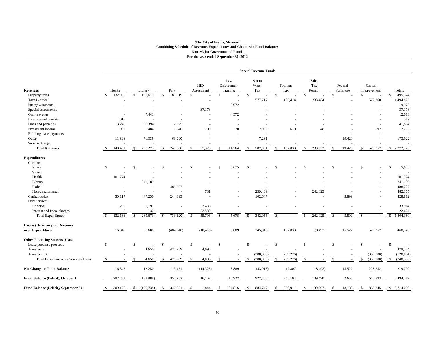### **The City of Festus, Missouri Combining Schedule of Revenue, Expenditures and Changes in Fund Balances For the year ended September 30, 2012 Non-Major Governmental Funds**

|                                             | <b>Special Revenue Funds</b> |                          |              |            |               |                          |                    |                          |              |                          |               |                |                    |           |               |              |               |            |              |             |              |                             |
|---------------------------------------------|------------------------------|--------------------------|--------------|------------|---------------|--------------------------|--------------------|--------------------------|--------------|--------------------------|---------------|----------------|--------------------|-----------|---------------|--------------|---------------|------------|--------------|-------------|--------------|-----------------------------|
|                                             |                              |                          |              |            |               |                          |                    | NID                      |              | Law<br>Enforcement       |               | Storm<br>Water |                    | Tourism   |               | Sales<br>Tax |               | Federal    |              | Capital     |              |                             |
| <b>Revenues</b>                             |                              | Health                   |              | Library    |               | Park                     |                    | Assessment               |              | Training                 |               | Tax            |                    | Tax       |               | Reimb.       |               | Forfeiture |              | Improvement |              | Totals                      |
| Property taxes                              | $\mathbb{S}$                 | 132,086                  | $\mathbb{S}$ | 181,619    | \$            | 181,619                  | $\mathbf{\hat{S}}$ |                          | $\mathbb{S}$ | $\overline{\phantom{a}}$ | $\mathbb{S}$  |                | $\mathbb{S}$       | $\sim$    | $\mathcal{S}$ |              | $\mathbb{S}$  |            | $\mathbb{S}$ |             | $\mathbb{S}$ | 495,324                     |
| Taxes - other                               |                              |                          |              |            |               |                          |                    |                          |              | $\overline{\phantom{a}}$ |               | 577,717        |                    | 106,414   |               | 233,484      |               |            |              | 577,260     |              | 1,494,875                   |
| Intergovernmental                           |                              |                          |              |            |               |                          |                    |                          |              | 9,972                    |               |                |                    |           |               |              |               |            |              |             |              | 9,972                       |
| Special assessments                         |                              |                          |              |            |               |                          |                    | 37,178                   |              | $\overline{\phantom{a}}$ |               |                |                    |           |               |              |               |            |              |             |              | 37,178                      |
| Grant revenue                               |                              | $\overline{\phantom{a}}$ |              | 7,441      |               |                          |                    | $\overline{\phantom{a}}$ |              | 4,572                    |               |                |                    |           |               |              |               |            |              |             |              | 12,013                      |
| Licenses and permits                        |                              | 317                      |              |            |               |                          |                    |                          |              |                          |               |                |                    |           |               |              |               |            |              |             |              | 317                         |
| Fines and penalties                         |                              | 3,245                    |              | 36,394     |               | 2,225                    |                    | ٠                        |              | $\overline{\phantom{a}}$ |               |                |                    |           |               |              |               |            |              |             |              | 41,864                      |
| Investment income                           |                              | 937                      |              | 484        |               | 1,046                    |                    | 200                      |              | 20                       |               | 2,903          |                    | 619       |               | 48           |               | 6          |              | 992         |              | 7,255                       |
| Building lease payments                     |                              |                          |              |            |               |                          |                    |                          |              | $\overline{\phantom{a}}$ |               |                |                    |           |               |              |               |            |              |             |              |                             |
| Other                                       |                              | 11,896                   |              | 71,335     |               | 63,990                   |                    |                          |              | $\overline{\phantom{a}}$ |               | 7,281          |                    |           |               |              |               | 19,420     |              |             |              | 173,922                     |
| Service charges                             |                              |                          |              |            |               |                          |                    |                          |              |                          |               |                |                    |           |               |              |               |            |              |             |              |                             |
| <b>Total Revenues</b>                       | -8                           | 148,481                  | \$           | 297,273    | \$            | 248,880                  | $\mathbf{\hat{S}}$ | 37,378                   | \$           | 14,564                   | \$            | 587,901        | \$                 | 107,033   | \$            | 233,532      | $\mathbb{S}$  | 19,426     | \$           | 578,252     |              | $\frac{1}{2}$ , 2, 272, 720 |
| <b>Expenditures</b>                         |                              |                          |              |            |               |                          |                    |                          |              |                          |               |                |                    |           |               |              |               |            |              |             |              |                             |
| Current:                                    |                              |                          |              |            |               |                          |                    |                          |              |                          |               |                |                    |           |               |              |               |            |              |             |              |                             |
| Police                                      | \$                           |                          | -\$          |            | $\mathcal{S}$ |                          | -\$                |                          | \$           | 5,675                    | -\$           |                | \$                 |           | -\$           |              | -\$           |            | -\$          |             | \$           | 5,675                       |
| Street                                      |                              |                          |              |            |               |                          |                    |                          |              |                          |               |                |                    |           |               |              |               |            |              |             |              |                             |
| Health                                      |                              | 101,774                  |              |            |               |                          |                    |                          |              |                          |               |                |                    |           |               |              |               |            |              |             |              | 101,774                     |
| Library                                     |                              |                          |              | 241,189    |               |                          |                    |                          |              |                          |               |                |                    |           |               |              |               |            |              |             |              | 241,189                     |
| Parks                                       |                              | $\sim$                   |              | $\sim$     |               | 488,227                  |                    |                          |              |                          |               |                |                    |           |               |              |               |            |              |             |              | 488,227                     |
| Non-departmental                            |                              |                          |              |            |               |                          |                    | 731                      |              |                          |               | 239,409        |                    |           |               | 242,025      |               |            |              |             |              | 482,165                     |
| Capital outlay                              |                              | 30,117                   |              | 47,256     |               | 244,893                  |                    |                          |              | $\overline{\phantom{a}}$ |               | 102,647        |                    |           |               |              |               | 3,899      |              |             |              | 428,812                     |
| Debt service:                               |                              |                          |              |            |               |                          |                    |                          |              |                          |               |                |                    |           |               |              |               |            |              |             |              |                             |
| Principal                                   |                              | 238                      |              | 1,191      |               | $\overline{\phantom{a}}$ |                    | 32,485                   |              |                          |               |                |                    |           |               |              |               |            |              |             |              | 33,914                      |
| Interest and fiscal charges                 |                              | $\overline{7}$           |              | 37         |               | $\overline{\phantom{a}}$ |                    | 22,580                   |              |                          |               |                |                    |           |               |              |               |            |              |             |              | 22,624                      |
| <b>Total Expenditures</b>                   |                              | 132,136                  | \$           | 289,673    | \$            | 733,120                  | -S                 | 55,796                   | -S           | 5,675                    | $\mathbb{S}$  | 342,056        | $\mathbf{\hat{S}}$ |           | \$            | 242,025      | -\$           | 3,899      | -\$          |             |              | $\frac{1,804,380}{$         |
| <b>Excess (Deficiency) of Revenues</b>      |                              |                          |              |            |               |                          |                    |                          |              |                          |               |                |                    |           |               |              |               |            |              |             |              |                             |
| over Expenditures                           |                              | 16,345                   |              | 7,600      |               | (484, 240)               |                    | (18, 418)                |              | 8,889                    |               | 245,845        |                    | 107,033   |               | (8, 493)     |               | 15,527     |              | 578,252     |              | 468,340                     |
| <b>Other Financing Sources (Uses)</b>       |                              |                          |              |            |               |                          |                    |                          |              |                          |               |                |                    |           |               |              |               |            |              |             |              |                             |
| Lease purchase proceeds                     | \$                           |                          | -\$          |            | -S            |                          | -\$                |                          | $\mathbb{S}$ |                          | -\$           |                | \$                 |           | $\mathcal{S}$ |              | $\mathcal{S}$ |            | -\$          |             | \$           |                             |
| Transfers in                                |                              |                          |              | 4,650      |               | 470,789                  |                    | 4,095                    |              |                          |               |                |                    |           |               |              |               |            |              |             |              | 479,534                     |
| Transfers out                               |                              |                          |              |            |               |                          |                    |                          |              |                          |               | (288, 858)     |                    | (89, 226) |               |              |               |            |              | (350,000)   |              | (728, 084)                  |
| <b>Total Other Financing Sources (Uses)</b> | S.                           | $\overline{\phantom{a}}$ | $\mathbb{S}$ | 4,650      | \$            | 470,789                  | <sup>S</sup>       | 4,095                    | - \$         | $\overline{\phantom{a}}$ | <sup>\$</sup> | (288, 858)     | $\mathbb{S}$       | (89,226)  | \$            |              | -\$           |            | \$           | (350,000)   | -S           | (248, 550)                  |
|                                             |                              |                          |              |            |               |                          |                    |                          |              |                          |               |                |                    |           |               |              |               |            |              |             |              |                             |
| Net Change in Fund Balance                  |                              | 16,345                   |              | 12,250     |               | (13, 451)                |                    | (14, 323)                |              | 8,889                    |               | (43, 013)      |                    | 17,807    |               | (8, 493)     |               | 15,527     |              | 228,252     |              | 219,790                     |
| Fund Balance (Deficit), October 1           |                              | 292,831                  |              | (138,988)  |               | 354,282                  |                    | 16,167                   |              | 15,927                   |               | 927,760        |                    | 243,104   |               | 139,490      |               | 2,653      |              | 640,993     |              | 2,494,219                   |
| Fund Balance (Deficit), September 30        | -S                           | 309,176                  | -\$          | (126, 738) |               | 340,831                  |                    | 1,844                    |              | 24,816                   | -\$           | 884,747        | -S                 | 260,911   | -8            | 130,997      | S             | 18,180     | \$           | 869,245     |              | \$2,714,009                 |
|                                             |                              |                          |              |            |               |                          |                    |                          |              |                          |               |                |                    |           |               |              |               |            |              |             |              |                             |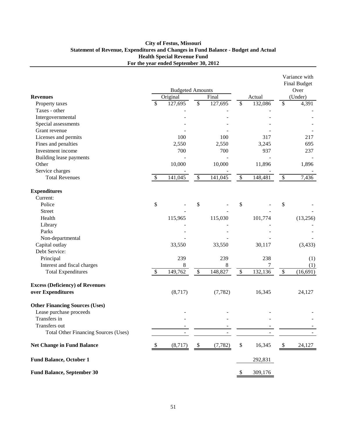### **City of Festus, Missouri Statement of Revenue, Expenditures and Changes in Fund Balance - Budget and Actual Health Special Revenue Fund For the year ended September 30, 2012**

|                                             |                          |                         |                           |          |                 | Variance with<br><b>Final Budget</b> |                          |           |  |
|---------------------------------------------|--------------------------|-------------------------|---------------------------|----------|-----------------|--------------------------------------|--------------------------|-----------|--|
|                                             |                          | <b>Budgeted Amounts</b> |                           |          |                 |                                      | Over                     |           |  |
| <b>Revenues</b>                             |                          | Original                |                           | Final    |                 | Actual                               |                          | (Under)   |  |
| Property taxes                              | $\overline{\mathcal{S}}$ | 127,695                 | $\overline{\$}$           | 127,695  | $\overline{\$}$ | 132,086                              | $\overline{\mathcal{S}}$ | 4,391     |  |
| Taxes - other                               |                          |                         |                           |          |                 |                                      |                          |           |  |
| Intergovernmental                           |                          |                         |                           |          |                 |                                      |                          |           |  |
| Special assessments                         |                          |                         |                           |          |                 |                                      |                          |           |  |
| Grant revenue                               |                          |                         |                           |          |                 |                                      |                          |           |  |
| Licenses and permits                        |                          | 100                     |                           | 100      |                 | 317                                  |                          | 217       |  |
| Fines and penalties                         |                          | 2,550                   |                           | 2,550    |                 | 3,245                                |                          | 695       |  |
| Investment income                           |                          | 700                     |                           | 700      |                 | 937                                  |                          | 237       |  |
| Building lease payments                     |                          |                         |                           |          |                 |                                      |                          |           |  |
| Other                                       |                          | 10,000                  |                           | 10,000   |                 | 11,896                               |                          | 1,896     |  |
| Service charges                             |                          |                         |                           |          |                 |                                      |                          |           |  |
| <b>Total Revenues</b>                       | $\mathcal{S}$            | 141,045                 | $\$\,$                    | 141,045  | \$              | 148,481                              | $\$\,$                   | 7,436     |  |
| <b>Expenditures</b>                         |                          |                         |                           |          |                 |                                      |                          |           |  |
| Current:                                    |                          |                         |                           |          |                 |                                      |                          |           |  |
| Police                                      | \$                       |                         | \$                        |          | \$              |                                      | \$                       |           |  |
| <b>Street</b>                               |                          |                         |                           |          |                 |                                      |                          |           |  |
| Health                                      |                          | 115,965                 |                           | 115,030  |                 | 101,774                              |                          | (13,256)  |  |
| Library                                     |                          |                         |                           |          |                 |                                      |                          |           |  |
| Parks                                       |                          |                         |                           |          |                 |                                      |                          |           |  |
| Non-departmental                            |                          |                         |                           |          |                 |                                      |                          |           |  |
| Capital outlay                              |                          | 33,550                  |                           | 33,550   |                 | 30,117                               |                          | (3, 433)  |  |
| Debt Service:                               |                          |                         |                           |          |                 |                                      |                          |           |  |
| Principal                                   |                          | 239                     |                           | 239      |                 | 238                                  |                          | (1)       |  |
| Interest and fiscal charges                 |                          | $\,8$                   |                           | 8        |                 | 7                                    |                          | (1)       |  |
| <b>Total Expenditures</b>                   | $\mathcal{S}$            | 149,762                 | $\mathbb{S}$              | 148,827  | $\mathbb{S}$    | 132,136                              | $\mathbb{S}$             | (16, 691) |  |
| <b>Excess (Deficiency) of Revenues</b>      |                          |                         |                           |          |                 |                                      |                          |           |  |
| over Expenditures                           |                          | (8,717)                 |                           | (7, 782) |                 | 16,345                               |                          | 24,127    |  |
| <b>Other Financing Sources (Uses)</b>       |                          |                         |                           |          |                 |                                      |                          |           |  |
| Lease purchase proceeds                     |                          |                         |                           |          |                 |                                      |                          |           |  |
| Transfers in                                |                          |                         |                           |          |                 |                                      |                          |           |  |
| Transfers out                               |                          |                         |                           |          |                 |                                      |                          |           |  |
| <b>Total Other Financing Sources (Uses)</b> |                          |                         |                           |          |                 |                                      |                          |           |  |
| <b>Net Change in Fund Balance</b>           | \$                       | (8,717)                 | $\boldsymbol{\mathsf{S}}$ | (7, 782) | \$              | 16,345                               | \$                       | 24,127    |  |
| <b>Fund Balance, October 1</b>              |                          |                         |                           |          |                 | 292,831                              |                          |           |  |
| <b>Fund Balance, September 30</b>           |                          |                         |                           |          |                 | 309,176                              |                          |           |  |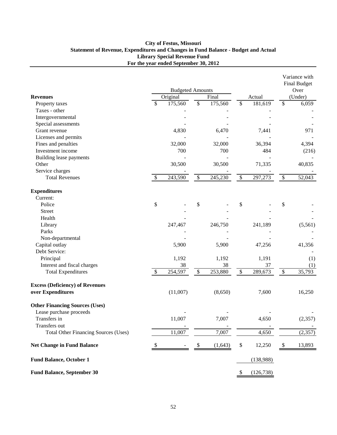### **City of Festus, Missouri Statement of Revenue, Expenditures and Changes in Fund Balance - Budget and Actual Library Special Revenue Fund For the year ended September 30, 2012**

|                                             |                           |                         |                           |         |                 |            |                                        | Variance with |  |
|---------------------------------------------|---------------------------|-------------------------|---------------------------|---------|-----------------|------------|----------------------------------------|---------------|--|
|                                             |                           |                         |                           |         |                 |            | <b>Final Budget</b><br>Over<br>(Under) |               |  |
|                                             |                           | <b>Budgeted Amounts</b> |                           |         |                 |            |                                        |               |  |
| <b>Revenues</b>                             | $\mathcal{S}$             | Original                | $\overline{\$}$           | Final   | $\overline{\$}$ | Actual     | $\overline{\mathcal{S}}$               |               |  |
| Property taxes                              |                           | 175,560                 |                           | 175,560 |                 | 181,619    |                                        | 6,059         |  |
| Taxes - other                               |                           |                         |                           |         |                 |            |                                        |               |  |
| Intergovernmental                           |                           |                         |                           |         |                 |            |                                        |               |  |
| Special assessments                         |                           |                         |                           |         |                 |            |                                        |               |  |
| Grant revenue                               |                           | 4,830                   |                           | 6,470   |                 | 7,441      |                                        | 971           |  |
| Licenses and permits                        |                           |                         |                           |         |                 |            |                                        |               |  |
| Fines and penalties                         |                           | 32,000                  |                           | 32,000  |                 | 36,394     |                                        | 4,394         |  |
| Investment income                           |                           | 700                     |                           | 700     |                 | 484        |                                        | (216)         |  |
| Building lease payments                     |                           |                         |                           |         |                 |            |                                        |               |  |
| Other                                       |                           | 30,500                  |                           | 30,500  |                 | 71,335     |                                        | 40,835        |  |
| Service charges                             |                           |                         |                           |         |                 |            |                                        |               |  |
| <b>Total Revenues</b>                       | $\mathcal{S}$             | 243,590                 | $\mathbb{S}$              | 245,230 | \$              | 297,273    | $\sqrt{3}$                             | 52,043        |  |
| <b>Expenditures</b>                         |                           |                         |                           |         |                 |            |                                        |               |  |
| Current:                                    |                           |                         |                           |         |                 |            |                                        |               |  |
| Police                                      | \$                        |                         | \$                        |         | \$              |            | \$                                     |               |  |
| <b>Street</b>                               |                           |                         |                           |         |                 |            |                                        |               |  |
| Health                                      |                           |                         |                           |         |                 |            |                                        |               |  |
| Library                                     |                           | 247,467                 |                           | 246,750 |                 | 241,189    |                                        | (5,561)       |  |
| Parks                                       |                           |                         |                           |         |                 |            |                                        |               |  |
| Non-departmental                            |                           |                         |                           |         |                 |            |                                        |               |  |
| Capital outlay                              |                           | 5,900                   |                           | 5,900   |                 | 47,256     |                                        | 41,356        |  |
| Debt Service:                               |                           |                         |                           |         |                 |            |                                        |               |  |
| Principal                                   |                           | 1,192                   |                           | 1,192   |                 | 1,191      |                                        | (1)           |  |
| Interest and fiscal charges                 |                           | 38                      |                           | 38      |                 | 37         |                                        | (1)           |  |
| <b>Total Expenditures</b>                   | $\mathcal{S}$             | 254,597                 | $\frac{1}{2}$             | 253,880 | $\$$            | 289,673    | $\$\,$                                 | 35,793        |  |
| <b>Excess (Deficiency) of Revenues</b>      |                           |                         |                           |         |                 |            |                                        |               |  |
| over Expenditures                           |                           | (11,007)                |                           | (8,650) |                 | 7,600      |                                        | 16,250        |  |
| <b>Other Financing Sources (Uses)</b>       |                           |                         |                           |         |                 |            |                                        |               |  |
| Lease purchase proceeds                     |                           |                         |                           |         |                 |            |                                        |               |  |
| Transfers in                                |                           | 11,007                  |                           | 7,007   |                 | 4,650      |                                        | (2,357)       |  |
| Transfers out                               |                           |                         |                           |         |                 |            |                                        |               |  |
| <b>Total Other Financing Sources (Uses)</b> |                           | 11,007                  |                           | 7,007   |                 | 4,650      |                                        | (2,357)       |  |
|                                             |                           |                         |                           |         |                 |            |                                        |               |  |
| <b>Net Change in Fund Balance</b>           | $\boldsymbol{\mathsf{S}}$ |                         | $\boldsymbol{\mathsf{S}}$ | (1,643) | \$              | 12,250     | $\boldsymbol{\mathcal{S}}$             | 13,893        |  |
| <b>Fund Balance, October 1</b>              |                           |                         |                           |         |                 | (138,988)  |                                        |               |  |
| <b>Fund Balance, September 30</b>           |                           |                         |                           |         | - \$            | (126, 738) |                                        |               |  |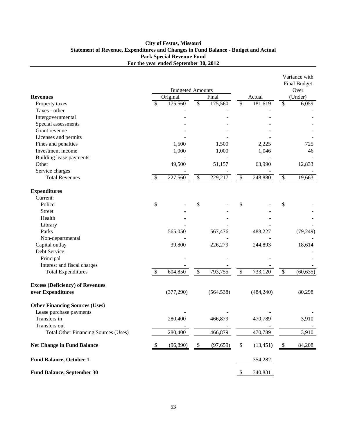### **City of Festus, Missouri Statement of Revenue, Expenditures and Changes in Fund Balance - Budget and Actual Park Special Revenue Fund For the year ended September 30, 2012**

|                                             |               |                         |                          |            |              | Variance with<br><b>Final Budget</b> |                           |           |  |
|---------------------------------------------|---------------|-------------------------|--------------------------|------------|--------------|--------------------------------------|---------------------------|-----------|--|
|                                             |               | <b>Budgeted Amounts</b> |                          |            |              |                                      | Over                      |           |  |
| <b>Revenues</b>                             |               | Original                |                          | Final      |              | Actual                               |                           | (Under)   |  |
| Property taxes                              | $\mathcal{S}$ | 175,560                 | $\overline{\$}$          | 175,560    | \$           | 181,619                              | $\overline{\mathcal{S}}$  | 6,059     |  |
| Taxes - other                               |               |                         |                          |            |              |                                      |                           |           |  |
| Intergovernmental                           |               |                         |                          |            |              |                                      |                           |           |  |
| Special assessments                         |               |                         |                          |            |              |                                      |                           |           |  |
| Grant revenue                               |               |                         |                          |            |              |                                      |                           |           |  |
| Licenses and permits                        |               |                         |                          |            |              |                                      |                           |           |  |
| Fines and penalties                         |               | 1,500                   |                          | 1,500      |              | 2,225                                |                           | 725       |  |
| Investment income                           |               | 1,000                   |                          | 1,000      |              | 1,046                                |                           | 46        |  |
| Building lease payments                     |               |                         |                          |            |              |                                      |                           |           |  |
| Other                                       |               | 49,500                  |                          | 51,157     |              | 63,990                               |                           | 12,833    |  |
| Service charges                             |               |                         |                          |            |              |                                      |                           |           |  |
| <b>Total Revenues</b>                       | $\mathcal{S}$ | 227,560                 | $\overline{\mathcal{L}}$ | 229,217    | \$           | 248,880                              | $\overline{\mathcal{S}}$  | 19,663    |  |
| <b>Expenditures</b>                         |               |                         |                          |            |              |                                      |                           |           |  |
| Current:                                    |               |                         |                          |            |              |                                      |                           |           |  |
| Police                                      | \$            |                         | \$                       |            | \$           |                                      | \$                        |           |  |
| <b>Street</b>                               |               |                         |                          |            |              |                                      |                           |           |  |
| Health                                      |               |                         |                          |            |              |                                      |                           |           |  |
| Library                                     |               |                         |                          |            |              |                                      |                           |           |  |
| Parks                                       |               | 565,050                 |                          | 567,476    |              | 488,227                              |                           | (79, 249) |  |
| Non-departmental                            |               |                         |                          |            |              |                                      |                           |           |  |
| Capital outlay                              |               | 39,800                  |                          | 226,279    |              | 244,893                              |                           | 18,614    |  |
| Debt Service:                               |               |                         |                          |            |              |                                      |                           |           |  |
| Principal                                   |               |                         |                          |            |              |                                      |                           |           |  |
| Interest and fiscal charges                 |               |                         |                          |            |              |                                      |                           |           |  |
| <b>Total Expenditures</b>                   | $\mathcal{S}$ | 604,850                 | $\mathbb{S}$             | 793,755    | $\mathbb{S}$ | 733,120                              | $\mathbb{S}$              | (60, 635) |  |
| <b>Excess (Deficiency) of Revenues</b>      |               |                         |                          |            |              |                                      |                           |           |  |
| over Expenditures                           |               | (377, 290)              |                          | (564, 538) |              | (484, 240)                           |                           | 80,298    |  |
| <b>Other Financing Sources (Uses)</b>       |               |                         |                          |            |              |                                      |                           |           |  |
| Lease purchase payments                     |               |                         |                          |            |              |                                      |                           |           |  |
| Transfers in                                |               | 280,400                 |                          | 466,879    |              | 470,789                              |                           | 3,910     |  |
| Transfers out                               |               |                         |                          |            |              |                                      |                           |           |  |
| <b>Total Other Financing Sources (Uses)</b> |               | 280,400                 |                          | 466,879    |              | 470,789                              |                           | 3,910     |  |
| <b>Net Change in Fund Balance</b>           | -S            | (96, 890)               | \$                       | (97, 659)  | \$           | (13, 451)                            | $\boldsymbol{\mathsf{S}}$ | 84,208    |  |
| <b>Fund Balance, October 1</b>              |               |                         |                          |            |              | 354,282                              |                           |           |  |
| <b>Fund Balance, September 30</b>           |               |                         |                          |            |              | 340,831                              |                           |           |  |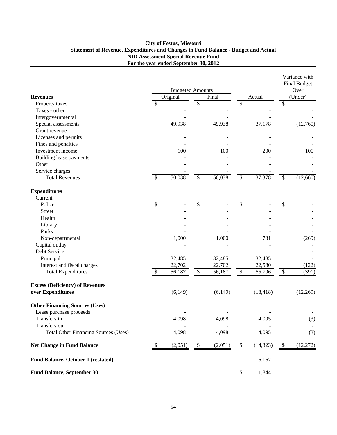### **City of Festus, Missouri Statement of Revenue, Expenditures and Changes in Fund Balance - Budget and Actual NID Assessment Special Revenue Fund For the year ended September 30, 2012**

|                                             |                          |                         |                         |                     |              |           |            | Variance with<br><b>Final Budget</b> |
|---------------------------------------------|--------------------------|-------------------------|-------------------------|---------------------|--------------|-----------|------------|--------------------------------------|
|                                             |                          | <b>Budgeted Amounts</b> |                         |                     |              |           |            | Over                                 |
| <b>Revenues</b>                             |                          | Original                |                         | Final               |              | Actual    |            | (Under)                              |
| Property taxes                              | $\overline{\mathcal{S}}$ |                         | \$                      |                     | \$           |           | \$         |                                      |
| Taxes - other                               |                          |                         |                         |                     |              |           |            |                                      |
| Intergovernmental                           |                          |                         |                         |                     |              |           |            |                                      |
| Special assessments                         |                          | 49,938                  |                         | 49,938              |              | 37,178    |            | (12,760)                             |
| Grant revenue                               |                          |                         |                         |                     |              |           |            |                                      |
| Licenses and permits                        |                          |                         |                         |                     |              |           |            |                                      |
| Fines and penalties                         |                          |                         |                         |                     |              |           |            |                                      |
| Investment income                           |                          | 100                     |                         | 100                 |              | 200       |            | 100                                  |
| Building lease payments                     |                          |                         |                         |                     |              |           |            |                                      |
| Other                                       |                          |                         |                         |                     |              |           |            |                                      |
| Service charges                             |                          |                         |                         |                     |              |           |            |                                      |
| <b>Total Revenues</b>                       | $\mathcal{S}$            | 50,038                  | $\$$                    | $\overline{50,038}$ | $\$$         | 37,378    | $\sqrt{3}$ | (12,660)                             |
| <b>Expenditures</b>                         |                          |                         |                         |                     |              |           |            |                                      |
| Current:                                    |                          |                         |                         |                     |              |           |            |                                      |
| Police                                      | \$                       |                         | \$                      |                     | \$           |           | \$         |                                      |
| <b>Street</b>                               |                          |                         |                         |                     |              |           |            |                                      |
| Health                                      |                          |                         |                         |                     |              |           |            |                                      |
| Library                                     |                          |                         |                         |                     |              |           |            |                                      |
| Parks                                       |                          |                         |                         |                     |              |           |            |                                      |
| Non-departmental                            |                          | 1,000                   |                         | 1,000               |              | 731       |            | (269)                                |
| Capital outlay                              |                          |                         |                         |                     |              |           |            |                                      |
| Debt Service:                               |                          |                         |                         |                     |              |           |            |                                      |
| Principal                                   |                          | 32,485                  |                         | 32,485              |              | 32,485    |            |                                      |
| Interest and fiscal charges                 |                          | 22,702                  |                         | 22,702              |              | 22,580    |            | (122)                                |
| <b>Total Expenditures</b>                   | $\mathcal{S}$            | 56,187                  | $\sqrt[6]{\frac{1}{2}}$ | 56,187              | $\mathbb{S}$ | 55,796    | $\$\,$     | (391)                                |
| <b>Excess (Deficiency) of Revenues</b>      |                          |                         |                         |                     |              |           |            |                                      |
| over Expenditures                           |                          | (6,149)                 |                         | (6,149)             |              | (18, 418) |            | (12,269)                             |
| <b>Other Financing Sources (Uses)</b>       |                          |                         |                         |                     |              |           |            |                                      |
| Lease purchase proceeds                     |                          |                         |                         |                     |              |           |            |                                      |
| Transfers in                                |                          | 4,098                   |                         | 4,098               |              | 4,095     |            | (3)                                  |
| Transfers out                               |                          |                         |                         |                     |              |           |            | $\overline{\phantom{a}}$             |
| <b>Total Other Financing Sources (Uses)</b> |                          | 4,098                   |                         | 4,098               |              | 4,095     |            | (3)                                  |
| <b>Net Change in Fund Balance</b>           | \$                       | (2,051)                 | -\$                     | (2,051)             | \$           | (14, 323) | \$         | (12,272)                             |
| Fund Balance, October 1 (restated)          |                          |                         |                         |                     |              | 16,167    |            |                                      |
| <b>Fund Balance, September 30</b>           |                          |                         |                         |                     |              | 1,844     |            |                                      |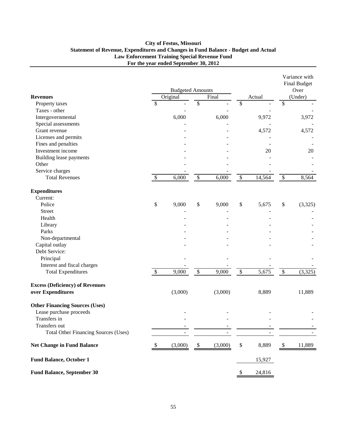### **City of Festus, Missouri Statement of Revenue, Expenditures and Changes in Fund Balance - Budget and Actual Law Enforcement Training Special Revenue Fund For the year ended September 30, 2012**

|                                             |                           |          |                           |         |              |        |                           | Variance with<br><b>Final Budget</b> |
|---------------------------------------------|---------------------------|----------|---------------------------|---------|--------------|--------|---------------------------|--------------------------------------|
|                                             | <b>Budgeted Amounts</b>   |          |                           |         |              | Over   |                           |                                      |
| <b>Revenues</b>                             |                           | Original |                           | Final   |              | Actual |                           | (Under)                              |
| Property taxes                              | $\overline{\mathcal{S}}$  |          | \$                        |         | \$           |        | \$                        |                                      |
| Taxes - other                               |                           |          |                           |         |              |        |                           |                                      |
| Intergovernmental                           |                           | 6,000    |                           | 6,000   |              | 9,972  |                           | 3,972                                |
| Special assessments                         |                           |          |                           |         |              |        |                           |                                      |
| Grant revenue                               |                           |          |                           |         |              | 4,572  |                           | 4,572                                |
| Licenses and permits                        |                           |          |                           |         |              |        |                           |                                      |
| Fines and penalties                         |                           |          |                           |         |              |        |                           |                                      |
| Investment income                           |                           |          |                           |         |              | 20     |                           | 20                                   |
| Building lease payments                     |                           |          |                           |         |              |        |                           |                                      |
| Other                                       |                           |          |                           |         |              |        |                           |                                      |
| Service charges<br><b>Total Revenues</b>    | $\boldsymbol{\mathsf{S}}$ | 6,000    | \$                        |         | \$           | 14,564 | $\overline{\mathcal{L}}$  | 8,564                                |
|                                             |                           |          |                           | 6,000   |              |        |                           |                                      |
| <b>Expenditures</b>                         |                           |          |                           |         |              |        |                           |                                      |
| Current:                                    |                           |          |                           |         |              |        |                           |                                      |
| Police                                      | \$                        | 9,000    | \$                        | 9,000   | \$           | 5,675  | \$                        | (3,325)                              |
| <b>Street</b>                               |                           |          |                           |         |              |        |                           |                                      |
| Health                                      |                           |          |                           |         |              |        |                           |                                      |
| Library                                     |                           |          |                           |         |              |        |                           |                                      |
| Parks                                       |                           |          |                           |         |              |        |                           |                                      |
| Non-departmental                            |                           |          |                           |         |              |        |                           |                                      |
| Capital outlay                              |                           |          |                           |         |              |        |                           |                                      |
| Debt Service:                               |                           |          |                           |         |              |        |                           |                                      |
| Principal                                   |                           |          |                           |         |              |        |                           |                                      |
| Interest and fiscal charges                 |                           |          |                           |         |              |        |                           |                                      |
| <b>Total Expenditures</b>                   | $\boldsymbol{\mathsf{S}}$ | 9,000    | $\boldsymbol{\$}$         | 9,000   | $\mathbb{S}$ | 5,675  | $\mathbb{S}$              | (3,325)                              |
| <b>Excess (Deficiency) of Revenues</b>      |                           |          |                           |         |              |        |                           |                                      |
| over Expenditures                           |                           | (3,000)  |                           | (3,000) |              | 8,889  |                           | 11,889                               |
|                                             |                           |          |                           |         |              |        |                           |                                      |
| <b>Other Financing Sources (Uses)</b>       |                           |          |                           |         |              |        |                           |                                      |
| Lease purchase proceeds                     |                           |          |                           |         |              |        |                           |                                      |
| Transfers in                                |                           |          |                           |         |              |        |                           |                                      |
| Transfers out                               |                           |          |                           |         |              |        |                           |                                      |
| <b>Total Other Financing Sources (Uses)</b> |                           |          |                           |         |              |        |                           |                                      |
|                                             |                           |          |                           |         |              |        |                           |                                      |
| <b>Net Change in Fund Balance</b>           | \$                        | (3,000)  | $\boldsymbol{\mathsf{S}}$ | (3,000) | \$           | 8,889  | $\boldsymbol{\mathsf{S}}$ | 11,889                               |
| <b>Fund Balance, October 1</b>              |                           |          |                           |         |              | 15,927 |                           |                                      |
| <b>Fund Balance, September 30</b>           |                           |          |                           |         |              | 24,816 |                           |                                      |
|                                             |                           |          |                           |         |              |        |                           |                                      |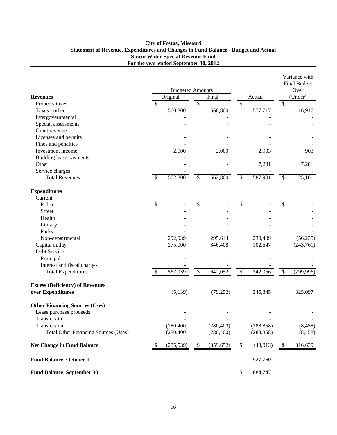### **City of Festus, Missouri Statement of Revenue, Expenditures and Changes in Fund Balance - Budget and Actual Storm Water Special Revenue Fund For the year ended September 30, 2012**

|                                             |                           | <b>Budgeted Amounts</b> |                 |            |              |            |        | Variance with<br><b>Final Budget</b><br>Over |
|---------------------------------------------|---------------------------|-------------------------|-----------------|------------|--------------|------------|--------|----------------------------------------------|
| <b>Revenues</b>                             |                           | $\overline{O}$ riginal  |                 | Final      |              | Actual     |        | (Under)                                      |
| Property taxes                              | $\mathbb{S}$              |                         | $\overline{\$}$ |            | \$           |            | \$     |                                              |
| Taxes - other                               |                           | 560,800                 |                 | 560,800    |              | 577,717    |        | 16,917                                       |
| Intergovernmental                           |                           |                         |                 |            |              |            |        |                                              |
| Special assessments                         |                           |                         |                 |            |              |            |        |                                              |
| Grant revenue                               |                           |                         |                 |            |              |            |        |                                              |
| Licenses and permits                        |                           |                         |                 |            |              |            |        |                                              |
| Fines and penalties                         |                           |                         |                 |            |              |            |        |                                              |
| Investment income                           |                           | 2,000                   |                 | 2,000      |              | 2,903      |        | 903                                          |
| Building lease payments                     |                           |                         |                 |            |              |            |        |                                              |
| Other                                       |                           |                         |                 |            |              | 7,281      |        | 7,281                                        |
| Service charges                             |                           |                         |                 |            |              |            |        |                                              |
| <b>Total Revenues</b>                       | $\mathcal{S}$             | 562,800                 | $\mathbb{S}$    | 562,800    | \$           | 587,901    | $\$\,$ | 25,101                                       |
| <b>Expenditures</b>                         |                           |                         |                 |            |              |            |        |                                              |
| Current:                                    |                           |                         |                 |            |              |            |        |                                              |
| Police                                      | \$                        |                         | \$              |            | \$           |            | \$     |                                              |
| <b>Street</b>                               |                           |                         |                 |            |              |            |        |                                              |
| Health                                      |                           |                         |                 |            |              |            |        |                                              |
| Library                                     |                           |                         |                 |            |              |            |        |                                              |
| Parks                                       |                           |                         |                 |            |              |            |        |                                              |
| Non-departmental                            |                           | 292,939                 |                 | 295,644    |              | 239,409    |        | (56, 235)                                    |
| Capital outlay                              |                           | 275,000                 |                 | 346,408    |              | 102,647    |        | (243,761)                                    |
| Debt Service:                               |                           |                         |                 |            |              |            |        |                                              |
| Principal                                   |                           |                         |                 |            |              |            |        |                                              |
| Interest and fiscal charges                 |                           |                         |                 |            |              |            |        |                                              |
| <b>Total Expenditures</b>                   | $\mathcal{S}$             | 567,939                 | $\mathbb{S}$    | 642,052    | $\mathbb{S}$ | 342,056    | $\$$   | (299, 996)                                   |
| <b>Excess (Deficiency) of Revenues</b>      |                           |                         |                 |            |              |            |        |                                              |
| over Expenditures                           |                           | (5,139)                 |                 | (79, 252)  |              | 245,845    |        | 325,097                                      |
| <b>Other Financing Sources (Uses)</b>       |                           |                         |                 |            |              |            |        |                                              |
| Lease purchase proceeds                     |                           |                         |                 |            |              |            |        |                                              |
| Transfers in                                |                           |                         |                 |            |              |            |        |                                              |
| Transfers out                               |                           | (280, 400)              |                 | (280, 400) |              | (288, 858) |        | (8, 458)                                     |
| <b>Total Other Financing Sources (Uses)</b> |                           | (280, 400)              |                 | (280, 400) |              | (288, 858) |        | (8, 458)                                     |
| <b>Net Change in Fund Balance</b>           | $\boldsymbol{\mathsf{S}}$ | (285, 539)              | $\mathcal{S}$   | (359, 652) | \$           | (43,013)   | - \$   | 316,639                                      |
| <b>Fund Balance, October 1</b>              |                           |                         |                 |            |              | 927,760    |        |                                              |
| <b>Fund Balance, September 30</b>           |                           |                         |                 |            |              | 884,747    |        |                                              |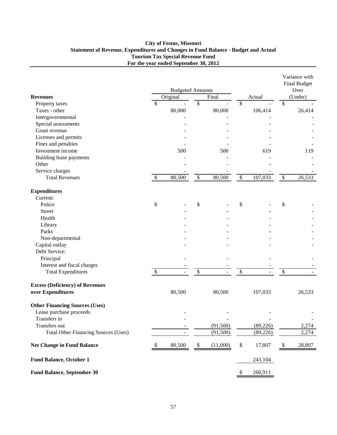# **City of Festus, Missouri Statement of Revenue, Expenditures and Changes in Fund Balance - Budget and Actual Tourism Tax Special Revenue Fund For the year ended September 30, 2012**

|                                             |               |                                     |                           |           |              |           |                 | Variance with<br><b>Final Budget</b> |
|---------------------------------------------|---------------|-------------------------------------|---------------------------|-----------|--------------|-----------|-----------------|--------------------------------------|
| <b>Revenues</b>                             |               | <b>Budgeted Amounts</b><br>Original |                           | Final     |              | Actual    |                 | Over<br>(Under)                      |
| Property taxes                              | $\mathbb{S}$  |                                     | $\overline{\$}$           |           | \$           |           | $\overline{\$}$ |                                      |
| Taxes - other                               |               | 80,000                              |                           | 80,000    |              | 106,414   |                 | 26,414                               |
| Intergovernmental                           |               |                                     |                           |           |              |           |                 |                                      |
| Special assessments                         |               |                                     |                           |           |              |           |                 |                                      |
| Grant revenue                               |               |                                     |                           |           |              |           |                 |                                      |
| Licenses and permits                        |               |                                     |                           |           |              |           |                 |                                      |
| Fines and penalties                         |               |                                     |                           |           |              |           |                 |                                      |
| Investment income                           |               | 500                                 |                           | 500       |              | 619       |                 | 119                                  |
| Building lease payments                     |               |                                     |                           |           |              |           |                 |                                      |
| Other                                       |               |                                     |                           |           |              |           |                 |                                      |
| Service charges                             |               |                                     |                           |           |              |           |                 |                                      |
| <b>Total Revenues</b>                       | $\mathcal{S}$ | 80,500                              | $\mathcal{L}$             | 80,500    | $\$$         | 107,033   | $\$\,$          | 26,533                               |
|                                             |               |                                     |                           |           |              |           |                 |                                      |
| <b>Expenditures</b>                         |               |                                     |                           |           |              |           |                 |                                      |
| Current:                                    |               |                                     |                           |           |              |           |                 |                                      |
| Police                                      | $\$\,$        |                                     | \$                        |           | \$           |           | \$              |                                      |
| <b>Street</b>                               |               |                                     |                           |           |              |           |                 |                                      |
| Health                                      |               |                                     |                           |           |              |           |                 |                                      |
| Library                                     |               |                                     |                           |           |              |           |                 |                                      |
| Parks                                       |               |                                     |                           |           |              |           |                 |                                      |
| Non-departmental                            |               |                                     |                           |           |              |           |                 |                                      |
| Capital outlay                              |               |                                     |                           |           |              |           |                 |                                      |
| Debt Service:                               |               |                                     |                           |           |              |           |                 |                                      |
| Principal                                   |               |                                     |                           |           |              |           |                 |                                      |
| Interest and fiscal charges                 |               |                                     |                           |           |              |           |                 |                                      |
| <b>Total Expenditures</b>                   | $\mathcal{S}$ | $\blacksquare$                      | $\sqrt[6]{\frac{1}{2}}$   |           | $\mathbb{S}$ |           | $\mathbb{S}$    |                                      |
|                                             |               |                                     |                           |           |              |           |                 |                                      |
| <b>Excess (Deficiency) of Revenues</b>      |               |                                     |                           | 80,500    |              |           |                 |                                      |
| over Expenditures                           |               | 80,500                              |                           |           |              | 107,033   |                 | 26,533                               |
| <b>Other Financing Sources (Uses)</b>       |               |                                     |                           |           |              |           |                 |                                      |
| Lease purchase proceeds                     |               |                                     |                           |           |              |           |                 |                                      |
| Transfers in                                |               |                                     |                           |           |              |           |                 |                                      |
| Transfers out                               |               |                                     |                           | (91,500)  |              | (89, 226) |                 | 2,274                                |
| <b>Total Other Financing Sources (Uses)</b> |               |                                     |                           | (91, 500) |              | (89, 226) |                 | 2,274                                |
|                                             |               |                                     |                           |           |              |           |                 |                                      |
| <b>Net Change in Fund Balance</b>           | \$            | 80,500                              | $\boldsymbol{\mathsf{S}}$ | (11,000)  | $\$$         | 17,807    | $\mathcal{S}$   | 28,807                               |
| <b>Fund Balance, October 1</b>              |               |                                     |                           |           |              | 243,104   |                 |                                      |
| <b>Fund Balance, September 30</b>           |               |                                     |                           |           | - \$         | 260,911   |                 |                                      |
|                                             |               |                                     |                           |           |              |           |                 |                                      |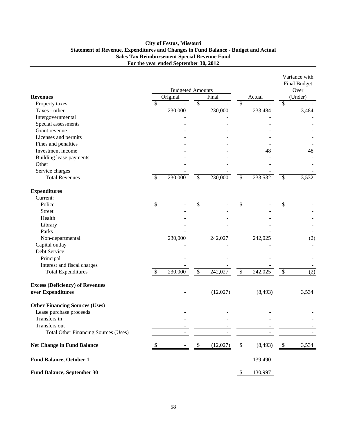### **City of Festus, Missouri Statement of Revenue, Expenditures and Changes in Fund Balance - Budget and Actual Sales Tax Reimbursement Special Revenue Fund For the year ended September 30, 2012**

|                                             |                           |                         |                         |          |                   |          |                 | Variance with<br><b>Final Budget</b> |
|---------------------------------------------|---------------------------|-------------------------|-------------------------|----------|-------------------|----------|-----------------|--------------------------------------|
|                                             |                           | <b>Budgeted Amounts</b> |                         |          |                   |          |                 | Over                                 |
| <b>Revenues</b>                             |                           | Original                |                         | Final    |                   | Actual   |                 | (Under)                              |
| Property taxes                              | $\overline{\mathcal{S}}$  |                         | $\overline{\$}$         |          | $\overline{\$}$   |          | $\overline{\$}$ |                                      |
| Taxes - other                               |                           | 230,000                 |                         | 230,000  |                   | 233,484  |                 | 3,484                                |
| Intergovernmental                           |                           |                         |                         |          |                   |          |                 |                                      |
| Special assessments                         |                           |                         |                         |          |                   |          |                 |                                      |
| Grant revenue                               |                           |                         |                         |          |                   |          |                 |                                      |
| Licenses and permits                        |                           |                         |                         |          |                   |          |                 |                                      |
| Fines and penalties                         |                           |                         |                         |          |                   |          |                 |                                      |
| Investment income                           |                           |                         |                         |          |                   | 48       |                 | 48                                   |
| Building lease payments                     |                           |                         |                         |          |                   |          |                 |                                      |
| Other                                       |                           |                         |                         |          |                   |          |                 |                                      |
| Service charges                             |                           |                         |                         |          |                   |          |                 |                                      |
| <b>Total Revenues</b>                       | $\mathcal{S}$             | 230,000                 | $\mathcal{L}$           | 230,000  | $\$\,$            | 233,532  | $\$\,$          | 3,532                                |
| <b>Expenditures</b>                         |                           |                         |                         |          |                   |          |                 |                                      |
| Current:                                    |                           |                         |                         |          |                   |          |                 |                                      |
| Police                                      | $\boldsymbol{\mathsf{S}}$ |                         | \$                      |          | \$                |          | \$              |                                      |
| <b>Street</b>                               |                           |                         |                         |          |                   |          |                 |                                      |
| Health                                      |                           |                         |                         |          |                   |          |                 |                                      |
| Library                                     |                           |                         |                         |          |                   |          |                 |                                      |
| Parks                                       |                           |                         |                         |          |                   |          |                 |                                      |
| Non-departmental                            |                           | 230,000                 |                         | 242,027  |                   | 242,025  |                 | (2)                                  |
| Capital outlay                              |                           |                         |                         |          |                   |          |                 |                                      |
| Debt Service:                               |                           |                         |                         |          |                   |          |                 |                                      |
| Principal                                   |                           |                         |                         |          |                   |          |                 |                                      |
| Interest and fiscal charges                 |                           |                         |                         |          |                   |          |                 |                                      |
| <b>Total Expenditures</b>                   | $\boldsymbol{\mathsf{S}}$ | 230,000                 | $\sqrt[6]{\frac{1}{2}}$ | 242,027  | $\boldsymbol{\$}$ | 242,025  | $\mathcal{L}$   | (2)                                  |
| <b>Excess (Deficiency) of Revenues</b>      |                           |                         |                         |          |                   |          |                 |                                      |
| over Expenditures                           |                           |                         |                         | (12,027) |                   | (8, 493) |                 | 3,534                                |
| <b>Other Financing Sources (Uses)</b>       |                           |                         |                         |          |                   |          |                 |                                      |
| Lease purchase proceeds                     |                           |                         |                         |          |                   |          |                 |                                      |
| Transfers in                                |                           |                         |                         |          |                   |          |                 |                                      |
| Transfers out                               |                           |                         |                         |          |                   |          |                 |                                      |
| <b>Total Other Financing Sources (Uses)</b> |                           |                         |                         | ۰.       |                   |          |                 | $\sim$                               |
| <b>Net Change in Fund Balance</b>           |                           |                         | \$                      | (12,027) | \$                | (8, 493) | \$              | 3,534                                |
| <b>Fund Balance, October 1</b>              |                           |                         |                         |          |                   | 139,490  |                 |                                      |
| <b>Fund Balance, September 30</b>           |                           |                         |                         |          |                   | 130,997  |                 |                                      |
|                                             |                           |                         |                         |          |                   |          |                 |                                      |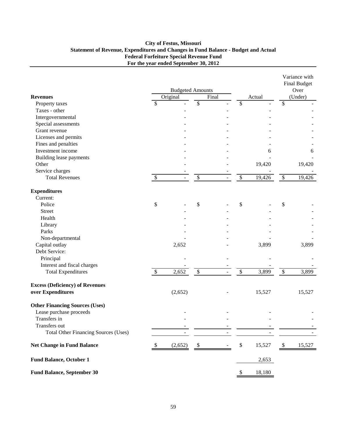### **City of Festus, Missouri Statement of Revenue, Expenditures and Changes in Fund Balance - Budget and Actual Federal Forfeiture Special Revenue Fund For the year ended September 30, 2012**

|                                             |               | <b>Budgeted Amounts</b> |                           |              |        | Variance with<br><b>Final Budget</b><br>Over |                          |
|---------------------------------------------|---------------|-------------------------|---------------------------|--------------|--------|----------------------------------------------|--------------------------|
| <b>Revenues</b>                             |               | Original                | Final                     |              | Actual |                                              | (Under)                  |
| Property taxes                              | $\mathcal{S}$ |                         | \$                        | \$           |        | \$                                           |                          |
| Taxes - other                               |               |                         |                           |              |        |                                              |                          |
| Intergovernmental                           |               |                         |                           |              |        |                                              |                          |
| Special assessments                         |               |                         |                           |              |        |                                              |                          |
| Grant revenue                               |               |                         |                           |              |        |                                              |                          |
| Licenses and permits                        |               |                         |                           |              |        |                                              |                          |
| Fines and penalties                         |               |                         |                           |              |        |                                              |                          |
| Investment income                           |               |                         |                           |              | 6      |                                              | 6                        |
| Building lease payments                     |               |                         |                           |              |        |                                              |                          |
| Other                                       |               |                         |                           |              | 19,420 |                                              | 19,420                   |
| Service charges                             |               |                         |                           |              |        |                                              |                          |
| <b>Total Revenues</b>                       | $\mathcal{S}$ |                         | $\mathbb{S}$              | \$           | 19,426 | $\overline{\mathcal{L}}$                     | 19,426                   |
| <b>Expenditures</b>                         |               |                         |                           |              |        |                                              |                          |
| Current:                                    |               |                         |                           |              |        |                                              |                          |
| Police                                      | \$            |                         | \$                        | \$           |        | \$                                           |                          |
| <b>Street</b>                               |               |                         |                           |              |        |                                              |                          |
| Health                                      |               |                         |                           |              |        |                                              |                          |
| Library                                     |               |                         |                           |              |        |                                              |                          |
| Parks                                       |               |                         |                           |              |        |                                              |                          |
| Non-departmental                            |               |                         |                           |              |        |                                              |                          |
| Capital outlay                              |               | 2,652                   |                           |              | 3,899  |                                              | 3,899                    |
| Debt Service:                               |               |                         |                           |              |        |                                              |                          |
| Principal                                   |               |                         |                           |              |        |                                              |                          |
| Interest and fiscal charges                 |               |                         |                           |              |        |                                              |                          |
| <b>Total Expenditures</b>                   | $\mathcal{S}$ | 2,652                   | \$                        | $\mathbb{S}$ | 3,899  | $\mathbb{S}$                                 | 3,899                    |
| <b>Excess (Deficiency) of Revenues</b>      |               |                         |                           |              |        |                                              |                          |
| over Expenditures                           |               | (2,652)                 |                           |              | 15,527 |                                              | 15,527                   |
| <b>Other Financing Sources (Uses)</b>       |               |                         |                           |              |        |                                              |                          |
| Lease purchase proceeds                     |               |                         |                           |              |        |                                              |                          |
| Transfers in                                |               |                         |                           |              |        |                                              |                          |
| Transfers out                               |               |                         |                           |              |        |                                              |                          |
| <b>Total Other Financing Sources (Uses)</b> |               |                         |                           |              |        |                                              | $\overline{\phantom{0}}$ |
| <b>Net Change in Fund Balance</b>           | \$            | (2,652)                 | $\boldsymbol{\mathsf{S}}$ | \$           | 15,527 | -\$                                          | 15,527                   |
| <b>Fund Balance, October 1</b>              |               |                         |                           |              | 2,653  |                                              |                          |
| <b>Fund Balance, September 30</b>           |               |                         |                           |              | 18,180 |                                              |                          |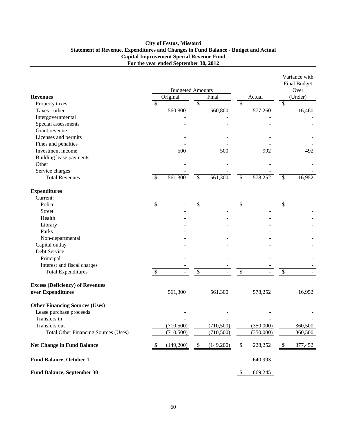### **City of Festus, Missouri Statement of Revenue, Expenditures and Changes in Fund Balance - Budget and Actual Capital Improvement Special Revenue Fund For the year ended September 30, 2012**

|                                             |                         |            |                           |            |                          |           |                           | Variance with<br><b>Final Budget</b> |
|---------------------------------------------|-------------------------|------------|---------------------------|------------|--------------------------|-----------|---------------------------|--------------------------------------|
|                                             | <b>Budgeted Amounts</b> |            |                           |            |                          |           |                           | Over                                 |
| <b>Revenues</b>                             |                         | Original   |                           | Final      |                          | Actual    |                           | (Under)                              |
| Property taxes                              | $\mathcal{S}$           |            | $\overline{\$}$           |            | $\overline{\mathcal{S}}$ |           | $\overline{\mathcal{S}}$  |                                      |
| Taxes - other                               |                         | 560,800    |                           | 560,800    |                          | 577,260   |                           | 16,460                               |
| Intergovernmental                           |                         |            |                           |            |                          |           |                           |                                      |
| Special assessments                         |                         |            |                           |            |                          |           |                           |                                      |
| Grant revenue                               |                         |            |                           |            |                          |           |                           |                                      |
| Licenses and permits                        |                         |            |                           |            |                          |           |                           |                                      |
| Fines and penalties                         |                         |            |                           |            |                          |           |                           |                                      |
| Investment income                           |                         | 500        |                           | 500        |                          | 992       |                           | 492                                  |
| Building lease payments                     |                         |            |                           |            |                          |           |                           |                                      |
| Other                                       |                         |            |                           |            |                          |           |                           |                                      |
| Service charges                             |                         |            |                           |            |                          |           |                           |                                      |
| <b>Total Revenues</b>                       | $\sqrt[6]{\frac{1}{2}}$ | 561,300    | $\mathbb{S}$              | 561,300    | \$                       | 578,252   | $\$\,$                    | 16,952                               |
| <b>Expenditures</b>                         |                         |            |                           |            |                          |           |                           |                                      |
| Current:                                    |                         |            |                           |            |                          |           |                           |                                      |
| Police                                      | \$                      |            | \$                        |            | \$                       |           | \$                        |                                      |
| <b>Street</b>                               |                         |            |                           |            |                          |           |                           |                                      |
| Health                                      |                         |            |                           |            |                          |           |                           |                                      |
| Library                                     |                         |            |                           |            |                          |           |                           |                                      |
| Parks                                       |                         |            |                           |            |                          |           |                           |                                      |
| Non-departmental                            |                         |            |                           |            |                          |           |                           |                                      |
| Capital outlay                              |                         |            |                           |            |                          |           |                           |                                      |
| Debt Service:                               |                         |            |                           |            |                          |           |                           |                                      |
| Principal                                   |                         |            |                           |            |                          |           |                           |                                      |
| Interest and fiscal charges                 |                         |            |                           |            |                          |           |                           |                                      |
| <b>Total Expenditures</b>                   | $\mathcal{S}$           |            | $\overline{\mathcal{S}}$  |            | $\mathbb{S}$             |           | $\mathbb{S}$              |                                      |
| <b>Excess (Deficiency) of Revenues</b>      |                         |            |                           |            |                          |           |                           |                                      |
| over Expenditures                           |                         | 561,300    |                           | 561,300    |                          | 578,252   |                           | 16,952                               |
| <b>Other Financing Sources (Uses)</b>       |                         |            |                           |            |                          |           |                           |                                      |
| Lease purchase proceeds                     |                         |            |                           |            |                          |           |                           |                                      |
| Transfers in                                |                         |            |                           |            |                          |           |                           |                                      |
| Transfers out                               |                         | (710, 500) |                           | (710, 500) |                          | (350,000) |                           | 360,500                              |
| <b>Total Other Financing Sources (Uses)</b> |                         | (710, 500) |                           | (710, 500) |                          | (350,000) |                           | 360,500                              |
| <b>Net Change in Fund Balance</b>           | \$                      | (149,200)  | $\boldsymbol{\mathsf{S}}$ | (149,200)  | \$                       | 228,252   | $\boldsymbol{\mathsf{S}}$ | 377,452                              |
| <b>Fund Balance, October 1</b>              |                         |            |                           |            |                          | 640,993   |                           |                                      |
| <b>Fund Balance, September 30</b>           |                         |            |                           |            | $\mathcal{P}$            | 869,245   |                           |                                      |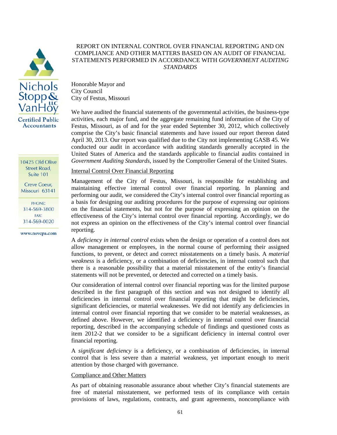

10425 Old Olive **Street Road,** Suite 101

**Creve Coeur,** Missouri 63141

PHONE: 314-569-3800 FAX: 314-569-0020

www.nsvcpa.com

# REPORT ON INTERNAL CONTROL OVER FINANCIAL REPORTING AND ON COMPLIANCE AND OTHER MATTERS BASED ON AN AUDIT OF FINANCIAL STATEMENTS PERFORMED IN ACCORDANCE WITH *GOVERNMENT AUDITING STANDARDS*

Honorable Mayor and City Council City of Festus, Missouri

We have audited the financial statements of the governmental activities, the business-type activities, each major fund, and the aggregate remaining fund information of the City of Festus, Missouri, as of and for the year ended September 30, 2012, which collectively comprise the City's basic financial statements and have issued our report thereon dated April 30, 2013. Our report was qualified due to the City not implementing GASB 45. We conducted our audit in accordance with auditing standards generally accepted in the United States of America and the standards applicable to financial audits contained in *Government Auditing Standards*, issued by the Comptroller General of the United States.

# Internal Control Over Financial Reporting

Management of the City of Festus, Missouri, is responsible for establishing and maintaining effective internal control over financial reporting. In planning and performing our audit, we considered the City's internal control over financial reporting as a basis for designing our auditing procedures for the purpose of expressing our opinions on the financial statements, but not for the purpose of expressing an opinion on the effectiveness of the City's internal control over financial reporting. Accordingly, we do not express an opinion on the effectiveness of the City's internal control over financial reporting.

A *deficiency in internal control* exists when the design or operation of a control does not allow management or employees, in the normal course of performing their assigned functions, to prevent, or detect and correct misstatements on a timely basis. A *material weakness* is a deficiency, or a combination of deficiencies, in internal control such that there is a reasonable possibility that a material misstatement of the entity's financial statements will not be prevented, or detected and corrected on a timely basis.

Our consideration of internal control over financial reporting was for the limited purpose described in the first paragraph of this section and was not designed to identify all deficiencies in internal control over financial reporting that might be deficiencies, significant deficiencies, or material weaknesses. We did not identify any deficiencies in internal control over financial reporting that we consider to be material weaknesses, as defined above. However, we identified a deficiency in internal control over financial reporting, described in the accompanying schedule of findings and questioned costs as item 2012-2 that we consider to be a significant deficiency in internal control over financial reporting.

A *significant deficiency* is a deficiency, or a combination of deficiencies, in internal control that is less severe than a material weakness, yet important enough to merit attention by those charged with governance.

## Compliance and Other Matters

As part of obtaining reasonable assurance about whether City's financial statements are free of material misstatement, we performed tests of its compliance with certain provisions of laws, regulations, contracts, and grant agreements, noncompliance with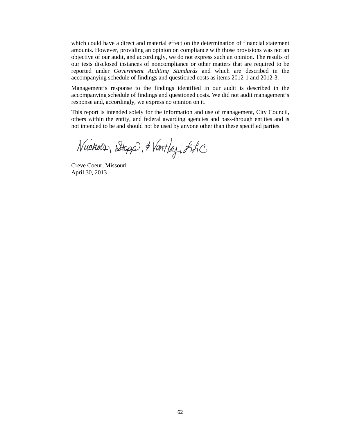which could have a direct and material effect on the determination of financial statement amounts. However, providing an opinion on compliance with those provisions was not an objective of our audit, and accordingly, we do not express such an opinion. The results of our tests disclosed instances of noncompliance or other matters that are required to be reported under *Government Auditing Standards* and which are described in the accompanying schedule of findings and questioned costs as items 2012-1 and 2012-3.

Management's response to the findings identified in our audit is described in the accompanying schedule of findings and questioned costs. We did not audit management's response and, accordingly, we express no opinion on it.

This report is intended solely for the information and use of management, City Council, others within the entity, and federal awarding agencies and pass-through entities and is not intended to be and should not be used by anyone other than these specified parties.

Nuchols, Stopp, & Vantlay, S.L.C.

Creve Coeur, Missouri April 30, 2013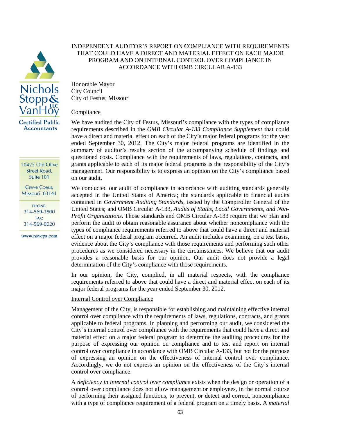

10425 Old Olive **Street Road,** Suite 101

Creve Coeur, Missouri 63141

PHONE: 314-569-3800 FAX: 314-569-0020

www.nsvcpa.com

# INDEPENDENT AUDITOR'S REPORT ON COMPLIANCE WITH REQUIREMENTS THAT COULD HAVE A DIRECT AND MATERIAL EFFECT ON EACH MAJOR PROGRAM AND ON INTERNAL CONTROL OVER COMPLIANCE IN ACCORDANCE WITH OMB CIRCULAR A-133

Honorable Mayor City Council City of Festus, Missouri

# Compliance

We have audited the City of Festus, Missouri's compliance with the types of compliance requirements described in the *OMB Circular A-133 Compliance Supplement* that could have a direct and material effect on each of the City's major federal programs for the year ended September 30, 2012. The City's major federal programs are identified in the summary of auditor's results section of the accompanying schedule of findings and questioned costs. Compliance with the requirements of laws, regulations, contracts, and grants applicable to each of its major federal programs is the responsibility of the City's management. Our responsibility is to express an opinion on the City's compliance based on our audit.

We conducted our audit of compliance in accordance with auditing standards generally accepted in the United States of America; the standards applicable to financial audits contained in *Government Auditing Standards*, issued by the Comptroller General of the United States; and OMB Circular A-133, *Audits of States, Local Governments, and Non-Profit Organizations*. Those standards and OMB Circular A-133 require that we plan and perform the audit to obtain reasonable assurance about whether noncompliance with the types of compliance requirements referred to above that could have a direct and material effect on a major federal program occurred. An audit includes examining, on a test basis, evidence about the City's compliance with those requirements and performing such other procedures as we considered necessary in the circumstances. We believe that our audit provides a reasonable basis for our opinion. Our audit does not provide a legal determination of the City's compliance with those requirements.

In our opinion, the City, complied, in all material respects, with the compliance requirements referred to above that could have a direct and material effect on each of its major federal programs for the year ended September 30, 2012.

## Internal Control over Compliance

Management of the City, is responsible for establishing and maintaining effective internal control over compliance with the requirements of laws, regulations, contracts, and grants applicable to federal programs. In planning and performing our audit, we considered the City's internal control over compliance with the requirements that could have a direct and material effect on a major federal program to determine the auditing procedures for the purpose of expressing our opinion on compliance and to test and report on internal control over compliance in accordance with OMB Circular A-133, but not for the purpose of expressing an opinion on the effectiveness of internal control over compliance. Accordingly, we do not express an opinion on the effectiveness of the City's internal control over compliance.

A *deficiency in internal control over compliance* exists when the design or operation of a control over compliance does not allow management or employees, in the normal course of performing their assigned functions, to prevent, or detect and correct, noncompliance with a type of compliance requirement of a federal program on a timely basis. A *material*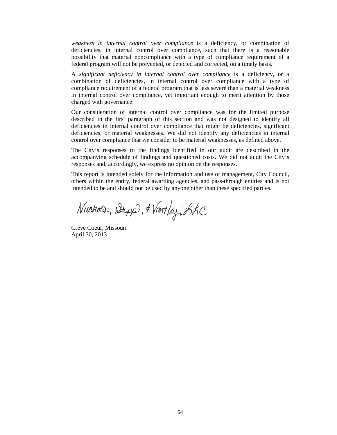*weakness in internal control over compliance* is a deficiency, or combination of deficiencies, in internal control over compliance, such that there is a reasonable possibility that material noncompliance with a type of compliance requirement of a federal program will not be prevented, or detected and corrected, on a timely basis.

A *significant deficiency in internal control over compliance* is a deficiency, or a combination of deficiencies, in internal control over compliance with a type of compliance requirement of a federal program that is less severe than a material weakness in internal control over compliance, yet important enough to merit attention by those charged with governance.

Our consideration of internal control over compliance was for the limited purpose described in the first paragraph of this section and was not designed to identify all deficiencies in internal control over compliance that might be deficiencies, significant deficiencies, or material weaknesses. We did not identify any deficiencies in internal control over compliance that we consider to be material weaknesses, as defined above.

The City's responses to the findings identified in our audit are described in the accompanying schedule of findings and questioned costs. We did not audit the City's responses and, accordingly, we express no opinion on the responses.

This report is intended solely for the information and use of management, City Council, others within the entity, federal awarding agencies, and pass-through entities and is not intended to be and should not be used by anyone other than these specified parties.

Nuchols, Stopp, # Vantlay, SLC

Creve Coeur, Missouri April 30, 2013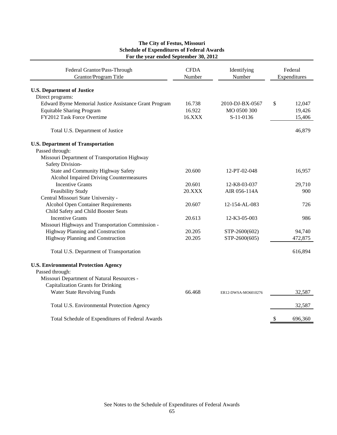| Federal Grantor/Pass-Through<br>Grantor/Program Title                                  | <b>CFDA</b><br>Number | Identifying<br>Number | Federal<br>Expenditures |
|----------------------------------------------------------------------------------------|-----------------------|-----------------------|-------------------------|
| <b>U.S. Department of Justice</b>                                                      |                       |                       |                         |
| Direct programs:                                                                       |                       |                       |                         |
| Edward Byrne Memorial Justice Assistance Grant Program                                 | 16.738                | 2010-DJ-BX-0567       | \$<br>12,047            |
| <b>Equitable Sharing Program</b>                                                       | 16.922                | MO 0500 300           | 19,426                  |
| FY2012 Task Force Overtime                                                             | 16.XXX                | S-11-0136             | 15,406                  |
| Total U.S. Department of Justice                                                       |                       |                       | 46,879                  |
| <b>U.S. Department of Transportation</b>                                               |                       |                       |                         |
| Passed through:                                                                        |                       |                       |                         |
| Missouri Department of Transportation Highway                                          |                       |                       |                         |
| Safety Division-                                                                       |                       |                       |                         |
| State and Community Highway Safety                                                     | 20.600                | 12-PT-02-048          | 16,957                  |
| Alcohol Impaired Driving Countermeasures<br><b>Incentive Grants</b>                    |                       |                       |                         |
|                                                                                        | 20.601                | 12-K8-03-037          | 29,710                  |
| <b>Feasibility Study</b>                                                               | 20.XXX                | AIR 056-114A          | 900                     |
| Central Missouri State University -                                                    |                       |                       |                         |
| <b>Alcohol Open Container Requirements</b>                                             | 20.607                | 12-154-AL-083         | 726                     |
| Child Safety and Child Booster Seats<br><b>Incentive Grants</b>                        |                       |                       | 986                     |
|                                                                                        | 20.613                | 12-K3-05-003          |                         |
| Missouri Highways and Transportation Commission -<br>Highway Planning and Construction | 20.205                |                       | 94,740                  |
| Highway Planning and Construction                                                      | 20.205                | STP-2600(602)         | 472,875                 |
|                                                                                        |                       | STP-2600(605)         |                         |
| Total U.S. Department of Transportation                                                |                       |                       | 616,894                 |
| <b>U.S. Environmental Protection Agency</b><br>Passed through:                         |                       |                       |                         |
| Missouri Department of Natural Resources -                                             |                       |                       |                         |
| <b>Capitalization Grants for Drinking</b>                                              |                       |                       |                         |
| Water State Revolving Funds                                                            | 66.468                | ER12-DWSA-MO6010276   | 32,587                  |
| Total U.S. Environmental Protection Agency                                             |                       |                       | 32,587                  |
| Total Schedule of Expenditures of Federal Awards                                       |                       |                       | \$<br>696,360           |

# **The City of Festus, Missouri Schedule of Expenditures of Federal Awards For the year ended September 30, 2012**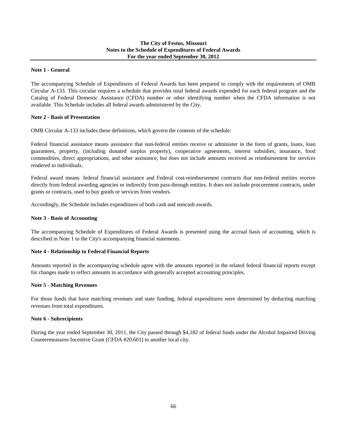### **Note 1 - General**

The accompanying Schedule of Expenditures of Federal Awards has been prepared to comply with the requirements of OMB Circular A-133. This circular requires a schedule that provides total federal awards expended for each federal program and the Catalog of Federal Domestic Assistance (CFDA) number or other identifying number when the CFDA information is not available. This Schedule includes all federal awards administered by the City.

### **Note 2 - Basis of Presentation**

OMB Circular A-133 includes these definitions, which govern the contents of the schedule:

Federal financial assistance means assistance that non-federal entities receive or administer in the form of grants, loans, loan guarantees, property, (including donated surplus property), cooperative agreements, interest subsidies, insurance, food commodities, direct appropriations, and other assistance, but does not include amounts received as reimbursement for services rendered to individuals.

Federal award means federal financial assistance and Federal cost-reimbursement contracts that non-federal entities receive directly from federal awarding agencies or indirectly from pass-through entities. It does not include procurement contracts, under grants or contracts, used to buy goods or services from vendors.

Accordingly, the Schedule includes expenditures of both cash and noncash awards.

### **Note 3 - Basis of Accounting**

The accompanying Schedule of Expenditures of Federal Awards is presented using the accrual basis of accounting, which is described in Note 1 to the City's accompanying financial statements.

### **Note 4 - Relationship to Federal Financial Reports**

Amounts reported in the accompanying schedule agree with the amounts reported in the related federal financial reports except for changes made to reflect amounts in accordance with generally accepted accounting principles.

### **Note 5 - Matching Revenues**

For those funds that have matching revenues and state funding, federal expenditures were determined by deducting matching revenues from total expenditures.

### **Note 6 - Subrecipients**

During the year ended September 30, 2011, the City passed through \$4,182 of federal funds under the Alcohol Impaired Driving Countermeasures Incentive Grant (CFDA #20.601) to another local city.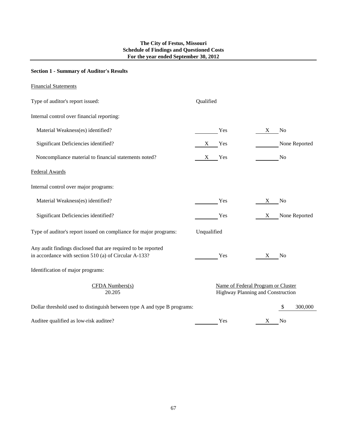# **The City of Festus, Missouri Schedule of Findings and Questioned Costs For the year ended September 30, 2012**

# **Section 1 - Summary of Auditor's Results**

| <b>Financial Statements</b>                                                                                            |             |                                                                         |
|------------------------------------------------------------------------------------------------------------------------|-------------|-------------------------------------------------------------------------|
| Type of auditor's report issued:                                                                                       | Qualified   |                                                                         |
| Internal control over financial reporting:                                                                             |             |                                                                         |
| Material Weakness(es) identified?                                                                                      | Yes         | X<br>No                                                                 |
| Significant Deficiencies identified?                                                                                   | X<br>Yes    | None Reported                                                           |
| Noncompliance material to financial statements noted?                                                                  | Yes<br>X.   | N <sub>0</sub>                                                          |
| Federal Awards                                                                                                         |             |                                                                         |
| Internal control over major programs:                                                                                  |             |                                                                         |
| Material Weakness(es) identified?                                                                                      | Yes         | X<br><b>No</b>                                                          |
| Significant Deficiencies identified?                                                                                   | Yes         | None Reported<br>X                                                      |
| Type of auditor's report issued on compliance for major programs:                                                      | Unqualified |                                                                         |
| Any audit findings disclosed that are required to be reported<br>in accordance with section 510 (a) of Circular A-133? | Yes         | X<br>N <sub>0</sub>                                                     |
| Identification of major programs:                                                                                      |             |                                                                         |
| <b>CFDA</b> Numbers(s)<br>20.205                                                                                       |             | Name of Federal Program or Cluster<br>Highway Planning and Construction |
| Dollar threshold used to distinguish between type A and type B programs:                                               |             | 300,000<br>\$                                                           |
| Auditee qualified as low-risk auditee?                                                                                 | Yes         | X<br>No                                                                 |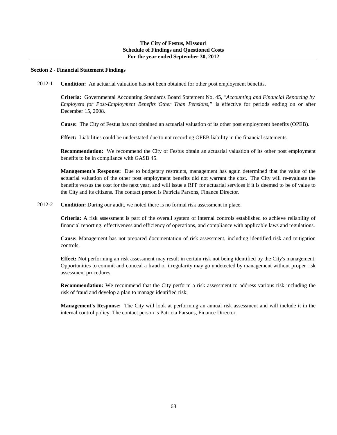#### **Section 2 - Financial Statement Findings**

2012-1 **Condition:** An actuarial valuation has not been obtained for other post employment benefits.

> **Criteria:** Governmental Accounting Standards Board Statement No. 45, *"Accounting and Financial Reporting by Employers for Post-Employment Benefits Other Than Pensions,"* is effective for periods ending on or after December 15, 2008.

**Cause:** The City of Festus has not obtained an actuarial valuation of its other post employment benefits (OPEB).

**Effect:** Liabilities could be understated due to not recording OPEB liability in the financial statements.

**Recommendation:** We recommend the City of Festus obtain an actuarial valuation of its other post employment benefits to be in compliance with GASB 45.

**Management's Response:** Due to budgetary restraints, management has again determined that the value of the actuarial valuation of the other post employment benefits did not warrant the cost. The City will re-evaluate the benefits versus the cost for the next year, and will issue a RFP for actuarial services if it is deemed to be of value to the City and its citizens. The contact person is Patricia Parsons, Finance Director.

2012-2 **Condition:** During our audit, we noted there is no formal risk assessment in place.

> **Criteria:** A risk assessment is part of the overall system of internal controls established to achieve reliability of financial reporting, effectiveness and efficiency of operations, and compliance with applicable laws and regulations.

> **Cause:** Management has not prepared documentation of risk assessment, including identified risk and mitigation controls.

> **Effect:** Not performing an risk assessment may result in certain risk not being identified by the City's management. Opportunities to commit and conceal a fraud or irregularity may go undetected by management without proper risk assessment procedures.

> **Recommendation:** We recommend that the City perform a risk assessment to address various risk including the risk of fraud and develop a plan to manage identified risk.

> **Management's Response:** The City will look at performing an annual risk assessment and will include it in the internal control policy. The contact person is Patricia Parsons, Finance Director.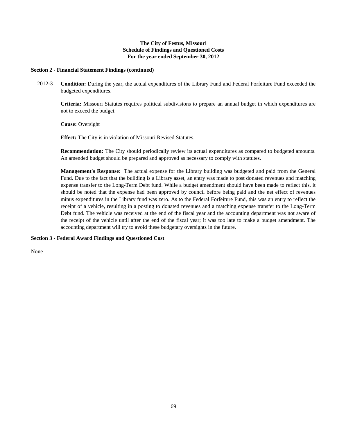### **Section 2 - Financial Statement Findings (continued)**

2012-3 **Condition:** During the year, the actual expenditures of the Library Fund and Federal Forfeiture Fund exceeded the budgeted expenditures.

**Criteria:** Missouri Statutes requires political subdivisions to prepare an annual budget in which expenditures are not to exceed the budget.

**Cause:** Oversight

**Effect:** The City is in violation of Missouri Revised Statutes.

**Recommendation:** The City should periodically review its actual expenditures as compared to budgeted amounts. An amended budget should be prepared and approved as necessary to comply with statutes.

**Management's Response:** The actual expense for the Library building was budgeted and paid from the General Fund. Due to the fact that the building is a Library asset, an entry was made to post donated revenues and matching expense transfer to the Long-Term Debt fund. While a budget amendment should have been made to reflect this, it should be noted that the expense had been approved by council before being paid and the net effect of revenues minus expenditures in the Library fund was zero. As to the Federal Forfeiture Fund, this was an entry to reflect the receipt of a vehicle, resulting in a posting to donated revenues and a matching expense transfer to the Long-Term Debt fund. The vehicle was received at the end of the fiscal year and the accounting department was not aware of the receipt of the vehicle until after the end of the fiscal year; it was too late to make a budget amendment. The accounting department will try to avoid these budgetary oversights in the future.

## **Section 3 - Federal Award Findings and Questioned Cost**

None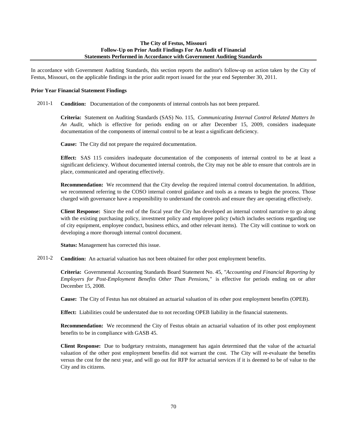In accordance with Government Auditing Standards, this section reports the auditor's follow-up on action taken by the City of Festus, Missouri, on the applicable findings in the prior audit report issued for the year end September 30, 2011.

# **Prior Year Financial Statement Findings**

2011-1 **Condition:** Documentation of the components of internal controls has not been prepared.

> **Criteria:** Statement on Auditing Standards (SAS) No. 115, *Communicating Internal Control Related Matters In An Audit,* which is effective for periods ending on or after December 15, 2009, considers inadequate documentation of the components of internal control to be at least a significant deficiency.

**Cause:** The City did not prepare the required documentation.

**Effect:** SAS 115 considers inadequate documentation of the components of internal control to be at least a significant deficiency. Without documented internal controls, the City may not be able to ensure that controls are in place, communicated and operating effectively.

**Recommendation:** We recommend that the City develop the required internal control documentation. In addition, we recommend referring to the COSO internal control guidance and tools as a means to begin the process. Those charged with governance have a responsibility to understand the controls and ensure they are operating effectively.

**Client Response:** Since the end of the fiscal year the City has developed an internal control narrative to go along with the existing purchasing policy, investment policy and employee policy (which includes sections regarding use of city equipment, employee conduct, business ethics, and other relevant items). The City will continue to work on developing a more thorough internal control document.

**Status:** Management has corrected this issue.

2011-2 **Condition:** An actuarial valuation has not been obtained for other post employment benefits.

> **Criteria:** Governmental Accounting Standards Board Statement No. 45, *"Accounting and Financial Reporting by Employers for Post-Employment Benefits Other Than Pensions,"* is effective for periods ending on or after December 15, 2008.

**Cause:** The City of Festus has not obtained an actuarial valuation of its other post employment benefits (OPEB).

**Effect:** Liabilities could be understated due to not recording OPEB liability in the financial statements.

**Recommendation:** We recommend the City of Festus obtain an actuarial valuation of its other post employment benefits to be in compliance with GASB 45.

**Client Response:** Due to budgetary restraints, management has again determined that the value of the actuarial valuation of the other post employment benefits did not warrant the cost. The City will re-evaluate the benefits versus the cost for the next year, and will go out for RFP for actuarial services if it is deemed to be of value to the City and its citizens.